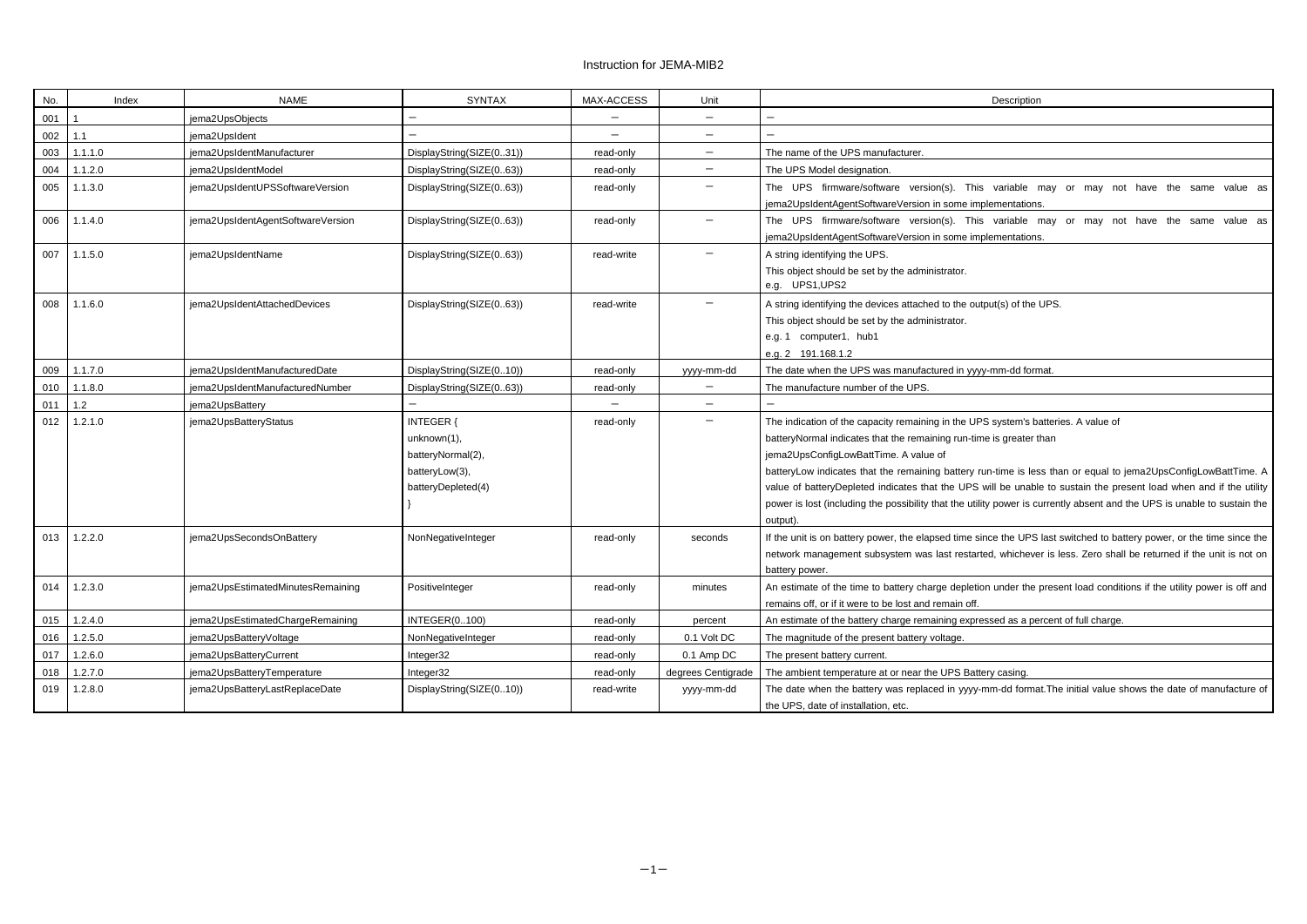## Instruction for JEMA-MIB2

| No. | Index   | <b>NAME</b>                       | <b>SYNTAX</b>                                                                                | MAX-ACCESS               | Unit                     | Description                                                                                                                                                                                                                                                                                                                                                                                                                    |
|-----|---------|-----------------------------------|----------------------------------------------------------------------------------------------|--------------------------|--------------------------|--------------------------------------------------------------------------------------------------------------------------------------------------------------------------------------------------------------------------------------------------------------------------------------------------------------------------------------------------------------------------------------------------------------------------------|
| 001 |         | jema2UpsObjects                   | —                                                                                            | $\overline{\phantom{m}}$ | $\qquad \qquad -$        | —                                                                                                                                                                                                                                                                                                                                                                                                                              |
| 002 | 1.1     | jema2UpsIdent                     |                                                                                              |                          | $\overline{\phantom{0}}$ |                                                                                                                                                                                                                                                                                                                                                                                                                                |
| 003 | 1.1.1.0 | jema2UpsIdentManufacturer         | DisplayString(SIZE(031))                                                                     | read-only                | —                        | The name of the UPS manufacturer.                                                                                                                                                                                                                                                                                                                                                                                              |
| 004 | 1.1.2.0 | jema2UpsIdentModel                | DisplayString(SIZE(063))                                                                     | read-only                | $\qquad \qquad -$        | The UPS Model designation.                                                                                                                                                                                                                                                                                                                                                                                                     |
| 005 | 1.1.3.0 | jema2UpsIdentUPSSoftwareVersion   | DisplayString(SIZE(063))                                                                     | read-only                |                          | The UPS firmware/software version(s). This variable may<br>jema2UpsIdentAgentSoftwareVersion in some implementations.                                                                                                                                                                                                                                                                                                          |
| 006 | 1.1.4.0 | jema2UpsIdentAgentSoftwareVersion | DisplayString(SIZE(063))                                                                     | read-only                | $\overline{\phantom{0}}$ | The UPS firmware/software version(s). This variable may<br>jema2UpsIdentAgentSoftwareVersion in some implementations.                                                                                                                                                                                                                                                                                                          |
| 007 | 1.1.5.0 | jema2UpsIdentName                 | DisplayString(SIZE(063))                                                                     | read-write               |                          | A string identifying the UPS.<br>This object should be set by the administrator.<br>e.g. UPS1, UPS2                                                                                                                                                                                                                                                                                                                            |
| 008 | 1.1.6.0 | jema2UpsIdentAttachedDevices      | DisplayString(SIZE(063))                                                                     | read-write               |                          | A string identifying the devices attached to the output(s) of the UPS.<br>This object should be set by the administrator.<br>e.g. 1 computer1, hub1<br>e.g. 2 191.168.1.2                                                                                                                                                                                                                                                      |
| 009 | 1.1.7.0 | jema2UpsIdentManufacturedDate     | DisplayString(SIZE(010))                                                                     | read-only                | yyyy-mm-dd               | The date when the UPS was manufactured in yyyy-mm-dd format.                                                                                                                                                                                                                                                                                                                                                                   |
| 010 | 1.1.8.0 | jema2UpsIdentManufacturedNumber   | DisplayString(SIZE(063))                                                                     | read-only                |                          | The manufacture number of the UPS.                                                                                                                                                                                                                                                                                                                                                                                             |
| 011 | $1.2$   | jema2UpsBattery                   |                                                                                              |                          | $\overline{\phantom{0}}$ |                                                                                                                                                                                                                                                                                                                                                                                                                                |
| 012 | 1.2.1.0 | jema2UpsBatteryStatus             | <b>INTEGER {</b><br>unknown(1),<br>batteryNormal(2),<br>batteryLow(3),<br>batteryDepleted(4) | read-only                | —                        | The indication of the capacity remaining in the UPS system's batterie<br>batteryNormal indicates that the remaining run-time is greater than<br>jema2UpsConfigLowBattTime. A value of<br>batteryLow indicates that the remaining battery run-time is less tha<br>value of batteryDepleted indicates that the UPS will be unable to s<br>power is lost (including the possibility that the utility power is current<br>output). |
| 013 | 1.2.2.0 | jema2UpsSecondsOnBattery          | NonNegativeInteger                                                                           | read-only                | seconds                  | If the unit is on battery power, the elapsed time since the UPS last s<br>network management subsystem was last restarted, whichever is le<br>battery power.                                                                                                                                                                                                                                                                   |
| 014 | 1.2.3.0 | jema2UpsEstimatedMinutesRemaining | PositiveInteger                                                                              | read-only                | minutes                  | An estimate of the time to battery charge depletion under the prese<br>remains off, or if it were to be lost and remain off.                                                                                                                                                                                                                                                                                                   |
| 015 | 1.2.4.0 | jema2UpsEstimatedChargeRemaining  | <b>INTEGER(0100)</b>                                                                         | read-only                | percent                  | An estimate of the battery charge remaining expressed as a percent                                                                                                                                                                                                                                                                                                                                                             |
| 016 | 1.2.5.0 | jema2UpsBatteryVoltage            | NonNegativeInteger                                                                           | read-only                | 0.1 Volt DC              | The magnitude of the present battery voltage.                                                                                                                                                                                                                                                                                                                                                                                  |
| 017 | 1.2.6.0 | jema2UpsBatteryCurrent            | Integer32                                                                                    | read-only                | 0.1 Amp DC               | The present battery current.                                                                                                                                                                                                                                                                                                                                                                                                   |
| 018 | 1.2.7.0 | jema2UpsBatteryTemperature        | Integer32                                                                                    | read-only                | degrees Centigrade       | The ambient temperature at or near the UPS Battery casing.                                                                                                                                                                                                                                                                                                                                                                     |
| 019 | 1.2.8.0 | jema2UpsBatteryLastReplaceDate    | DisplayString(SIZE(010))                                                                     | read-write               | yyyy-mm-dd               | The date when the battery was replaced in yyyy-mm-dd format. The<br>the UPS, date of installation, etc.                                                                                                                                                                                                                                                                                                                        |

variable may or may not have the same value as lementations. variable may or may not have the same value as

i system's batteries. A value of batter than

n-time is less than or equal to jema2UpsConfigLowBattTime. A vill be unable to sustain the present load when and if the utility power is currently absent and the UPS is unable to sustain the

nce the UPS last switched to battery power, or the time since the ed, whichever is less. Zero shall be returned if the unit is not on

n under the present load conditions if the utility power is off and

ssed as a percent of full charge.

nm-dd format.The initial value shows the date of manufacture of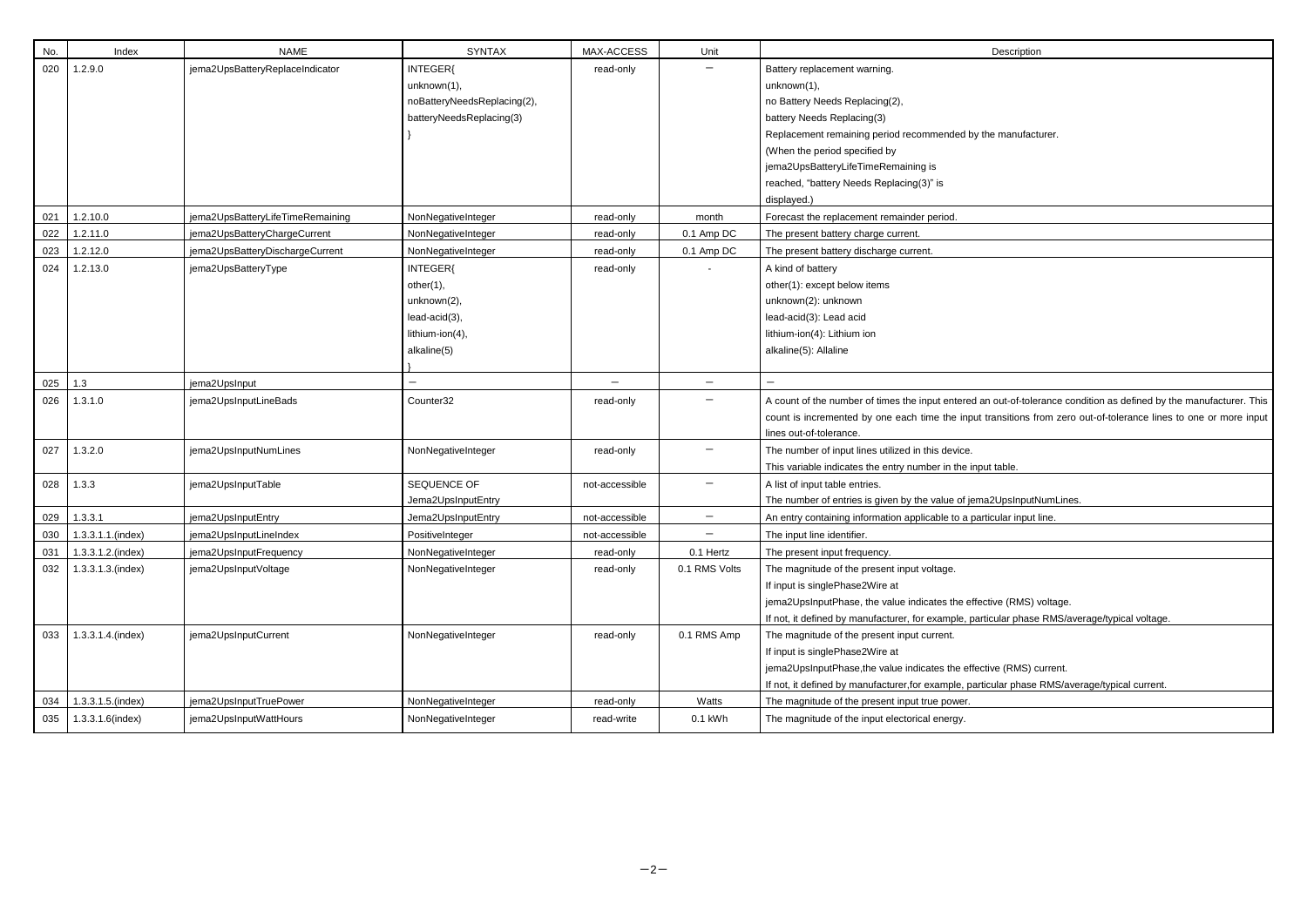| No. | Index             | <b>NAME</b>                      | <b>SYNTAX</b>               | MAX-ACCESS     | Unit                     | Description                                                            |
|-----|-------------------|----------------------------------|-----------------------------|----------------|--------------------------|------------------------------------------------------------------------|
| 020 | 1.2.9.0           | jema2UpsBatteryReplaceIndicator  | INTEGER{                    | read-only      |                          | Battery replacement warning.                                           |
|     |                   |                                  | unknown(1),                 |                |                          | unknown(1),                                                            |
|     |                   |                                  | noBatteryNeedsReplacing(2), |                |                          | no Battery Needs Replacing(2),                                         |
|     |                   |                                  | batteryNeedsReplacing(3)    |                |                          | battery Needs Replacing(3)                                             |
|     |                   |                                  |                             |                |                          | Replacement remaining period recommended by the manufacturer           |
|     |                   |                                  |                             |                |                          | (When the period specified by                                          |
|     |                   |                                  |                             |                |                          | jema2UpsBatteryLifeTimeRemaining is                                    |
|     |                   |                                  |                             |                |                          | reached, "battery Needs Replacing(3)" is                               |
|     |                   |                                  |                             |                |                          | displayed.)                                                            |
| 021 | 1.2.10.0          | jema2UpsBatteryLifeTimeRemaining | NonNegativeInteger          | read-only      | month                    | Forecast the replacement remainder period.                             |
| 022 | 1.2.11.0          | jema2UpsBatteryChargeCurrent     | NonNegativeInteger          | read-only      | 0.1 Amp DC               | The present battery charge current.                                    |
| 023 | 1.2.12.0          | jema2UpsBatteryDischargeCurrent  | NonNegativeInteger          | read-only      | 0.1 Amp DC               | The present battery discharge current.                                 |
| 024 | 1.2.13.0          | jema2UpsBatteryType              | INTEGER{                    | read-only      |                          | A kind of battery                                                      |
|     |                   |                                  | other(1),                   |                |                          | other(1): except below items                                           |
|     |                   |                                  | unknown(2),                 |                |                          | unknown(2): unknown                                                    |
|     |                   |                                  | lead-acid(3),               |                |                          | lead-acid(3): Lead acid                                                |
|     |                   |                                  | lithium-ion(4),             |                |                          | lithium-ion(4): Lithium ion                                            |
|     |                   |                                  | alkaline(5)                 |                |                          | alkaline(5): Allaline                                                  |
|     |                   |                                  |                             |                |                          |                                                                        |
| 025 | 1.3               | jema2UpsInput                    |                             |                | $\qquad \qquad -$        |                                                                        |
| 026 | 1.3.1.0           | jema2UpsInputLineBads            | Counter32                   | read-only      | $\qquad \qquad -$        | A count of the number of times the input entered an out-of-tolerand    |
|     |                   |                                  |                             |                |                          | count is incremented by one each time the input transitions from       |
|     |                   |                                  |                             |                |                          | lines out-of-tolerance.                                                |
| 027 | 1.3.2.0           | jema2UpsInputNumLines            | NonNegativeInteger          | read-only      | —                        | The number of input lines utilized in this device.                     |
|     |                   |                                  |                             |                |                          | This variable indicates the entry number in the input table.           |
| 028 | 1.3.3             | jema2UpsInputTable               | SEQUENCE OF                 | not-accessible | $\overline{\phantom{m}}$ | A list of input table entries.                                         |
|     |                   |                                  | Jema2UpsInputEntry          |                |                          | The number of entries is given by the value of jema2UpsInputNum        |
| 029 | 1.3.3.1           | jema2UpsInputEntry               | Jema2UpsInputEntry          | not-accessible | $\qquad \qquad -$        | An entry containing information applicable to a particular input line. |
| 030 | 1.3.3.1.1.(index) | jema2UpsInputLineIndex           | PositiveInteger             | not-accessible |                          | The input line identifier.                                             |
| 031 | 1.3.3.1.2.(index) | jema2UpsInputFrequency           | NonNegativeInteger          | read-only      | 0.1 Hertz                | The present input frequency.                                           |
| 032 | 1.3.3.1.3.(index) | jema2UpsInputVoltage             | NonNegativeInteger          | read-only      | 0.1 RMS Volts            | The magnitude of the present input voltage.                            |
|     |                   |                                  |                             |                |                          | If input is singlePhase2Wire at                                        |
|     |                   |                                  |                             |                |                          | jema2UpsInputPhase, the value indicates the effective (RMS) volta      |
|     |                   |                                  |                             |                |                          | If not, it defined by manufacturer, for example, particular phase RM   |
| 033 | 1.3.3.1.4.(index) | jema2UpsInputCurrent             | NonNegativeInteger          | read-only      | 0.1 RMS Amp              | The magnitude of the present input current.                            |
|     |                   |                                  |                             |                |                          | If input is singlePhase2Wire at                                        |
|     |                   |                                  |                             |                |                          | jema2UpsInputPhase, the value indicates the effective (RMS) curre      |
|     |                   |                                  |                             |                |                          | If not, it defined by manufacturer, for example, particular phase RM   |
| 034 | 1.3.3.1.5.(index) | jema2UpsInputTruePower           | NonNegativeInteger          | read-only      | Watts                    | The magnitude of the present input true power.                         |
| 035 | 1.3.3.1.6(index)  | jema2UpsInputWattHours           | NonNegativeInteger          | read-write     | 0.1 kWh                  | The magnitude of the input electorical energy.                         |

the manufacturer.

an out-of-tolerance condition as defined by the manufacturer. This transitions from zero out-of-tolerance lines to one or more input

na 2UpsInputNumLines.

ective (RMS) voltage.

rticular phase RMS/average/typical voltage.

ctive (RMS) current.

If it it defined a hos/average/typical current.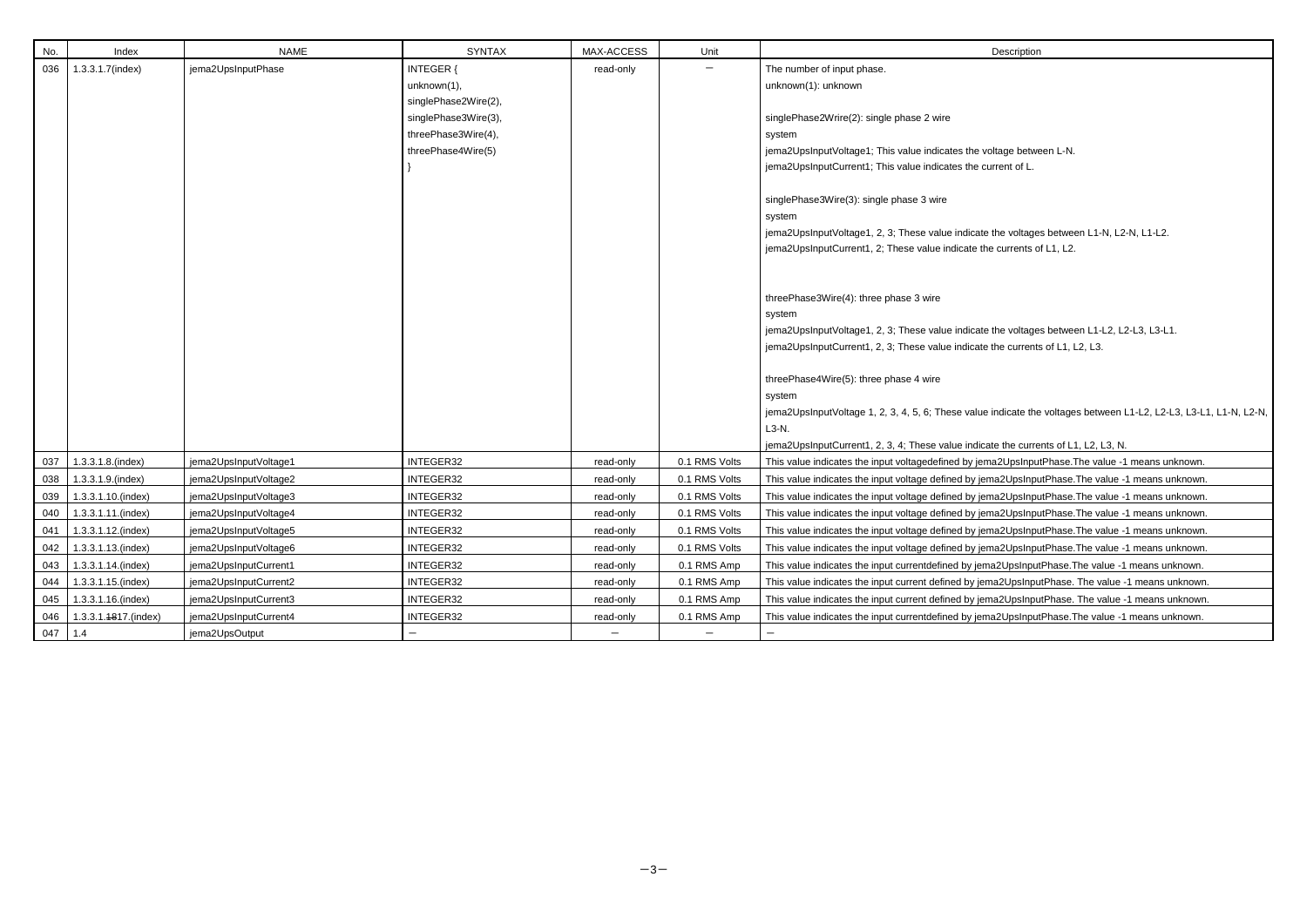| No.     | Index                    | <b>NAME</b>           | <b>SYNTAX</b>        | MAX-ACCESS | Unit          | Description                                                     |
|---------|--------------------------|-----------------------|----------------------|------------|---------------|-----------------------------------------------------------------|
| 036     | 1.3.3.1.7(index)         | jema2UpsInputPhase    | <b>INTEGER {</b>     | read-only  |               | The number of input phase.                                      |
|         |                          |                       | unknown(1),          |            |               | unknown(1): unknown                                             |
|         |                          |                       | singlePhase2Wire(2), |            |               |                                                                 |
|         |                          |                       | singlePhase3Wire(3), |            |               | singlePhase2Wrire(2): single phase 2 wire                       |
|         |                          |                       | threePhase3Wire(4),  |            |               | system                                                          |
|         |                          |                       | threePhase4Wire(5)   |            |               | jema2UpsInputVoltage1; This value indicates the voltage betwe   |
|         |                          |                       |                      |            |               | jema2UpsInputCurrent1; This value indicates the current of L.   |
|         |                          |                       |                      |            |               | singlePhase3Wire(3): single phase 3 wire                        |
|         |                          |                       |                      |            |               | system                                                          |
|         |                          |                       |                      |            |               | jema2UpsInputVoltage1, 2, 3; These value indicate the voltage   |
|         |                          |                       |                      |            |               | jema2UpsInputCurrent1, 2; These value indicate the currents o   |
|         |                          |                       |                      |            |               |                                                                 |
|         |                          |                       |                      |            |               | threePhase3Wire(4): three phase 3 wire                          |
|         |                          |                       |                      |            |               | system                                                          |
|         |                          |                       |                      |            |               | jema2UpsInputVoltage1, 2, 3; These value indicate the voltage   |
|         |                          |                       |                      |            |               | jema2UpsInputCurrent1, 2, 3; These value indicate the currents  |
|         |                          |                       |                      |            |               | threePhase4Wire(5): three phase 4 wire                          |
|         |                          |                       |                      |            |               | system                                                          |
|         |                          |                       |                      |            |               | jema2UpsInputVoltage 1, 2, 3, 4, 5, 6; These value indicate the |
|         |                          |                       |                      |            |               | L3-N.                                                           |
|         |                          |                       |                      |            |               | jema2UpsInputCurrent1, 2, 3, 4; These value indicate the curre  |
| 037     | 1.3.3.1.8.(index)        | jema2UpsInputVoltage1 | INTEGER32            | read-only  | 0.1 RMS Volts | This value indicates the input voltagedefined by jema2UpsInpu   |
| 038     | 1.3.3.1.9.(index)        | jema2UpsInputVoltage2 | INTEGER32            | read-only  | 0.1 RMS Volts | This value indicates the input voltage defined by jema2UpsInpu  |
| 039     | 1.3.3.1.10.(index)       | jema2UpsInputVoltage3 | INTEGER32            | read-only  | 0.1 RMS Volts | This value indicates the input voltage defined by jema2UpsInpu  |
| 040     | 1.3.3.1.11.(index)       | jema2UpsInputVoltage4 | INTEGER32            | read-only  | 0.1 RMS Volts | This value indicates the input voltage defined by jema2UpsInpu  |
|         | 041   1.3.3.1.12.(index) | jema2UpsInputVoltage5 | INTEGER32            | read-only  | 0.1 RMS Volts | This value indicates the input voltage defined by jema2UpsInpu  |
| 042     | 1.3.3.1.13.(index)       | jema2UpsInputVoltage6 | INTEGER32            | read-only  | 0.1 RMS Volts | This value indicates the input voltage defined by jema2UpsInpu  |
|         | 043   1.3.3.1.14.(index) | jema2UpsInputCurrent1 | INTEGER32            | read-only  | 0.1 RMS Amp   | This value indicates the input currentdefined by jema2UpsInput  |
| 044     | 1.3.3.1.15.(index)       | jema2UpsInputCurrent2 | INTEGER32            | read-only  | 0.1 RMS Amp   | This value indicates the input current defined by jema2UpsInpu  |
| 045     | 1.3.3.1.16.(index)       | jema2UpsInputCurrent3 | INTEGER32            | read-only  | 0.1 RMS Amp   | This value indicates the input current defined by jema2UpsInpu  |
| 046     | 1.3.3.1.4817.(index)     | jema2UpsInputCurrent4 | INTEGER32            | read-only  | 0.1 RMS Amp   | This value indicates the input currentdefined by jema2UpsInput  |
| 047 1.4 |                          | jema2UpsOutput        |                      |            |               |                                                                 |

voltage between L-N. current of L.

the voltages between L1-N, L2-N, L1-L2. he currents of L1, L2.

the voltages between L1-L2, L2-L3, L3-L1.

the currents of L1, L2, L3.

indicate the voltages between L1-L2, L2-L3, L3-L1, L1-N, L2-N,

ate the currents of L1, L2, L3, N. ma2UpsInputPhase.The value -1 means unknown. ma2UpsInputPhase.The value -1 means unknown. ma2UpsInputPhase.The value -1 means unknown. ma2UpsInputPhase.The value -1 means unknown. ema2UpsInputPhase.The value -1 means unknown. ma2UpsInputPhase.The value -1 means unknown. ma2UpsInputPhase.The value -1 means unknown. ma2UpsInputPhase. The value -1 means unknown. ma2UpsInputPhase. The value -1 means unknown. ma2UpsInputPhase.The value -1 means unknown.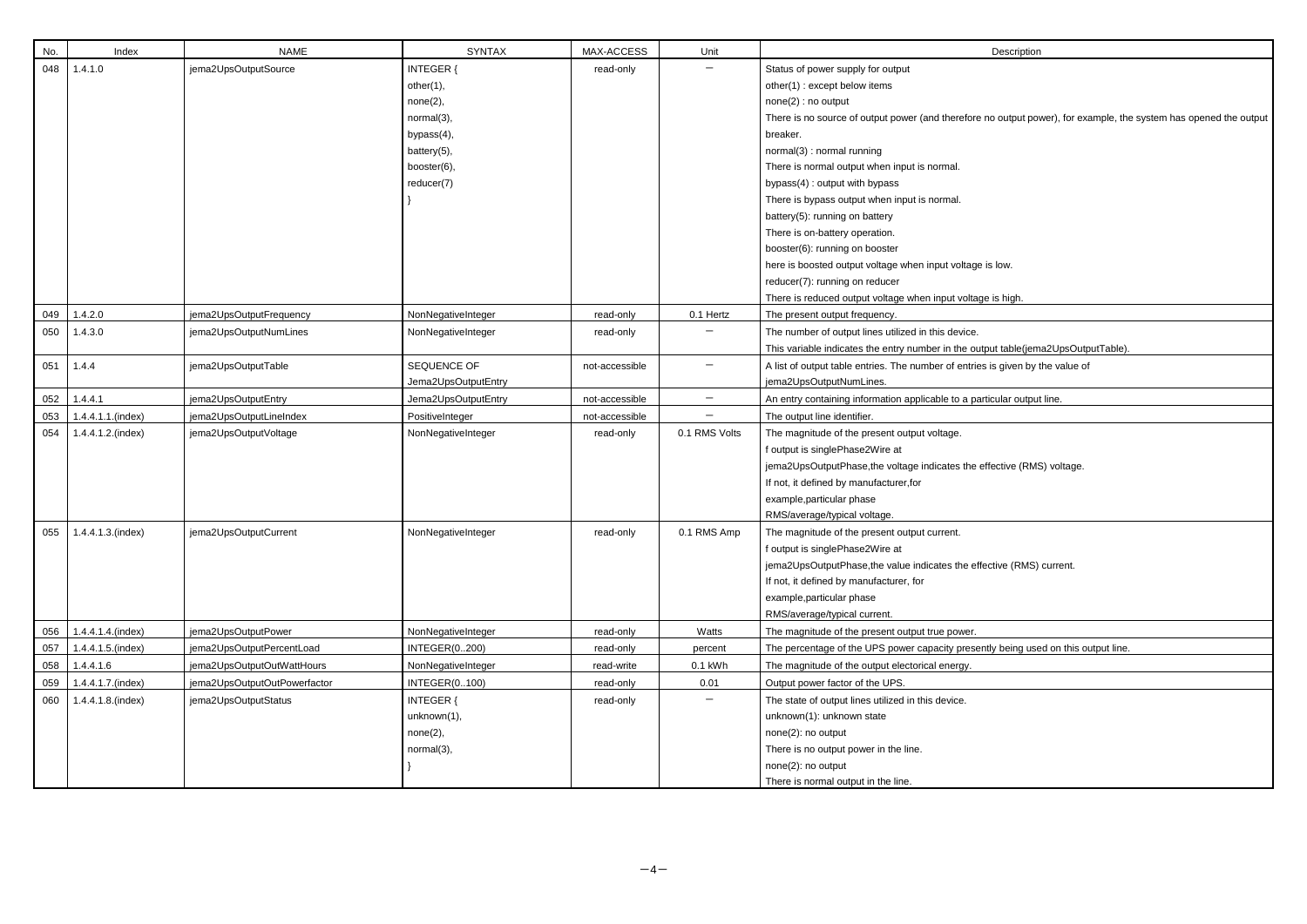| No. | Index                   | <b>NAME</b>                  | <b>SYNTAX</b>        | MAX-ACCESS     | Unit              | Description                                                              |
|-----|-------------------------|------------------------------|----------------------|----------------|-------------------|--------------------------------------------------------------------------|
| 048 | 1.4.1.0                 | jema2UpsOutputSource         | <b>INTEGER {</b>     | read-only      |                   | Status of power supply for output                                        |
|     |                         |                              | other(1),            |                |                   | other(1): except below items                                             |
|     |                         |                              | none(2),             |                |                   | none(2) : no output                                                      |
|     |                         |                              | normal(3),           |                |                   | There is no source of output power (and therefore no output power),      |
|     |                         |                              | bypass(4),           |                |                   | breaker.                                                                 |
|     |                         |                              | battery(5),          |                |                   | normal(3) : normal running                                               |
|     |                         |                              | booster(6),          |                |                   | There is normal output when input is normal.                             |
|     |                         |                              | reducer(7)           |                |                   | bypass(4): output with bypass                                            |
|     |                         |                              |                      |                |                   | There is bypass output when input is normal.                             |
|     |                         |                              |                      |                |                   | battery(5): running on battery                                           |
|     |                         |                              |                      |                |                   | There is on-battery operation.                                           |
|     |                         |                              |                      |                |                   | booster(6): running on booster                                           |
|     |                         |                              |                      |                |                   | here is boosted output voltage when input voltage is low.                |
|     |                         |                              |                      |                |                   | reducer(7): running on reducer                                           |
|     |                         |                              |                      |                |                   | There is reduced output voltage when input voltage is high.              |
| 049 | 1.4.2.0                 | jema2UpsOutputFrequency      | NonNegativeInteger   | read-only      | 0.1 Hertz         | The present output frequency.                                            |
| 050 | 1.4.3.0                 | jema2UpsOutputNumLines       | NonNegativeInteger   | read-only      |                   | The number of output lines utilized in this device.                      |
|     |                         |                              |                      |                |                   | This variable indicates the entry number in the output table(jema2U)     |
| 051 | 1.4.4                   | jema2UpsOutputTable          | SEQUENCE OF          | not-accessible | $\qquad \qquad -$ | A list of output table entries. The number of entries is given by the va |
|     |                         |                              | Jema2UpsOutputEntry  |                |                   | jema2UpsOutputNumLines.                                                  |
| 052 | 1.4.4.1                 | jema2UpsOutputEntry          | Jema2UpsOutputEntry  | not-accessible | $\qquad \qquad -$ | An entry containing information applicable to a particular output line.  |
| 053 | 1.4.4.1.1.(index)       | jema2UpsOutputLineIndex      | PositiveInteger      | not-accessible |                   | The output line identifier.                                              |
| 054 | 1.4.4.1.2.(index)       | jema2UpsOutputVoltage        | NonNegativeInteger   | read-only      | 0.1 RMS Volts     | The magnitude of the present output voltage.                             |
|     |                         |                              |                      |                |                   | f output is singlePhase2Wire at                                          |
|     |                         |                              |                      |                |                   | jema2UpsOutputPhase, the voltage indicates the effective (RMS) vo        |
|     |                         |                              |                      |                |                   | If not, it defined by manufacturer, for                                  |
|     |                         |                              |                      |                |                   | example, particular phase                                                |
|     |                         |                              |                      |                |                   | RMS/average/typical voltage.                                             |
|     | 055   1.4.4.1.3.(index) | jema2UpsOutputCurrent        | NonNegativeInteger   | read-only      | 0.1 RMS Amp       | The magnitude of the present output current.                             |
|     |                         |                              |                      |                |                   | f output is singlePhase2Wire at                                          |
|     |                         |                              |                      |                |                   | jema2UpsOutputPhase, the value indicates the effective (RMS) curre       |
|     |                         |                              |                      |                |                   | If not, it defined by manufacturer, for                                  |
|     |                         |                              |                      |                |                   | example, particular phase                                                |
|     |                         |                              |                      |                |                   | RMS/average/typical current.                                             |
| 056 | 1.4.4.1.4.(index)       | jema2UpsOutputPower          | NonNegativeInteger   | read-only      | Watts             | The magnitude of the present output true power.                          |
| 057 | 1.4.4.1.5.(index)       | jema2UpsOutputPercentLoad    | <b>INTEGER(0200)</b> | read-only      | percent           | The percentage of the UPS power capacity presently being used on         |
| 058 | 1.4.4.1.6               | jema2UpsOutputOutWattHours   | NonNegativeInteger   | read-write     | $0.1$ kWh         | The magnitude of the output electorical energy.                          |
| 059 | 1.4.4.1.7.(index)       | jema2UpsOutputOutPowerfactor | <b>INTEGER(0100)</b> | read-only      | 0.01              | Output power factor of the UPS.                                          |
| 060 | 1.4.4.1.8.(index)       | jema2UpsOutputStatus         | <b>INTEGER {</b>     | read-only      |                   | The state of output lines utilized in this device.                       |
|     |                         |                              | unknown(1),          |                |                   | unknown(1): unknown state                                                |
|     |                         |                              | none(2),             |                |                   | none(2): no output                                                       |
|     |                         |                              | normal(3),           |                |                   | There is no output power in the line.                                    |
|     |                         |                              |                      |                |                   | none(2): no output                                                       |
|     |                         |                              |                      |                |                   | There is normal output in the line.                                      |

| Description |  |
|-------------|--|
|             |  |

the output power), for example, the system has opened the output is low. The is high. itput table (jema2UpsOutputTable). es is given by the value of effective (RMS) voltage. ffective (RMS) current.

ntly being used on this output line.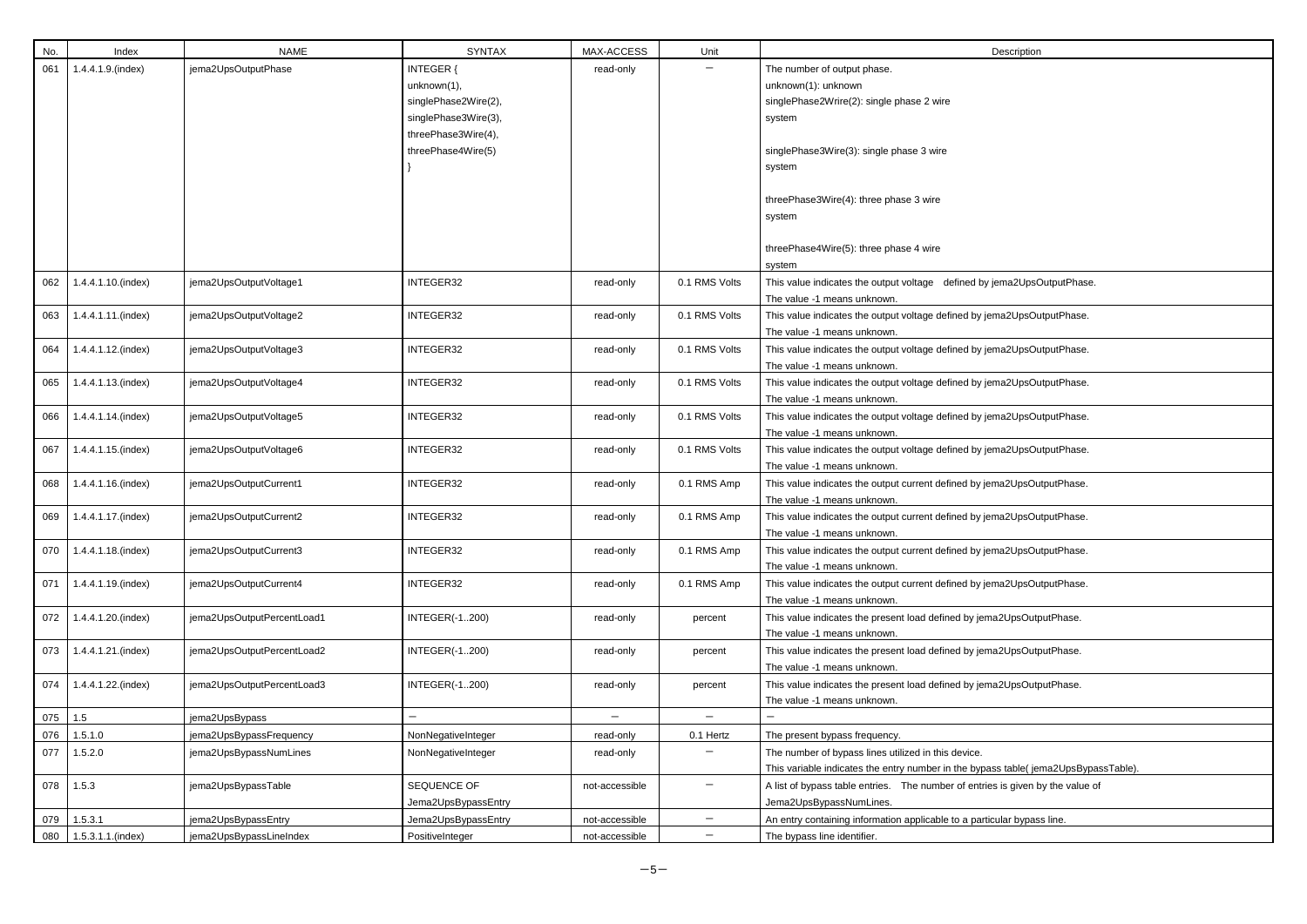| No. | Index              | <b>NAME</b>                | <b>SYNTAX</b>         | MAX-ACCESS     | Unit              | Description                                                                                            |
|-----|--------------------|----------------------------|-----------------------|----------------|-------------------|--------------------------------------------------------------------------------------------------------|
| 061 | 1.4.4.1.9.(index)  | jema2UpsOutputPhase        | INTEGER {             | read-only      |                   | The number of output phase.                                                                            |
|     |                    |                            | unknown(1),           |                |                   | unknown(1): unknown                                                                                    |
|     |                    |                            | singlePhase2Wire(2),  |                |                   | singlePhase2Wrire(2): single phase 2 wire                                                              |
|     |                    |                            | singlePhase3Wire(3),  |                |                   | system                                                                                                 |
|     |                    |                            | threePhase3Wire(4),   |                |                   |                                                                                                        |
|     |                    |                            | threePhase4Wire(5)    |                |                   | singlePhase3Wire(3): single phase 3 wire                                                               |
|     |                    |                            |                       |                |                   | system                                                                                                 |
|     |                    |                            |                       |                |                   |                                                                                                        |
|     |                    |                            |                       |                |                   | threePhase3Wire(4): three phase 3 wire                                                                 |
|     |                    |                            |                       |                |                   | system                                                                                                 |
|     |                    |                            |                       |                |                   |                                                                                                        |
|     |                    |                            |                       |                |                   | threePhase4Wire(5): three phase 4 wire                                                                 |
|     |                    |                            |                       |                |                   | system                                                                                                 |
| 062 | 1.4.4.1.10.(index) | jema2UpsOutputVoltage1     | INTEGER32             | read-only      | 0.1 RMS Volts     | This value indicates the output voltage defined by jema2UpsOutputPhase.                                |
|     |                    |                            |                       |                |                   | The value -1 means unknown.                                                                            |
| 063 | 1.4.4.1.11.(index) | jema2UpsOutputVoltage2     | INTEGER32             | read-only      | 0.1 RMS Volts     | This value indicates the output voltage defined by jema2UpsOutputPhase.                                |
|     |                    |                            |                       |                |                   | The value -1 means unknown.                                                                            |
| 064 | 1.4.4.1.12.(index) | jema2UpsOutputVoltage3     | INTEGER32             | read-only      | 0.1 RMS Volts     | This value indicates the output voltage defined by jema2UpsOutputPhase.                                |
|     |                    |                            |                       |                |                   | The value -1 means unknown.                                                                            |
| 065 |                    |                            | INTEGER32             |                | 0.1 RMS Volts     |                                                                                                        |
|     | 1.4.4.1.13.(index) | jema2UpsOutputVoltage4     |                       | read-only      |                   | This value indicates the output voltage defined by jema2UpsOutputPhase.<br>The value -1 means unknown. |
|     |                    |                            |                       |                |                   |                                                                                                        |
| 066 | 1.4.4.1.14.(index) | jema2UpsOutputVoltage5     | INTEGER32             | read-only      | 0.1 RMS Volts     | This value indicates the output voltage defined by jema2UpsOutputPhase.                                |
|     |                    |                            |                       |                |                   | The value -1 means unknown.                                                                            |
| 067 | 1.4.4.1.15.(index) | jema2UpsOutputVoltage6     | INTEGER32             | read-only      | 0.1 RMS Volts     | This value indicates the output voltage defined by jema2UpsOutputPhase.                                |
|     |                    |                            |                       |                |                   | The value -1 means unknown.                                                                            |
| 068 | 1.4.4.1.16.(index) | jema2UpsOutputCurrent1     | INTEGER32             | read-only      | 0.1 RMS Amp       | This value indicates the output current defined by jema2UpsOutputPhase.                                |
|     |                    |                            |                       |                |                   | The value -1 means unknown.                                                                            |
| 069 | 1.4.4.1.17.(index) | jema2UpsOutputCurrent2     | INTEGER32             | read-only      | 0.1 RMS Amp       | This value indicates the output current defined by jema2UpsOutputPhase.                                |
|     |                    |                            |                       |                |                   | The value -1 means unknown.                                                                            |
| 070 | 1.4.4.1.18.(index) | jema2UpsOutputCurrent3     | INTEGER32             | read-only      | 0.1 RMS Amp       | This value indicates the output current defined by jema2UpsOutputPhase.                                |
|     |                    |                            |                       |                |                   | The value -1 means unknown.                                                                            |
| 071 | 1.4.4.1.19.(index) | jema2UpsOutputCurrent4     | INTEGER32             | read-only      | 0.1 RMS Amp       | This value indicates the output current defined by jema2UpsOutputPhase.                                |
|     |                    |                            |                       |                |                   | The value -1 means unknown.                                                                            |
| 072 | 1.4.4.1.20.(index) | jema2UpsOutputPercentLoad1 | <b>INTEGER(-1200)</b> | read-only      | percent           | This value indicates the present load defined by jema2UpsOutputPhase.                                  |
|     |                    |                            |                       |                |                   | The value -1 means unknown.                                                                            |
| 073 | 1.4.4.1.21.(index) | jema2UpsOutputPercentLoad2 | <b>INTEGER(-1200)</b> | read-only      | percent           | This value indicates the present load defined by jema2UpsOutputPhase.                                  |
|     |                    |                            |                       |                |                   | The value -1 means unknown.                                                                            |
| 074 | 1.4.4.1.22.(index) | jema2UpsOutputPercentLoad3 | <b>INTEGER(-1200)</b> | read-only      | percent           | This value indicates the present load defined by jema2UpsOutputPhase.                                  |
|     |                    |                            |                       |                |                   | The value -1 means unknown.                                                                            |
| 075 | 1.5                | jema2UpsBypass             |                       | $-$            |                   |                                                                                                        |
| 076 | 1.5.1.0            | jema2UpsBypassFrequency    | NonNegativeInteger    | read-only      | 0.1 Hertz         | The present bypass frequency.                                                                          |
| 077 | 1.5.2.0            | jema2UpsBypassNumLines     | NonNegativeInteger    | read-only      |                   | The number of bypass lines utilized in this device.                                                    |
|     |                    |                            |                       |                |                   | This variable indicates the entry number in the bypass table(jema2UpsBypassTable).                     |
| 078 | 1.5.3              | jema2UpsBypassTable        | SEQUENCE OF           | not-accessible |                   | A list of bypass table entries. The number of entries is given by the value of                         |
|     |                    |                            | Jema2UpsBypassEntry   |                |                   | Jema2UpsBypassNumLines.                                                                                |
| 079 | 1.5.3.1            | jema2UpsBypassEntry        | Jema2UpsBypassEntry   | not-accessible |                   | An entry containing information applicable to a particular bypass line.                                |
|     |                    |                            |                       |                | $\qquad \qquad -$ |                                                                                                        |
| 080 | 1.5.3.1.1.(index)  | jema2UpsBypassLineIndex    | PositiveInteger       | not-accessible |                   | The bypass line identifier.                                                                            |

| jema2UpsOutputPhase.                                            |
|-----------------------------------------------------------------|
| ema2UpsOutputPhase.                                             |
| ema2UpsOutputPhase.                                             |
| ema2UpsOutputPhase.                                             |
| ema2UpsOutputPhase.                                             |
| ema2UpsOutputPhase.                                             |
| ema2UpsOutputPhase.                                             |
| ema2UpsOutputPhase.                                             |
| ema2UpsOutputPhase.                                             |
| ema2UpsOutputPhase.                                             |
| na2UpsOutputPhase.                                              |
| na2UpsOutputPhase.                                              |
| na2UpsOutputPhase.                                              |
|                                                                 |
|                                                                 |
| ass table( jema2UpsBypassTable).<br>es is given by the value of |
| icular bypass line.                                             |
|                                                                 |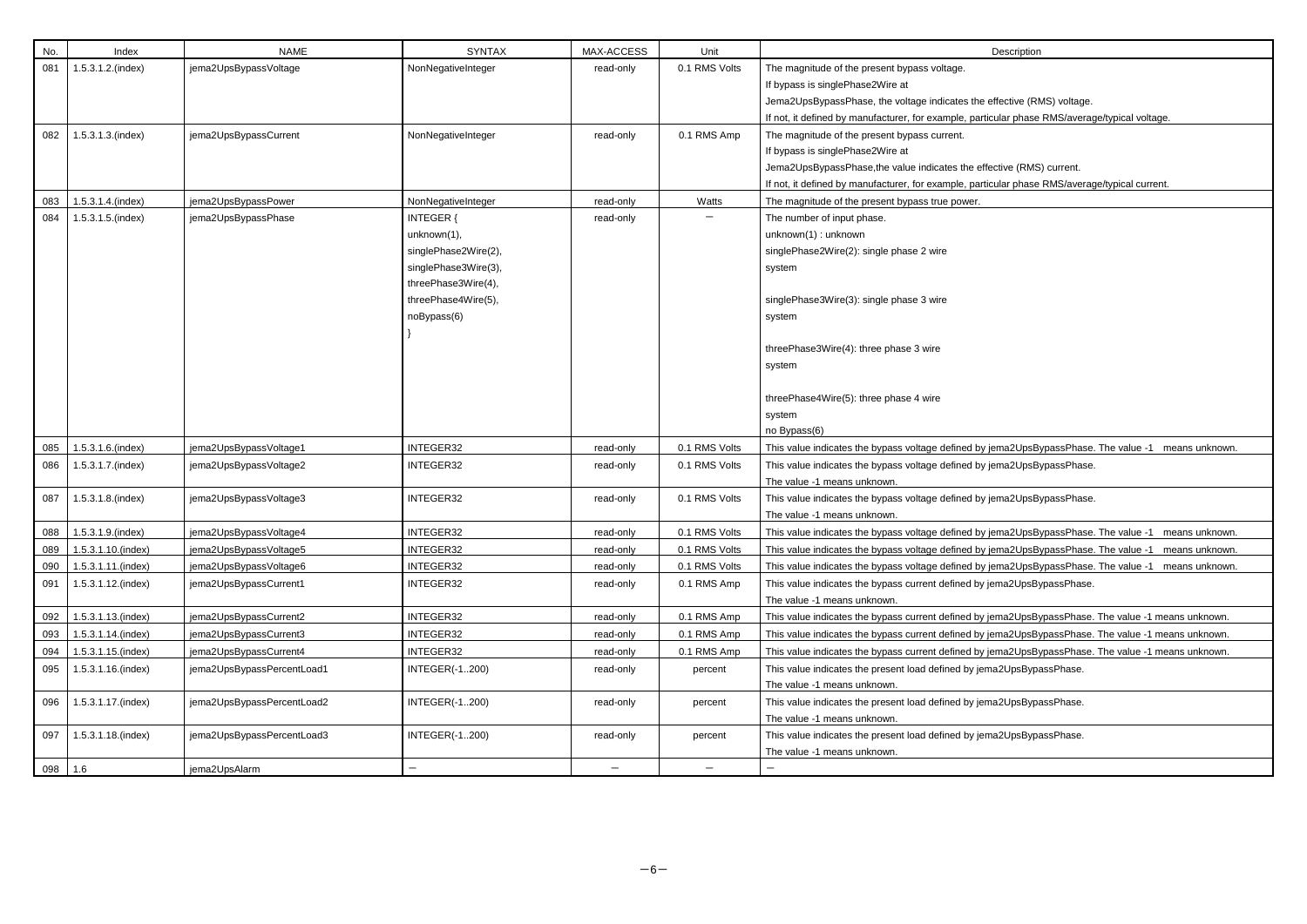| No.     | Index                   | <b>NAME</b>                | <b>SYNTAX</b>            | MAX-ACCESS               | Unit              | Description                                                               |
|---------|-------------------------|----------------------------|--------------------------|--------------------------|-------------------|---------------------------------------------------------------------------|
| 081     | $1.5.3.1.2$ .(index)    | jema2UpsBypassVoltage      | NonNegativeInteger       | read-only                | 0.1 RMS Volts     | The magnitude of the present bypass voltage.                              |
|         |                         |                            |                          |                          |                   | If bypass is singlePhase2Wire at                                          |
|         |                         |                            |                          |                          |                   | Jema2UpsBypassPhase, the voltage indicates the effective (RMS) voltag     |
|         |                         |                            |                          |                          |                   | If not, it defined by manufacturer, for example, particular phase RMS/ave |
| 082     | 1.5.3.1.3.(index)       | jema2UpsBypassCurrent      | NonNegativeInteger       | read-only                | 0.1 RMS Amp       | The magnitude of the present bypass current.                              |
|         |                         |                            |                          |                          |                   | If bypass is singlePhase2Wire at                                          |
|         |                         |                            |                          |                          |                   | Jema2UpsBypassPhase, the value indicates the effective (RMS) current.     |
|         |                         |                            |                          |                          |                   | If not, it defined by manufacturer, for example, particular phase RMS/ave |
| 083     | 1.5.3.1.4.(index)       | jema2UpsBypassPower        | NonNegativeInteger       | read-only                | Watts             | The magnitude of the present bypass true power.                           |
| 084     | 1.5.3.1.5.(index)       | jema2UpsBypassPhase        | <b>INTEGER {</b>         | read-only                |                   | The number of input phase.                                                |
|         |                         |                            | unknown(1),              |                          |                   | unknown(1): unknown                                                       |
|         |                         |                            | singlePhase2Wire(2),     |                          |                   | singlePhase2Wire(2): single phase 2 wire                                  |
|         |                         |                            | singlePhase3Wire(3),     |                          |                   | system                                                                    |
|         |                         |                            | threePhase3Wire(4),      |                          |                   |                                                                           |
|         |                         |                            | threePhase4Wire(5),      |                          |                   | singlePhase3Wire(3): single phase 3 wire                                  |
|         |                         |                            | noBypass(6)              |                          |                   | system                                                                    |
|         |                         |                            |                          |                          |                   |                                                                           |
|         |                         |                            |                          |                          |                   | threePhase3Wire(4): three phase 3 wire                                    |
|         |                         |                            |                          |                          |                   | system                                                                    |
|         |                         |                            |                          |                          |                   |                                                                           |
|         |                         |                            |                          |                          |                   | threePhase4Wire(5): three phase 4 wire                                    |
|         |                         |                            |                          |                          |                   | system                                                                    |
|         |                         |                            |                          |                          |                   | no Bypass(6)                                                              |
| 085     | 1.5.3.1.6.(index)       | jema2UpsBypassVoltage1     | INTEGER32                | read-only                | 0.1 RMS Volts     | This value indicates the bypass voltage defined by jema2UpsBypassPha      |
| 086     | 1.5.3.1.7.(index)       | jema2UpsBypassVoltage2     | INTEGER32                | read-only                | 0.1 RMS Volts     | This value indicates the bypass voltage defined by jema2UpsBypassPha      |
|         |                         |                            |                          |                          |                   | The value -1 means unknown.                                               |
| 087     | 1.5.3.1.8.(index)       | jema2UpsBypassVoltage3     | INTEGER32                | read-only                | 0.1 RMS Volts     | This value indicates the bypass voltage defined by jema2UpsBypassPha      |
|         |                         |                            |                          |                          |                   | The value -1 means unknown.                                               |
|         | 088   1.5.3.1.9.(index) | jema2UpsBypassVoltage4     | INTEGER32                | read-only                | 0.1 RMS Volts     | This value indicates the bypass voltage defined by jema2UpsBypassPha      |
| 089     | 1.5.3.1.10.(index)      | jema2UpsBypassVoltage5     | INTEGER32                | read-only                | 0.1 RMS Volts     | This value indicates the bypass voltage defined by jema2UpsBypassPha      |
| 090     | 1.5.3.1.11.(index)      | jema2UpsBypassVoltage6     | INTEGER32                | read-only                | 0.1 RMS Volts     | This value indicates the bypass voltage defined by jema2UpsBypassPha      |
| 091     | 1.5.3.1.12.(index)      | jema2UpsBypassCurrent1     | INTEGER32                | read-only                | 0.1 RMS Amp       | This value indicates the bypass current defined by jema2UpsBypassPhas     |
|         |                         |                            | INTEGER32                |                          | 0.1 RMS Amp       | The value -1 means unknown.                                               |
| 092     | 1.5.3.1.13.(index)      | jema2UpsBypassCurrent2     |                          | read-only                |                   | This value indicates the bypass current defined by jema2UpsBypassPhas     |
| 093     | 1.5.3.1.14.(index)      | jema2UpsBypassCurrent3     | INTEGER32                | read-only                | 0.1 RMS Amp       | This value indicates the bypass current defined by jema2UpsBypassPhas     |
| 094     | 1.5.3.1.15.(index)      | jema2UpsBypassCurrent4     | INTEGER32                | read-only                | 0.1 RMS Amp       | This value indicates the bypass current defined by jema2UpsBypassPhas     |
| 095     | 1.5.3.1.16.(index)      | jema2UpsBypassPercentLoad1 | <b>INTEGER(-1200)</b>    | read-only                | percent           | This value indicates the present load defined by jema2UpsBypassPhase.     |
|         |                         |                            |                          |                          |                   | The value -1 means unknown.                                               |
| 096     | 1.5.3.1.17.(index)      | jema2UpsBypassPercentLoad2 | <b>INTEGER(-1200)</b>    | read-only                | percent           | This value indicates the present load defined by jema2UpsBypassPhase.     |
|         |                         |                            |                          |                          |                   | The value -1 means unknown.                                               |
| 097     | 1.5.3.1.18.(index)      | jema2UpsBypassPercentLoad3 | <b>INTEGER(-1200)</b>    | read-only                | percent           | This value indicates the present load defined by jema2UpsBypassPhase.     |
|         |                         |                            | $\overline{\phantom{0}}$ |                          |                   | The value -1 means unknown.                                               |
| 098 1.6 |                         | jema2UpsAlarm              |                          | $\overline{\phantom{m}}$ | $\qquad \qquad -$ | —                                                                         |

| Description |
|-------------|
|             |

effective (RMS) voltage. rticular phase RMS/average/typical voltage.

ffective (RMS) current. rticular phase RMS/average/typical current.

y jema2UpsBypassPhase. The value -1 means unknown.

y jema2UpsBypassPhase.

y jema2UpsBypassPhase.

oficma2UpsBypassPhase. The value -1 means unknown. ofithexologies index) yemazes integer<br>y jema2UpsBypassPhase. The value -1 means unknown. y jema2UpsBypassPhase. The value -1 means unknown.

<sub>i</sub>ema2UpsBypassPhase.

burentigal index) jema2UpsBypassPhase. The value -1 means unknown. boods is andex Dex) jema2UpsBypassPhase. The value -1 means unknown. burenty iema2UpsBypassPhase. The value -1 means unknown.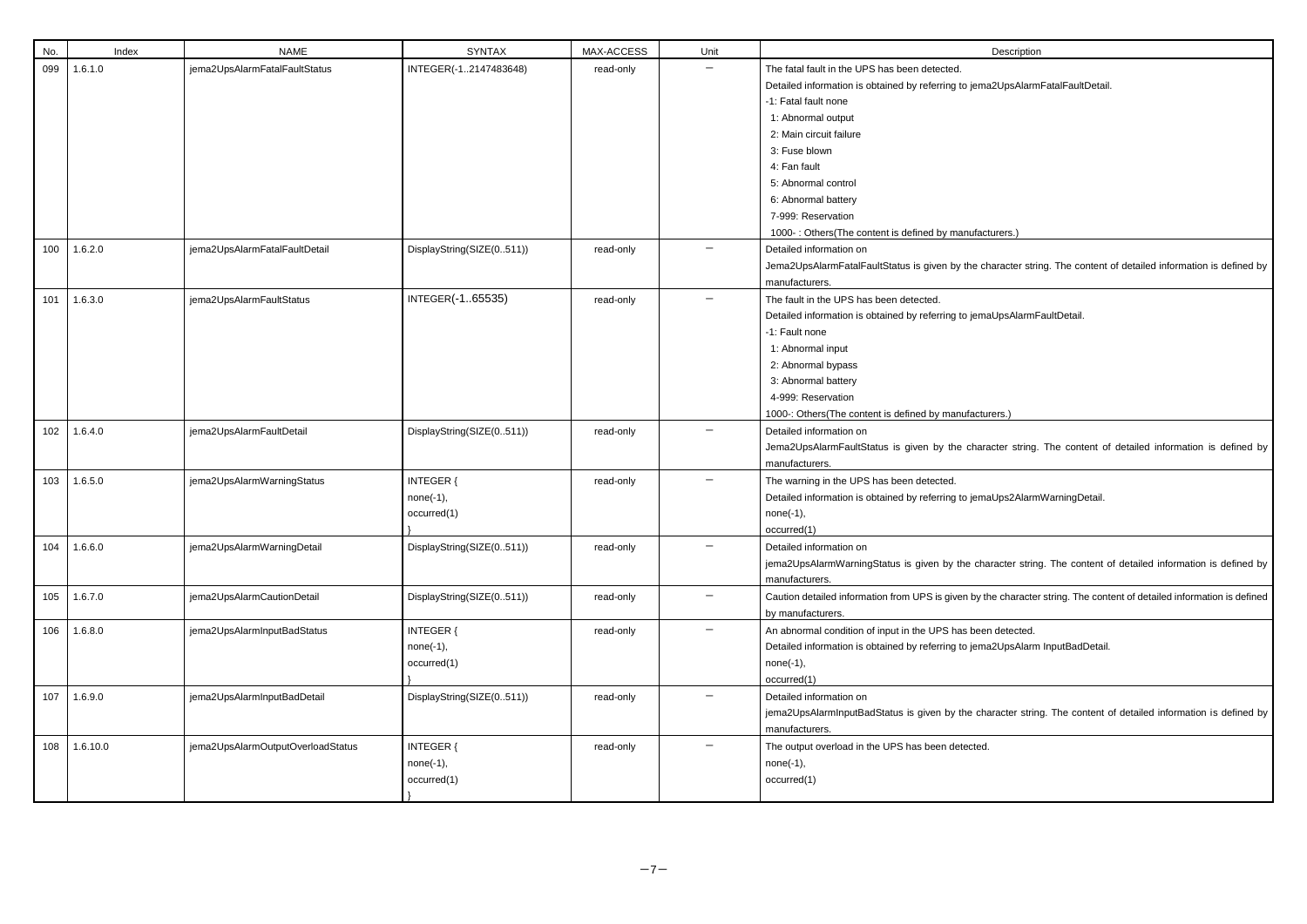| No. | Index    | <b>NAME</b>                       | <b>SYNTAX</b>                                  | MAX-ACCESS | Unit              | Description                                                                                                                                                                                                                                                                                                                                              |
|-----|----------|-----------------------------------|------------------------------------------------|------------|-------------------|----------------------------------------------------------------------------------------------------------------------------------------------------------------------------------------------------------------------------------------------------------------------------------------------------------------------------------------------------------|
| 099 | 1.6.1.0  | jema2UpsAlarmFatalFaultStatus     | INTEGER(-12147483648)                          | read-only  |                   | The fatal fault in the UPS has been detected.<br>Detailed information is obtained by referring to jema2UpsAlarm<br>-1: Fatal fault none<br>1: Abnormal output<br>2: Main circuit failure<br>3: Fuse blown<br>4: Fan fault<br>5: Abnormal control<br>6: Abnormal battery<br>7-999: Reservation<br>1000-: Others(The content is defined by manufacturers.) |
| 100 | 1.6.2.0  | jema2UpsAlarmFatalFaultDetail     | DisplayString(SIZE(0511))                      | read-only  |                   | Detailed information on<br>Jema2UpsAlarmFatalFaultStatus is given by the character strir<br>manufacturers.                                                                                                                                                                                                                                               |
| 101 | 1.6.3.0  | jema2UpsAlarmFaultStatus          | INTEGER(-165535)                               | read-only  | $\qquad \qquad -$ | The fault in the UPS has been detected.<br>Detailed information is obtained by referring to jemaUpsAlarmF<br>-1: Fault none<br>1: Abnormal input<br>2: Abnormal bypass<br>3: Abnormal battery<br>4-999: Reservation<br>1000-: Others(The content is defined by manufacturers.)                                                                           |
| 102 | 1.6.4.0  | jema2UpsAlarmFaultDetail          | DisplayString(SIZE(0511))                      | read-only  |                   | Detailed information on<br>Jema2UpsAlarmFaultStatus is given by the character string.<br>manufacturers.                                                                                                                                                                                                                                                  |
| 103 | 1.6.5.0  | jema2UpsAlarmWarningStatus        | <b>INTEGER {</b><br>$none(-1),$<br>occurred(1) | read-only  | $\qquad \qquad -$ | The warning in the UPS has been detected.<br>Detailed information is obtained by referring to jemaUps2Alarm<br>$none(-1),$<br>occurred(1)                                                                                                                                                                                                                |
| 104 | 1.6.6.0  | jema2UpsAlarmWarningDetail        | DisplayString(SIZE(0511))                      | read-only  |                   | Detailed information on<br>jema2UpsAlarmWarningStatus is given by the character string<br>manufacturers.                                                                                                                                                                                                                                                 |
| 105 | 1.6.7.0  | jema2UpsAlarmCautionDetail        | DisplayString(SIZE(0511))                      | read-only  | $\qquad \qquad -$ | Caution detailed information from UPS is given by the character<br>by manufacturers.                                                                                                                                                                                                                                                                     |
| 106 | 1.6.8.0  | jema2UpsAlarmInputBadStatus       | INTEGER {<br>$none(-1),$<br>occurred(1)        | read-only  | —                 | An abnormal condition of input in the UPS has been detected.<br>Detailed information is obtained by referring to jema2UpsAlarm<br>$none(-1),$<br>occurred(1)                                                                                                                                                                                             |
| 107 | 1.6.9.0  | jema2UpsAlarmInputBadDetail       | DisplayString(SIZE(0511))                      | read-only  | $\qquad \qquad -$ | Detailed information on<br>jema2UpsAlarmInputBadStatus is given by the character strin<br>manufacturers.                                                                                                                                                                                                                                                 |
| 108 | 1.6.10.0 | jema2UpsAlarmOutputOverloadStatus | <b>INTEGER {</b><br>$none(-1),$<br>occurred(1) | read-only  |                   | The output overload in the UPS has been detected.<br>$none(-1),$<br>occurred(1)                                                                                                                                                                                                                                                                          |

na2UpsAlarmFatalFaultDetail.

character string. The content of detailed information is defined by

naUpsAlarmFaultDetail.

racter string. The content of detailed information is defined by

naUps2AlarmWarningDetail.

haracter string. The content of detailed information is defined by

the character string. The content of detailed information is defined

na2UpsAlarm InputBadDetail.

haracter string. The content of detailed information is defined by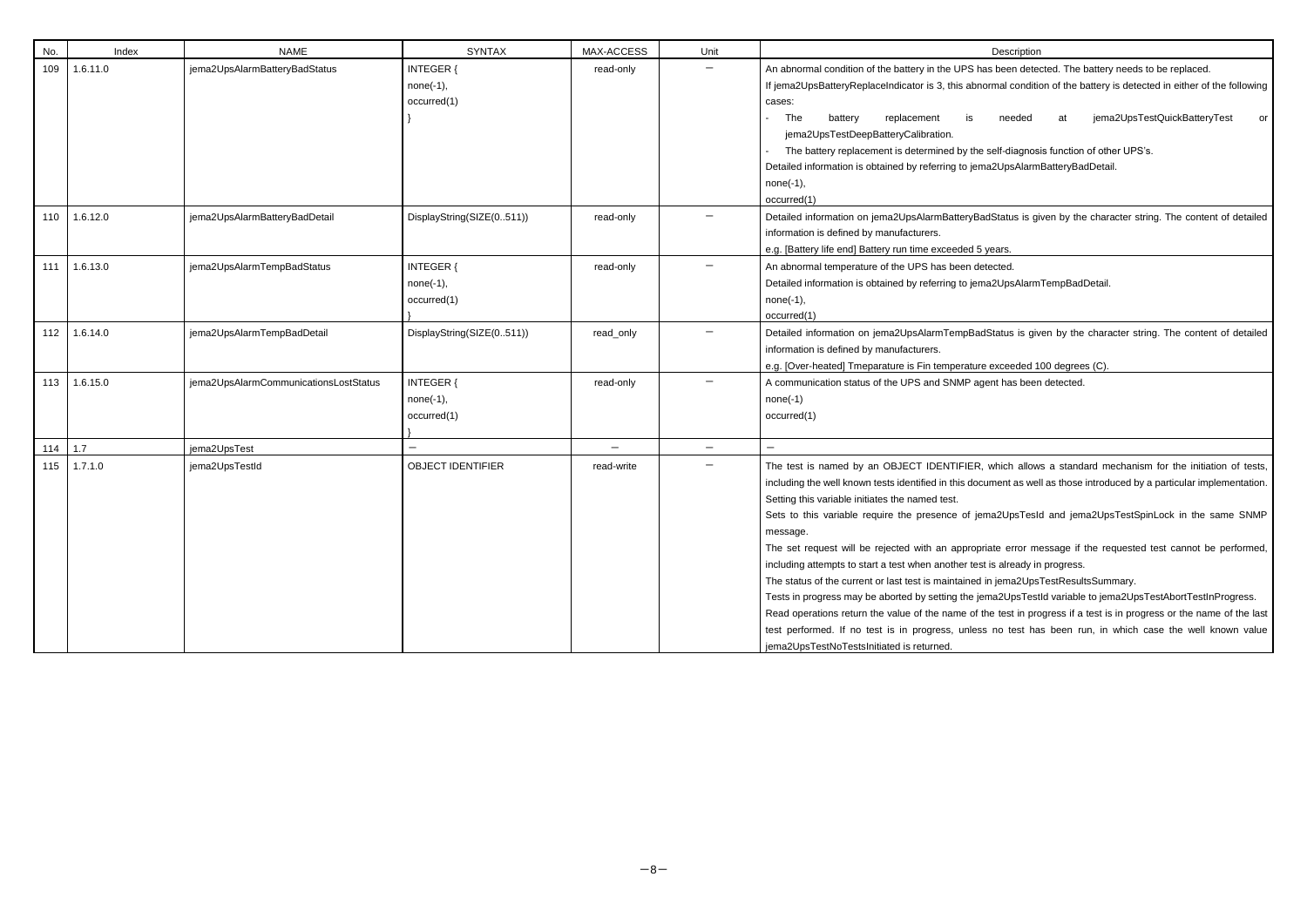| Description<br>An abnormal condition of the battery in the UPS has been detected. The battery needs to be replaced.<br>If jema2UpsBatteryReplaceIndicator is 3, this abnormal condition of the battery is detected in either of the following<br>cases:<br>jema2UpsTestQuickBatteryTest<br>The<br>replacement<br>needed<br>battery<br>at<br>is.<br>-<br>jema2UpsTestDeepBatteryCalibration.<br>The battery replacement is determined by the self-diagnosis function of other UPS's.<br>$\overline{\phantom{0}}$<br>Detailed information is obtained by referring to jema2UpsAlarmBatteryBadDetail.<br>none(-1), |             |  |  |  |  |  |  |    |  |  |
|-----------------------------------------------------------------------------------------------------------------------------------------------------------------------------------------------------------------------------------------------------------------------------------------------------------------------------------------------------------------------------------------------------------------------------------------------------------------------------------------------------------------------------------------------------------------------------------------------------------------|-------------|--|--|--|--|--|--|----|--|--|
|                                                                                                                                                                                                                                                                                                                                                                                                                                                                                                                                                                                                                 |             |  |  |  |  |  |  |    |  |  |
|                                                                                                                                                                                                                                                                                                                                                                                                                                                                                                                                                                                                                 |             |  |  |  |  |  |  |    |  |  |
|                                                                                                                                                                                                                                                                                                                                                                                                                                                                                                                                                                                                                 |             |  |  |  |  |  |  |    |  |  |
|                                                                                                                                                                                                                                                                                                                                                                                                                                                                                                                                                                                                                 |             |  |  |  |  |  |  |    |  |  |
|                                                                                                                                                                                                                                                                                                                                                                                                                                                                                                                                                                                                                 |             |  |  |  |  |  |  | or |  |  |
|                                                                                                                                                                                                                                                                                                                                                                                                                                                                                                                                                                                                                 |             |  |  |  |  |  |  |    |  |  |
|                                                                                                                                                                                                                                                                                                                                                                                                                                                                                                                                                                                                                 |             |  |  |  |  |  |  |    |  |  |
|                                                                                                                                                                                                                                                                                                                                                                                                                                                                                                                                                                                                                 |             |  |  |  |  |  |  |    |  |  |
|                                                                                                                                                                                                                                                                                                                                                                                                                                                                                                                                                                                                                 |             |  |  |  |  |  |  |    |  |  |
|                                                                                                                                                                                                                                                                                                                                                                                                                                                                                                                                                                                                                 | occurred(1) |  |  |  |  |  |  |    |  |  |
| Detailed information on jema2UpsAlarmBatteryBadStatus is given by the character string. The content of detailed                                                                                                                                                                                                                                                                                                                                                                                                                                                                                                 |             |  |  |  |  |  |  |    |  |  |

- years.
- 

| No.   | Index    | <b>NAME</b>                           | <b>SYNTAX</b>                                  | MAX-ACCESS | Unit              | Description                                                                                                                                                                                                                                                                                                                                                                                                                                                                                                                                                                                                                                                                                                                                                                                                                                                                                                                                 |
|-------|----------|---------------------------------------|------------------------------------------------|------------|-------------------|---------------------------------------------------------------------------------------------------------------------------------------------------------------------------------------------------------------------------------------------------------------------------------------------------------------------------------------------------------------------------------------------------------------------------------------------------------------------------------------------------------------------------------------------------------------------------------------------------------------------------------------------------------------------------------------------------------------------------------------------------------------------------------------------------------------------------------------------------------------------------------------------------------------------------------------------|
| 109   | 1.6.11.0 | jema2UpsAlarmBatteryBadStatus         | <b>INTEGER {</b><br>$none(-1),$<br>occurred(1) | read-only  |                   | An abnormal condition of the battery in the UPS has been detected. The battery needs to be replaced.<br>If jema2UpsBatteryReplaceIndicator is 3, this abnormal condition of the battery is detected in either of the following<br>cases:<br>The<br>jema2UpsTestQuickBatteryTest<br>battery<br>replacement<br>is<br>needed<br>or<br>at<br>jema2UpsTestDeepBatteryCalibration.<br>The battery replacement is determined by the self-diagnosis function of other UPS's.<br>Detailed information is obtained by referring to jema2UpsAlarmBatteryBadDetail.<br>$none(-1),$<br>occurred(1)                                                                                                                                                                                                                                                                                                                                                       |
| $110$ | 1.6.12.0 | jema2UpsAlarmBatteryBadDetail         | DisplayString(SIZE(0511))                      | read-only  |                   | Detailed information on jema2UpsAlarmBatteryBadStatus is given by the character string. The content of detailed<br>information is defined by manufacturers.<br>e.g. [Battery life end] Battery run time exceeded 5 years.                                                                                                                                                                                                                                                                                                                                                                                                                                                                                                                                                                                                                                                                                                                   |
| 111   | 1.6.13.0 | jema2UpsAlarmTempBadStatus            | <b>INTEGER {</b><br>$none(-1),$<br>occurred(1) | read-only  | $\qquad \qquad -$ | An abnormal temperature of the UPS has been detected.<br>Detailed information is obtained by referring to jema2UpsAlarmTempBadDetail.<br>$none(-1),$<br>occurred(1)                                                                                                                                                                                                                                                                                                                                                                                                                                                                                                                                                                                                                                                                                                                                                                         |
| 112   | 1.6.14.0 | jema2UpsAlarmTempBadDetail            | DisplayString(SIZE(0511))                      | read_only  |                   | Detailed information on jema2UpsAlarmTempBadStatus is given by the character string. The content of detailed<br>information is defined by manufacturers.<br>e.g. [Over-heated] Tmeparature is Fin temperature exceeded 100 degrees (C).                                                                                                                                                                                                                                                                                                                                                                                                                                                                                                                                                                                                                                                                                                     |
| 113   | 1.6.15.0 | jema2UpsAlarmCommunicationsLostStatus | <b>INTEGER {</b><br>$none(-1),$<br>occurred(1) | read-only  |                   | A communication status of the UPS and SNMP agent has been detected.<br>$none(-1)$<br>occurred(1)                                                                                                                                                                                                                                                                                                                                                                                                                                                                                                                                                                                                                                                                                                                                                                                                                                            |
| 114   | 1.7      | jema2UpsTest                          |                                                |            | $\qquad \qquad -$ |                                                                                                                                                                                                                                                                                                                                                                                                                                                                                                                                                                                                                                                                                                                                                                                                                                                                                                                                             |
| 115   | 1.7.1.0  | jema2UpsTestId                        | <b>OBJECT IDENTIFIER</b>                       | read-write |                   | The test is named by an OBJECT IDENTIFIER, which allows a standard mechanism for the initiation of tests,<br>including the well known tests identified in this document as well as those introduced by a particular implementation.<br>Setting this variable initiates the named test.<br>Sets to this variable require the presence of jema2UpsTesId and jema2UpsTestSpinLock in the same SNMP<br>message.<br>The set request will be rejected with an appropriate error message if the requested test cannot be performed,<br>including attempts to start a test when another test is already in progress.<br>The status of the current or last test is maintained in jema2UpsTestResultsSummary.<br>Tests in progress may be aborted by setting the jema2UpsTestId variable to jema2UpsTestAbortTestInProgress.<br>Read operations return the value of the name of the test in progress if a test is in progress or the name of the last |
|       |          |                                       |                                                |            |                   | test performed. If no test is in progress, unless no test has been run, in which case the well known value<br>jema2UpsTestNoTestsInitiated is returned.                                                                                                                                                                                                                                                                                                                                                                                                                                                                                                                                                                                                                                                                                                                                                                                     |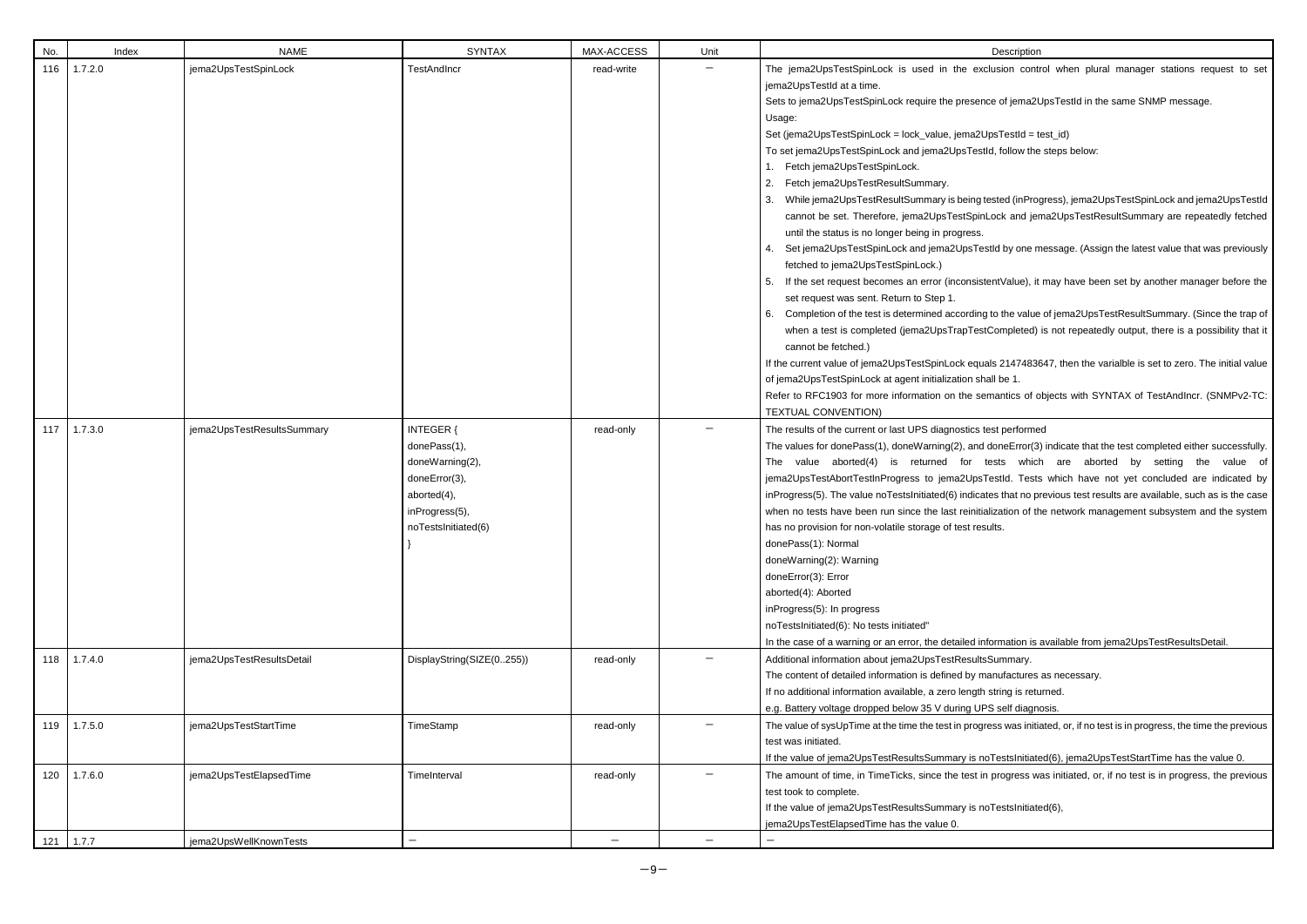| No. | Index   | <b>NAME</b>                | <b>SYNTAX</b>                                                                                                                | MAX-ACCESS        | Unit              | Description                                                                                                                                                                                                                                                                                                                                                                                                                                                                                                                                                                                                                                                                                                                                                                                                                                                                                                                                                                                                                                                                                                                                |
|-----|---------|----------------------------|------------------------------------------------------------------------------------------------------------------------------|-------------------|-------------------|--------------------------------------------------------------------------------------------------------------------------------------------------------------------------------------------------------------------------------------------------------------------------------------------------------------------------------------------------------------------------------------------------------------------------------------------------------------------------------------------------------------------------------------------------------------------------------------------------------------------------------------------------------------------------------------------------------------------------------------------------------------------------------------------------------------------------------------------------------------------------------------------------------------------------------------------------------------------------------------------------------------------------------------------------------------------------------------------------------------------------------------------|
| 116 | 1.7.2.0 | jema2UpsTestSpinLock       | <b>TestAndIncr</b>                                                                                                           | read-write        |                   | The jema2UpsTestSpinLock is used in the exclusion conti<br>jema2UpsTestId at a time.<br>Sets to jema2UpsTestSpinLock require the presence of jema2l<br>Usage:<br>Set (jema2UpsTestSpinLock = lock_value, jema2UpsTestId = t<br>To set jema2UpsTestSpinLock and jema2UpsTestId, follow the<br>1. Fetch jema2UpsTestSpinLock.<br>Fetch jema2UpsTestResultSummary.<br>2.<br>While jema2UpsTestResultSummary is being tested (inPro<br>cannot be set. Therefore, jema2UpsTestSpinLock and jer<br>until the status is no longer being in progress.<br>Set jema2UpsTestSpinLock and jema2UpsTestId by one m<br>fetched to jema2UpsTestSpinLock.)<br>If the set request becomes an error (inconsistentValue), it<br>5.<br>set request was sent. Return to Step 1.<br>Completion of the test is determined according to the value<br>6.<br>when a test is completed (jema2UpsTrapTestCompleted)<br>cannot be fetched.)<br>If the current value of jema2UpsTestSpinLock equals 21474836<br>of jema2UpsTestSpinLock at agent initialization shall be 1.<br>Refer to RFC1903 for more information on the semantics of c<br><b>TEXTUAL CONVENTION)</b> |
| 117 | 1.7.3.0 | jema2UpsTestResultsSummary | <b>INTEGER {</b><br>donePass(1),<br>doneWarning(2),<br>doneError(3),<br>aborted(4),<br>inProgress(5),<br>noTestsInitiated(6) | read-only         |                   | The results of the current or last UPS diagnostics test performe<br>The values for donePass(1), doneWarning(2), and doneError(3<br>The value aborted(4) is returned for tests whicl<br>jema2UpsTestAbortTestInProgress to jema2UpsTestId. Tests<br>inProgress(5). The value noTestsInitiated(6) indicates that no p<br>when no tests have been run since the last reinitialization of th<br>has no provision for non-volatile storage of test results.<br>donePass(1): Normal<br>doneWarning(2): Warning<br>doneError(3): Error<br>aborted(4): Aborted<br>inProgress(5): In progress<br>noTestsInitiated(6): No tests initiated"<br>In the case of a warning or an error, the detailed information is                                                                                                                                                                                                                                                                                                                                                                                                                                      |
| 118 | 1.7.4.0 | jema2UpsTestResultsDetail  | DisplayString(SIZE(0255))                                                                                                    | read-only         |                   | Additional information about jema2UpsTestResultsSummary.<br>The content of detailed information is defined by manufactures<br>If no additional information available, a zero length string is retu<br>e.g. Battery voltage dropped below 35 V during UPS self diagn                                                                                                                                                                                                                                                                                                                                                                                                                                                                                                                                                                                                                                                                                                                                                                                                                                                                        |
| 119 | 1.7.5.0 | jema2UpsTestStartTime      | TimeStamp                                                                                                                    | read-only         |                   | The value of sysUpTime at the time the test in progress was initia<br>test was initiated.<br>If the value of jema2UpsTestResultsSummary is noTestsInitiate                                                                                                                                                                                                                                                                                                                                                                                                                                                                                                                                                                                                                                                                                                                                                                                                                                                                                                                                                                                 |
| 120 | 1.7.6.0 | jema2UpsTestElapsedTime    | TimeInterval                                                                                                                 | read-only         |                   | The amount of time, in TimeTicks, since the test in progress w<br>test took to complete.<br>If the value of jema2UpsTestResultsSummary is noTestsInitiate<br>jema2UpsTestElapsedTime has the value 0.                                                                                                                                                                                                                                                                                                                                                                                                                                                                                                                                                                                                                                                                                                                                                                                                                                                                                                                                      |
| 121 | 1.7.7   | jema2UpsWellKnownTests     | $\qquad \qquad -$                                                                                                            | $\qquad \qquad -$ | $\qquad \qquad -$ |                                                                                                                                                                                                                                                                                                                                                                                                                                                                                                                                                                                                                                                                                                                                                                                                                                                                                                                                                                                                                                                                                                                                            |

clusion control when plural manager stations request to set

ice of jema2UpsTestId in the same SNMP message.

JpsTestId = test\_id) tld, follow the steps below:

ested (inProgress), jema2UpsTestSpinLock and jema2UpsTestId Lock and jema2UpsTestResultSummary are repeatedly fetched

stId by one message. (Assign the latest value that was previously

tentValue), it may have been set by another manager before the

fo the value of jema2UpsTestResultSummary. (Since the trap of tCompleted) is not repeatedly output, there is a possibility that it

als 2147483647, then the varialble is set to zero. The initial value nall be 1.

mantics of objects with SYNTAX of TestAndIncr. (SNMPv2-TC:

## rest performed

doneError(3) indicate that the test completed either successfully. tests which are aborted by setting the value of TestId. Tests which have not yet concluded are indicated by tes that no previous test results are available, such as is the case alization of the network management subsystem and the system

formation is available from jema2UpsTestResultsDetail.

anufactures as necessary.

string is returned.

<sup>2</sup>S self diagnosis.

ress was initiated, or, if no test is in progress, the time the previous

If the value of the value of semazupsTestStartTime has the value 0.

progress was initiated, or, if no test is in progress, the previous

**I**oTestsInitiated(6),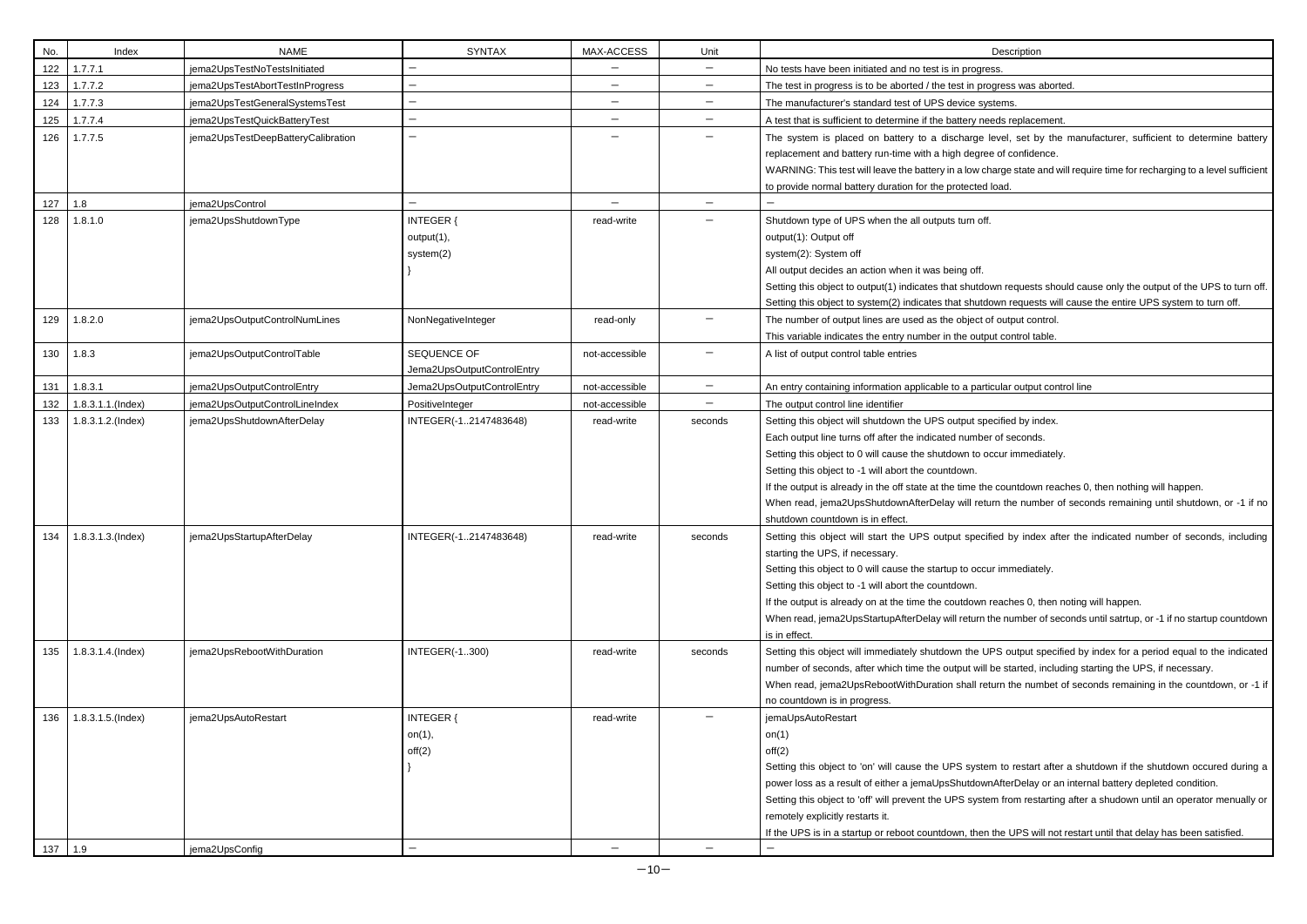| No.     | Index                 | <b>NAME</b>                        | <b>SYNTAX</b>              | MAX-ACCESS               | Unit                     | Description                                                                    |
|---------|-----------------------|------------------------------------|----------------------------|--------------------------|--------------------------|--------------------------------------------------------------------------------|
| 122     | 1.7.7.1               | jema2UpsTestNoTestsInitiated       | —                          | $\qquad \qquad -$        | $-$                      | No tests have been initiated and no test is in progress.                       |
| 123     | 1.7.7.2               | jema2UpsTestAbortTestInProgress    |                            | $\qquad \qquad -$        | —                        | The test in progress is to be aborted / the test in progress was aborted.      |
| 124     | 1.7.7.3               | jema2UpsTestGeneralSystemsTest     | —                          | $\qquad \qquad -$        | —                        | The manufacturer's standard test of UPS device systems.                        |
| 125     | 1.7.7.4               | jema2UpsTestQuickBatteryTest       | $\qquad \qquad -$          | $\qquad \qquad -$        | —                        | A test that is sufficient to determine if the battery needs replacement.       |
| 126     | 1.7.7.5               | jema2UpsTestDeepBatteryCalibration | -                          |                          | -                        | The system is placed on battery to a discharge level, set by the manu          |
|         |                       |                                    |                            |                          |                          | replacement and battery run-time with a high degree of confidence.             |
|         |                       |                                    |                            |                          |                          | WARNING: This test will leave the battery in a low charge state and will requ  |
|         |                       |                                    |                            |                          |                          | to provide normal battery duration for the protected load.                     |
| 127     | 1.8                   | jema2UpsControl                    |                            | $\overline{\phantom{0}}$ | $\qquad \qquad -$        |                                                                                |
| 128     | 1.8.1.0               | jema2UpsShutdownType               | <b>INTEGER {</b>           | read-write               | —                        | Shutdown type of UPS when the all outputs turn off.                            |
|         |                       |                                    | output(1),                 |                          |                          | output(1): Output off                                                          |
|         |                       |                                    | system(2)                  |                          |                          | system(2): System off                                                          |
|         |                       |                                    |                            |                          |                          | All output decides an action when it was being off.                            |
|         |                       |                                    |                            |                          |                          | Setting this object to output(1) indicates that shutdown requests should cau   |
|         |                       |                                    |                            |                          |                          | Setting this object to system(2) indicates that shutdown requests will cause   |
| 129     | 1.8.2.0               | jema2UpsOutputControlNumLines      | NonNegativeInteger         | read-only                |                          | The number of output lines are used as the object of output control.           |
|         |                       |                                    |                            |                          |                          | This variable indicates the entry number in the output control table.          |
| 130     | 1.8.3                 | jema2UpsOutputControlTable         | SEQUENCE OF                | not-accessible           |                          | A list of output control table entries                                         |
|         |                       |                                    | Jema2UpsOutputControlEntry |                          |                          |                                                                                |
| 131     | 1.8.3.1               | jema2UpsOutputControlEntry         | Jema2UpsOutputControlEntry | not-accessible           | $\qquad \qquad -$        | An entry containing information applicable to a particular output control line |
| 132     | 1.8.3.1.1.(Index)     | jema2UpsOutputControlLineIndex     | PositiveInteger            | not-accessible           | $\overline{\phantom{0}}$ | The output control line identifier                                             |
| 133     | 1.8.3.1.2.(Index)     | jema2UpsShutdownAfterDelay         | INTEGER(-12147483648)      | read-write               | seconds                  | Setting this object will shutdown the UPS output specified by index.           |
|         |                       |                                    |                            |                          |                          | Each output line turns off after the indicated number of seconds.              |
|         |                       |                                    |                            |                          |                          | Setting this object to 0 will cause the shutdown to occur immediately.         |
|         |                       |                                    |                            |                          |                          | Setting this object to -1 will abort the countdown.                            |
|         |                       |                                    |                            |                          |                          | If the output is already in the off state at the time the countdown reaches 0, |
|         |                       |                                    |                            |                          |                          | When read, jema2UpsShutdownAfterDelay will return the number of secol          |
|         |                       |                                    |                            |                          |                          | shutdown countdown is in effect.                                               |
| 134     | $1.8.3.1.3$ . (Index) | jema2UpsStartupAfterDelay          | INTEGER(-12147483648)      | read-write               | seconds                  | Setting this object will start the UPS output specified by index after the     |
|         |                       |                                    |                            |                          |                          | starting the UPS, if necessary.                                                |
|         |                       |                                    |                            |                          |                          | Setting this object to 0 will cause the startup to occur immediately.          |
|         |                       |                                    |                            |                          |                          | Setting this object to -1 will abort the countdown.                            |
|         |                       |                                    |                            |                          |                          | If the output is already on at the time the coutdown reaches 0, then noting    |
|         |                       |                                    |                            |                          |                          | When read, jema2UpsStartupAfterDelay will return the number of seconds of      |
|         |                       |                                    |                            |                          |                          | is in effect.                                                                  |
| 135     | 1.8.3.1.4.(Index)     | jema2UpsRebootWithDuration         | <b>INTEGER(-1300)</b>      | read-write               | seconds                  | Setting this object will immediately shutdown the UPS output specified by      |
|         |                       |                                    |                            |                          |                          | number of seconds, after which time the output will be started, including sta  |
|         |                       |                                    |                            |                          |                          | When read, jema2UpsRebootWithDuration shall return the numbet of seco          |
|         |                       |                                    |                            |                          |                          | no countdown is in progress.                                                   |
| 136     | 1.8.3.1.5.(Index)     | jema2UpsAutoRestart                | <b>INTEGER {</b>           | read-write               |                          | jemaUpsAutoRestart                                                             |
|         |                       |                                    | on(1),                     |                          |                          | on $(1)$                                                                       |
|         |                       |                                    | off(2)                     |                          |                          | off(2)                                                                         |
|         |                       |                                    |                            |                          |                          | Setting this object to 'on' will cause the UPS system to restart after a shu   |
|         |                       |                                    |                            |                          |                          | power loss as a result of either a jemaUpsShutdownAfterDelay or an intern      |
|         |                       |                                    |                            |                          |                          | Setting this object to 'off' will prevent the UPS system from restarting after |
|         |                       |                                    |                            |                          |                          | remotely explicitly restarts it.                                               |
|         |                       |                                    |                            |                          |                          | If the UPS is in a startup or reboot countdown, then the UPS will not restar   |
| 137 1.9 |                       | jema2UpsConfig                     | $\qquad \qquad -$          |                          |                          | $\overline{\phantom{m}}$                                                       |

| Description |  |
|-------------|--|
|             |  |

level, set by the manufacturer, sufficient to determine battery ree of confidence.

charge state and will require time for recharging to a level sufficient d load.

fown requests should cause only the output of the UPS to turn off. down requests will cause the entire UPS system to turn off.

he countdown reaches 0, then nothing will happen. turn the number of seconds remaining until shutdown, or -1 if no

cified by index after the indicated number of seconds, including

n reaches 0, then noting will happen. If the number of seconds until satrtup, or -1 if no startup countdown

UPS output specified by index for a period equal to the indicated ill be started, including starting the UPS, if necessary. eturn the numbet of seconds remaining in the countdown, or -1 if

tem to restart after a shutdown if the shutdown occured during a wnAfterDelay or an internal battery depleted condition.

tem from restarting after a shudown until an operator menually or

In the UPS will not restart until that delay has been satisfied.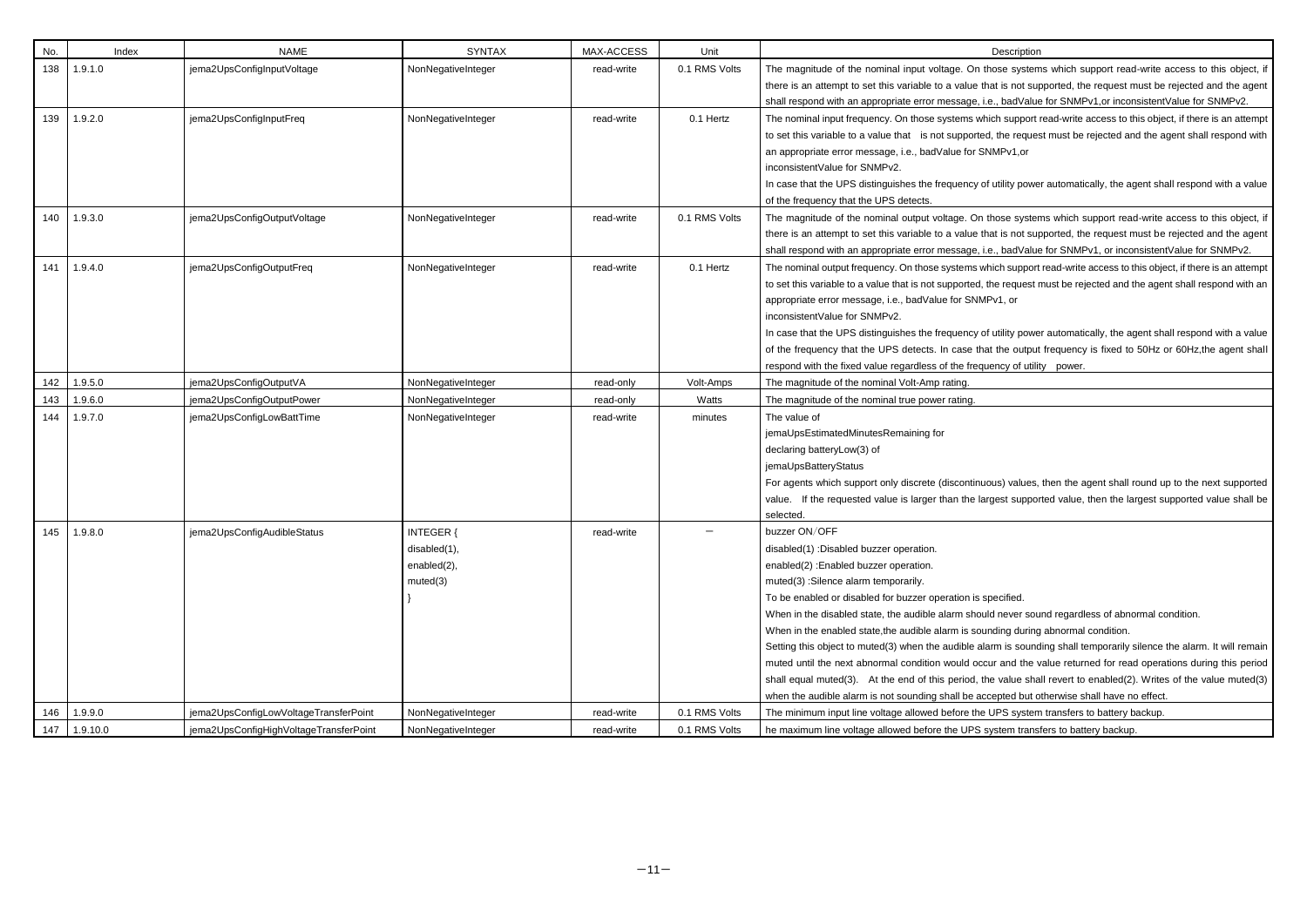| No. | Index           | <b>NAME</b>                            | <b>SYNTAX</b>                                        | MAX-ACCESS | Unit          | Description                                                                                                                                                                                                                                                                                                                                                                                                                                                                                                                                                                                                              |
|-----|-----------------|----------------------------------------|------------------------------------------------------|------------|---------------|--------------------------------------------------------------------------------------------------------------------------------------------------------------------------------------------------------------------------------------------------------------------------------------------------------------------------------------------------------------------------------------------------------------------------------------------------------------------------------------------------------------------------------------------------------------------------------------------------------------------------|
| 138 | 1.9.1.0         | jema2UpsConfigInputVoltage             | NonNegativeInteger                                   | read-write | 0.1 RMS Volts | The magnitude of the nominal input voltage. On those system                                                                                                                                                                                                                                                                                                                                                                                                                                                                                                                                                              |
|     |                 |                                        |                                                      |            |               | there is an attempt to set this variable to a value that is not sup                                                                                                                                                                                                                                                                                                                                                                                                                                                                                                                                                      |
|     |                 |                                        |                                                      |            |               | shall respond with an appropriate error message, i.e., badValue                                                                                                                                                                                                                                                                                                                                                                                                                                                                                                                                                          |
| 139 | 1.9.2.0         | jema2UpsConfigInputFreq                | NonNegativeInteger                                   | read-write | 0.1 Hertz     | The nominal input frequency. On those systems which support<br>to set this variable to a value that is not supported, the reques<br>an appropriate error message, i.e., badValue for SNMPv1,or<br>inconsistentValue for SNMPv2.<br>In case that the UPS distinguishes the frequency of utility powe<br>of the frequency that the UPS detects.                                                                                                                                                                                                                                                                            |
| 140 | 1.9.3.0         | jema2UpsConfigOutputVoltage            | NonNegativeInteger                                   | read-write | 0.1 RMS Volts | The magnitude of the nominal output voltage. On those syster<br>there is an attempt to set this variable to a value that is not sup<br>shall respond with an appropriate error message, i.e., badValue                                                                                                                                                                                                                                                                                                                                                                                                                   |
| 141 | 1.9.4.0         | jema2UpsConfigOutputFreq               | NonNegativeInteger                                   | read-write | 0.1 Hertz     | The nominal output frequency. On those systems which support<br>to set this variable to a value that is not supported, the request r<br>appropriate error message, i.e., badValue for SNMPv1, or<br>inconsistent Value for SNMPv2.<br>In case that the UPS distinguishes the frequency of utility powe<br>of the frequency that the UPS detects. In case that the output<br>respond with the fixed value regardless of the frequency of utilit                                                                                                                                                                           |
| 142 | 1.9.5.0         | jema2UpsConfigOutputVA                 | NonNegativeInteger                                   | read-only  | Volt-Amps     | The magnitude of the nominal Volt-Amp rating.                                                                                                                                                                                                                                                                                                                                                                                                                                                                                                                                                                            |
| 143 | 1.9.6.0         | jema2UpsConfigOutputPower              | NonNegativeInteger                                   | read-only  | Watts         | The magnitude of the nominal true power rating.                                                                                                                                                                                                                                                                                                                                                                                                                                                                                                                                                                          |
| 144 | 1.9.7.0         | jema2UpsConfigLowBattTime              | NonNegativeInteger                                   | read-write | minutes       | The value of<br>jemaUpsEstimatedMinutesRemaining for<br>declaring batteryLow(3) of<br>jemaUpsBatteryStatus<br>For agents which support only discrete (discontinuous) values,<br>value. If the requested value is larger than the largest suppor<br>selected.                                                                                                                                                                                                                                                                                                                                                             |
|     | $145$   1.9.8.0 | jema2UpsConfigAudibleStatus            | INTEGER {<br>disabled(1),<br>enabled(2),<br>muted(3) | read-write |               | buzzer ON/OFF<br>disabled(1) :Disabled buzzer operation.<br>enabled(2) : Enabled buzzer operation.<br>muted(3) : Silence alarm temporarily.<br>To be enabled or disabled for buzzer operation is specified.<br>When in the disabled state, the audible alarm should never sou<br>When in the enabled state, the audible alarm is sounding during<br>Setting this object to muted(3) when the audible alarm is sound<br>muted until the next abnormal condition would occur and the v<br>shall equal muted(3). At the end of this period, the value sha<br>when the audible alarm is not sounding shall be accepted but o |
| 146 | 1.9.9.0         | jema2UpsConfigLowVoltageTransferPoint  | NonNegativeInteger                                   | read-write | 0.1 RMS Volts | The minimum input line voltage allowed before the UPS system                                                                                                                                                                                                                                                                                                                                                                                                                                                                                                                                                             |
| 147 | 1.9.10.0        | jema2UpsConfigHighVoltageTransferPoint | NonNegativeInteger                                   | read-write | 0.1 RMS Volts | he maximum line voltage allowed before the UPS system trans                                                                                                                                                                                                                                                                                                                                                                                                                                                                                                                                                              |

those systems which support read-write access to this object, if that is not supported, the request must be rejected and the agent i.e., badValue for SNMPv1,or inconsistentValue for SNMPv2.

hich support read-write access to this object, if there is an attempt ed, the request must be rejected and the agent shall respond with SNMPv1,or

of utility power automatically, the agent shall respond with a value

Ithose systems which support read-write access to this object, if that is not supported, the request must be rejected and the agent i.e., badValue for SNMPv1, or inconsistentValue for SNMPv2.

which support read-write access to this object, if there is an attempt the request must be rejected and the agent shall respond with an  $APv1$ , or

of utility power automatically, the agent shall respond with a value nat the output frequency is fixed to 50Hz or 60Hz,the agent shall uency of utility power.

uous) values, then the agent shall round up to the next supported argest supported value, then the largest supported value shall be

uld never sound regardless of abnormal condition.

unding during abnormal condition.

larm is sounding shall temporarily silence the alarm. It will remain cur and the value returned for read operations during this period the value shall revert to enabled(2). Writes of the value muted(3) ccepted but otherwise shall have no effect.

B UPS system transfers to battery backup.

system transfers to battery backup.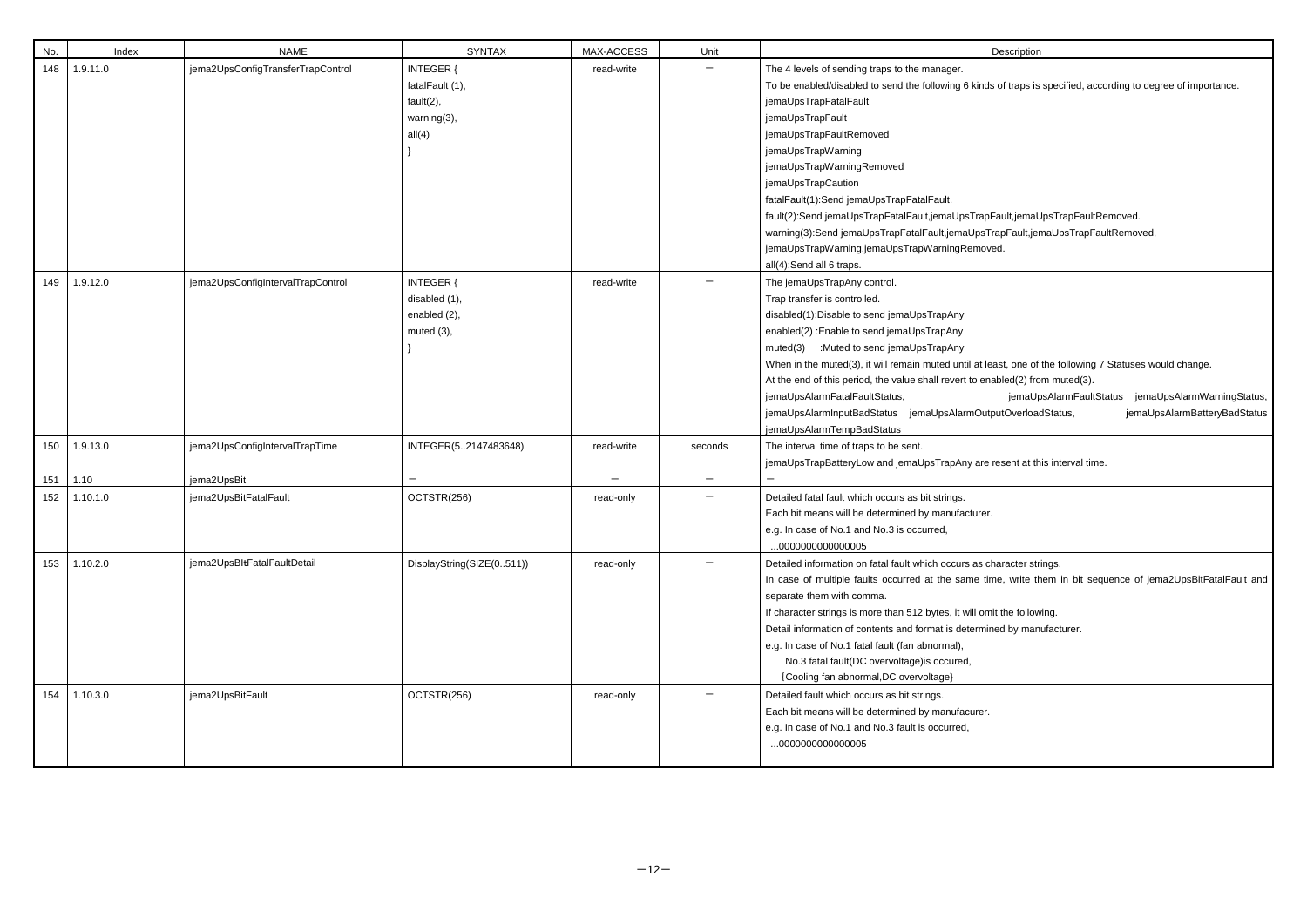| No. | Index    | <b>NAME</b>                       | <b>SYNTAX</b>                                                      | MAX-ACCESS               | Unit              | Description                                                                                                                                                                                                                                                                                                                                                                                                                                                                                                                        |
|-----|----------|-----------------------------------|--------------------------------------------------------------------|--------------------------|-------------------|------------------------------------------------------------------------------------------------------------------------------------------------------------------------------------------------------------------------------------------------------------------------------------------------------------------------------------------------------------------------------------------------------------------------------------------------------------------------------------------------------------------------------------|
| 148 | 1.9.11.0 | jema2UpsConfigTransferTrapControl | INTEGER {<br>fatalFault (1),<br>fault(2),<br>warning(3),<br>all(4) | read-write               |                   | The 4 levels of sending traps to the manager.<br>To be enabled/disabled to send the following 6 kinds of traps is sper<br>jemaUpsTrapFatalFault<br>jemaUpsTrapFault<br>jemaUpsTrapFaultRemoved<br>jemaUpsTrapWarning<br>jemaUpsTrapWarningRemoved<br>jemaUpsTrapCaution<br>fatalFault(1):Send jemaUpsTrapFatalFault.<br>fault(2):Send jemaUpsTrapFatalFault,jemaUpsTrapFault,jemaUpsT<br>warning(3):Send jemaUpsTrapFatalFault,jemaUpsTrapFault,jemaU<br>jemaUpsTrapWarning,jemaUpsTrapWarningRemoved.<br>all(4):Send all 6 traps. |
| 149 | 1.9.12.0 | jema2UpsConfigIntervalTrapControl | <b>INTEGER {</b><br>disabled (1),<br>enabled (2),<br>muted $(3)$ , | read-write               |                   | The jemaUpsTrapAny control.<br>Trap transfer is controlled.<br>disabled(1):Disable to send jemaUpsTrapAny<br>enabled(2) : Enable to send jemaUpsTrapAny<br>muted(3) :Muted to send jemaUpsTrapAny<br>When in the muted(3), it will remain muted until at least, one of the f<br>At the end of this period, the value shall revert to enabled(2) from m<br>jemaUpsAlarmFatalFaultStatus,<br>jemaUpsAla<br>jemaUpsAlarmInputBadStatus jemaUpsAlarmOutputOverloadSta<br>jemaUpsAlarmTempBadStatus                                     |
| 150 | 1.9.13.0 | jema2UpsConfigIntervalTrapTime    | INTEGER(52147483648)                                               | read-write               | seconds           | The interval time of traps to be sent.<br>jemaUpsTrapBatteryLow and jemaUpsTrapAny are resent at this in                                                                                                                                                                                                                                                                                                                                                                                                                           |
| 151 | 1.10     | jema2UpsBit                       |                                                                    | $\overline{\phantom{m}}$ | $\qquad \qquad -$ |                                                                                                                                                                                                                                                                                                                                                                                                                                                                                                                                    |
| 152 | 1.10.1.0 | jema2UpsBitFatalFault             | OCTSTR(256)                                                        | read-only                |                   | Detailed fatal fault which occurs as bit strings.<br>Each bit means will be determined by manufacturer.<br>e.g. In case of No.1 and No.3 is occurred,<br>000000000000005                                                                                                                                                                                                                                                                                                                                                           |
| 153 | 1.10.2.0 | jema2UpsBltFatalFaultDetail       | DisplayString(SIZE(0511))                                          | read-only                |                   | Detailed information on fatal fault which occurs as character strings.<br>In case of multiple faults occurred at the same time, write them<br>separate them with comma.<br>If character strings is more than 512 bytes, it will omit the following.<br>Detail information of contents and format is determined by manufac<br>e.g. In case of No.1 fatal fault (fan abnormal),<br>No.3 fatal fault(DC overvoltage) is occured,<br>{Cooling fan abnormal, DC overvoltage}                                                            |
| 154 | 1.10.3.0 | jema2UpsBitFault                  | OCTSTR(256)                                                        | read-only                |                   | Detailed fault which occurs as bit strings.<br>Each bit means will be determined by manufacurer.<br>e.g. In case of No.1 and No.3 fault is occurred,<br>0000000000000005                                                                                                                                                                                                                                                                                                                                                           |

| Description |
|-------------|
|             |

nds of traps is specified, according to degree of importance.

apFault,jemaUpsTrapFaultRemoved. sTrapFault,jemaUpsTrapFaultRemoved,

I least, one of the following 7 Statuses would change.  $t$  enabled(2) from muted(3). jemaUpsAlarmFaultStatus jemaUpsAlarmWarningStatus,

utputOverloadStatus, jemaUpsAlarmBatteryBadStatus

re resent at this interval time.

time, write them in bit sequence of jema2UpsBitFatalFault and

omit the following. nined by manufacturer.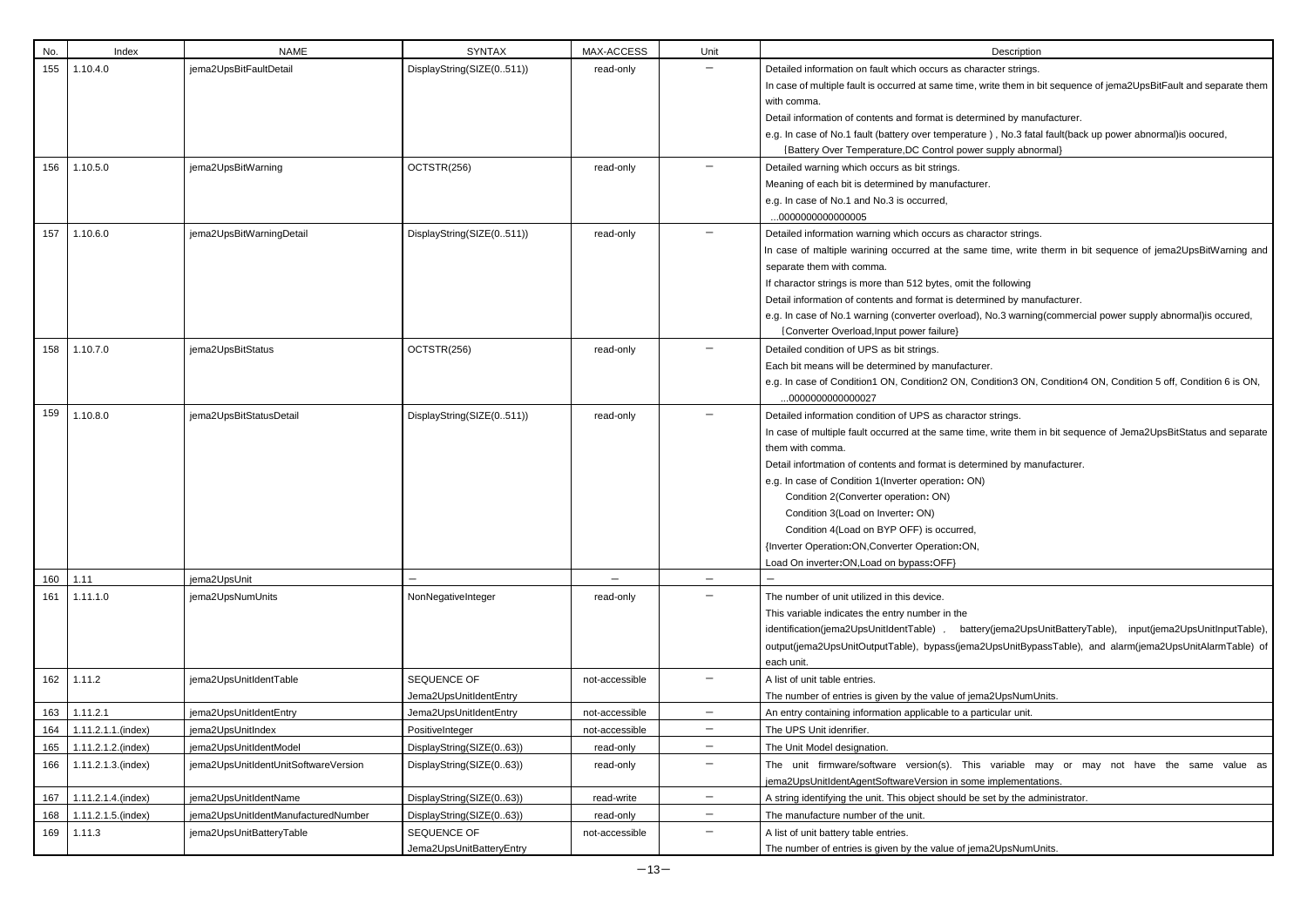| No. | Index              | <b>NAME</b>                          | <b>SYNTAX</b>                         | MAX-ACCESS        | Unit              | Description                                                                                                                                                                                                                                                                                                                                                                                                                                                                                                |
|-----|--------------------|--------------------------------------|---------------------------------------|-------------------|-------------------|------------------------------------------------------------------------------------------------------------------------------------------------------------------------------------------------------------------------------------------------------------------------------------------------------------------------------------------------------------------------------------------------------------------------------------------------------------------------------------------------------------|
| 155 | 1.10.4.0           | jema2UpsBitFaultDetail               | DisplayString(SIZE(0511))             | read-only         |                   | Detailed information on fault which occurs as character strings.<br>In case of multiple fault is occurred at same time, write them in b<br>with comma.<br>Detail information of contents and format is determined by man<br>e.g. In case of No.1 fault (battery over temperature), No.3 fata<br>{Battery Over Temperature, DC Control power supply abnot                                                                                                                                                   |
| 156 | 1.10.5.0           | jema2UpsBitWarning                   | OCTSTR(256)                           | read-only         |                   | Detailed warning which occurs as bit strings.<br>Meaning of each bit is determined by manufacturer.<br>e.g. In case of No.1 and No.3 is occurred,<br>000000000000005                                                                                                                                                                                                                                                                                                                                       |
| 157 | 1.10.6.0           | jema2UpsBitWarningDetail             | DisplayString(SIZE(0511))             | read-only         |                   | Detailed information warning which occurs as charactor strings.<br>In case of maltiple warining occurred at the same time, write<br>separate them with comma.<br>If charactor strings is more than 512 bytes, omit the following<br>Detail information of contents and format is determined by man<br>e.g. In case of No.1 warning (converter overload), No.3 warning<br>{Converter Overload, Input power failure}                                                                                         |
| 158 | 1.10.7.0           | jema2UpsBitStatus                    | OCTSTR(256)                           | read-only         |                   | Detailed condition of UPS as bit strings.<br>Each bit means will be determined by manufacturer.<br>e.g. In case of Condition1 ON, Condition2 ON, Condition3 ON,<br>0000000000000027                                                                                                                                                                                                                                                                                                                        |
| 159 | 1.10.8.0           | jema2UpsBitStatusDetail              | DisplayString(SIZE(0511))             | read-only         |                   | Detailed information condition of UPS as charactor strings.<br>In case of multiple fault occurred at the same time, write them i<br>them with comma.<br>Detail infortmation of contents and format is determined by mar<br>e.g. In case of Condition 1 (Inverter operation: ON)<br>Condition 2(Converter operation: ON)<br>Condition 3(Load on Inverter: ON)<br>Condition 4(Load on BYP OFF) is occurred,<br>{Inverter Operation:ON, Converter Operation:ON,<br>Load On inverter: ON, Load on bypass: OFF} |
| 160 | 1.11               | jema2UpsUnit                         |                                       | $\qquad \qquad -$ | $\qquad \qquad -$ |                                                                                                                                                                                                                                                                                                                                                                                                                                                                                                            |
| 161 | 1.11.1.0           | jema2UpsNumUnits                     | NonNegativeInteger                    | read-only         |                   | The number of unit utilized in this device.<br>This variable indicates the entry number in the<br>identification(jema2UpsUnitIdentTable),<br>battery(jema2Upsl<br>output(jema2UpsUnitOutputTable), bypass(jema2UpsUnitBypa<br>each unit.                                                                                                                                                                                                                                                                   |
| 162 | 1.11.2             | jema2UpsUnitIdentTable               | SEQUENCE OF<br>Jema2UpsUnitIdentEntry | not-accessible    |                   | A list of unit table entries.<br>The number of entries is given by the value of jema2UpsNumU                                                                                                                                                                                                                                                                                                                                                                                                               |
| 163 | 1.11.2.1           | jema2UpsUnitIdentEntry               | Jema2UpsUnitIdentEntry                | not-accessible    | —                 | An entry containing information applicable to a particular unit.                                                                                                                                                                                                                                                                                                                                                                                                                                           |
| 164 | 1.11.2.1.1.(index) | jema2UpsUnitIndex                    | PositiveInteger                       | not-accessible    | $\qquad \qquad -$ | The UPS Unit idenrifier.                                                                                                                                                                                                                                                                                                                                                                                                                                                                                   |
| 165 | 1.11.2.1.2.(index) | jema2UpsUnitIdentModel               | DisplayString(SIZE(063))              | read-only         | $\qquad \qquad -$ | The Unit Model designation.                                                                                                                                                                                                                                                                                                                                                                                                                                                                                |
| 166 | 1.11.2.1.3.(index) | jema2UpsUnitIdentUnitSoftwareVersion | DisplayString(SIZE(063))              | read-only         | —                 | The unit firmware/software version(s). This variable m<br>jema2UpsUnitIdentAgentSoftwareVersion in some implementat                                                                                                                                                                                                                                                                                                                                                                                        |
| 167 | 1.11.2.1.4.(index) | jema2UpsUnitIdentName                | DisplayString(SIZE(063))              | read-write        | $\qquad \qquad -$ | A string identifying the unit. This object should be set by the ad                                                                                                                                                                                                                                                                                                                                                                                                                                         |
| 168 | 1.11.2.1.5.(index) | jema2UpsUnitIdentManufacturedNumber  | DisplayString(SIZE(063))              | read-only         | $\qquad \qquad -$ | The manufacture number of the unit.                                                                                                                                                                                                                                                                                                                                                                                                                                                                        |
| 169 | 1.11.3             | jema2UpsUnitBatteryTable             | SEQUENCE OF                           | not-accessible    | —                 | A list of unit battery table entries.                                                                                                                                                                                                                                                                                                                                                                                                                                                                      |
|     |                    |                                      | Jema2UpsUnitBatteryEntry              |                   |                   | The number of entries is given by the value of jema2UpsNumU                                                                                                                                                                                                                                                                                                                                                                                                                                                |

write them in bit sequence of jema2UpsBitFault and separate them

nined by manufacturer.

e), No.3 fatal fault(back up power abnormal)is oocured, supply abnormal}

e time, write therm in bit sequence of jema2UpsBitWarning and

nined by manufacturer.

No.3 warning (commercial power supply abnormal) is occured,

e.g. Indition3 ON, Condition4 ON, Condition 5 off, Condition 6 is ON,

e, write them in bit sequence of Jema2UpsBitStatus and separate

mined by manufacturer.

ry(jema2UpsUnitBatteryTable), input(jema2UpsUnitInputTable), 2UpsUnitBypassTable), and alarm(jema2UpsUnitAlarmTable) of

na 2UpsNumUnits.

variable may or may not have the same value as e implementations.

set by the administrator.

na 2UpsNumUnits.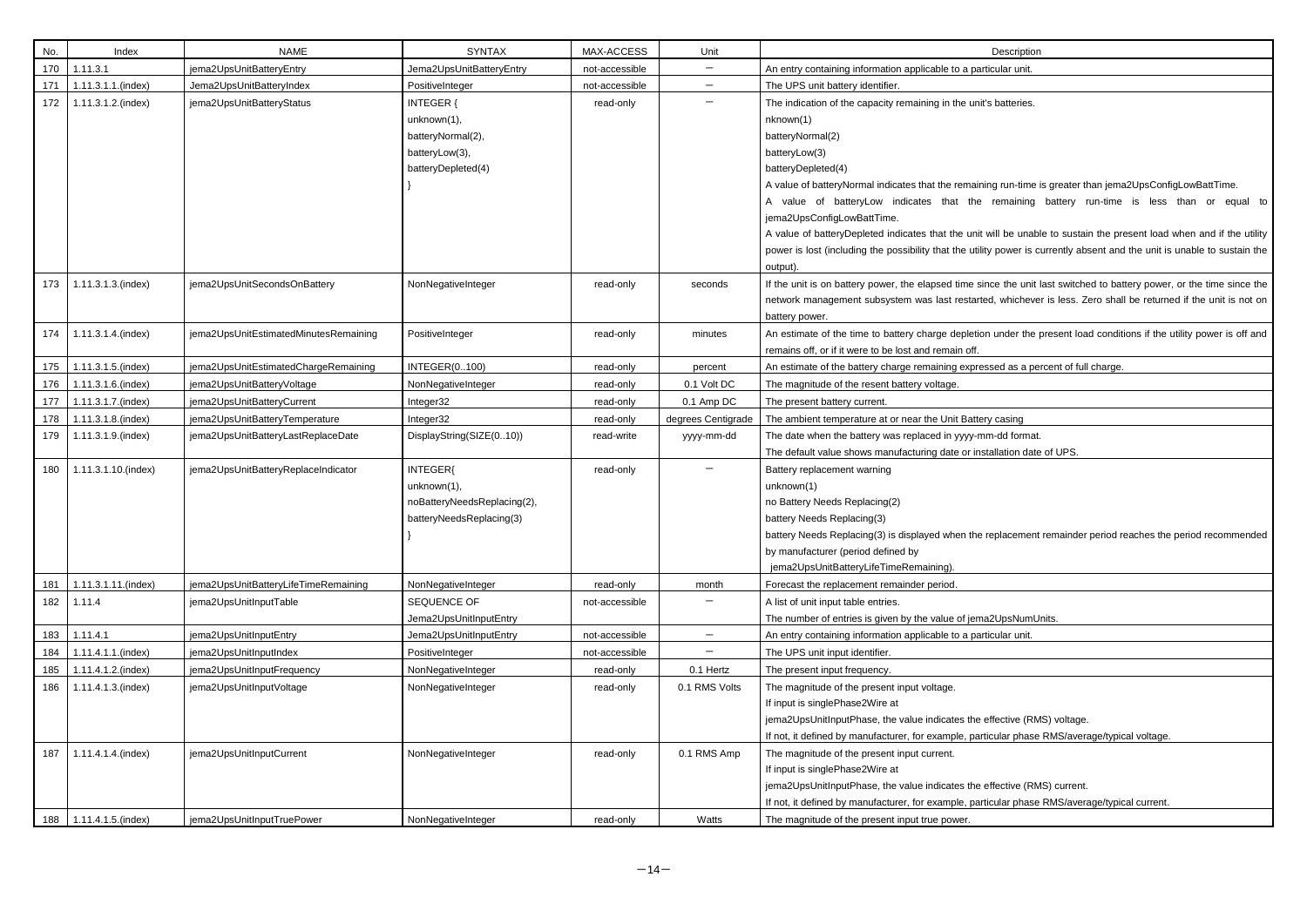| No. | Index               | <b>NAME</b>                           | <b>SYNTAX</b>                                                                         | MAX-ACCESS     | Unit               | Description                                                                                                                                                                                                                                                                                                     |
|-----|---------------------|---------------------------------------|---------------------------------------------------------------------------------------|----------------|--------------------|-----------------------------------------------------------------------------------------------------------------------------------------------------------------------------------------------------------------------------------------------------------------------------------------------------------------|
| 170 | 1.11.3.1            | jema2UpsUnitBatteryEntry              | Jema2UpsUnitBatteryEntry                                                              | not-accessible | —                  | An entry containing information applicable to a particular unit.                                                                                                                                                                                                                                                |
| 171 | 1.11.3.1.1.(index)  | Jema2UpsUnitBatteryIndex              | PositiveInteger                                                                       | not-accessible | $\qquad \qquad -$  | The UPS unit battery identifier.                                                                                                                                                                                                                                                                                |
| 172 | 1.11.3.1.2.(index)  | jema2UpsUnitBatteryStatus             | INTEGER {<br>unknown(1),<br>batteryNormal(2),<br>batteryLow(3),<br>batteryDepleted(4) | read-only      | —                  | The indication of the capacity remaining in the unit's batteries.<br>nknown(1)<br>batteryNormal(2)<br>batteryLow(3)<br>batteryDepleted(4)                                                                                                                                                                       |
|     |                     |                                       |                                                                                       |                |                    | A value of batteryNormal indicates that the remaining run-time is<br>A value of batteryLow indicates that the remaining<br>jema2UpsConfigLowBattTime.<br>A value of batteryDepleted indicates that the unit will be unable<br>power is lost (including the possibility that the utility power is cu<br>output). |
| 173 | 1.11.3.1.3.(index)  | jema2UpsUnitSecondsOnBattery          | NonNegativeInteger                                                                    | read-only      | seconds            | If the unit is on battery power, the elapsed time since the unit la<br>network management subsystem was last restarted, whichever<br>battery power.                                                                                                                                                             |
| 174 | 1.11.3.1.4.(index)  | jema2UpsUnitEstimatedMinutesRemaining | PositiveInteger                                                                       | read-only      | minutes            | An estimate of the time to battery charge depletion under the p<br>remains off, or if it were to be lost and remain off.                                                                                                                                                                                        |
| 175 | 1.11.3.1.5.(index)  | jema2UpsUnitEstimatedChargeRemaining  | <b>INTEGER(0100)</b>                                                                  | read-only      | percent            | An estimate of the battery charge remaining expressed as a per                                                                                                                                                                                                                                                  |
| 176 | 1.11.3.1.6.(index)  | jema2UpsUnitBatteryVoltage            | NonNegativeInteger                                                                    | read-only      | 0.1 Volt DC        | The magnitude of the resent battery voltage.                                                                                                                                                                                                                                                                    |
| 177 | 1.11.3.1.7.(index)  | jema2UpsUnitBatteryCurrent            | Integer32                                                                             | read-only      | 0.1 Amp DC         | The present battery current.                                                                                                                                                                                                                                                                                    |
| 178 | 1.11.3.1.8.(index)  | jema2UpsUnitBatteryTemperature        | Integer32                                                                             | read-only      | degrees Centigrade | The ambient temperature at or near the Unit Battery casing                                                                                                                                                                                                                                                      |
| 179 | 1.11.3.1.9.(index)  | jema2UpsUnitBatteryLastReplaceDate    | DisplayString(SIZE(010))                                                              | read-write     | yyyy-mm-dd         | The date when the battery was replaced in yyyy-mm-dd format.<br>The default value shows manufacturing date or installation date                                                                                                                                                                                 |
| 180 | 1.11.3.1.10.(index) | jema2UpsUnitBatteryReplaceIndicator   | INTEGER{<br>unknown(1),<br>noBatteryNeedsReplacing(2),<br>batteryNeedsReplacing(3)    | read-only      |                    | Battery replacement warning<br>unknown(1)<br>no Battery Needs Replacing(2)<br>battery Needs Replacing(3)<br>battery Needs Replacing(3) is displayed when the replacement<br>by manufacturer (period defined by<br>jema2UpsUnitBatteryLifeTimeRemaining).                                                        |
| 181 | 1.11.3.1.11.(index) | jema2UpsUnitBatteryLifeTimeRemaining  | NonNegativeInteger                                                                    | read-only      | month              | Forecast the replacement remainder period.                                                                                                                                                                                                                                                                      |
| 182 | 1.11.4              | jema2UpsUnitInputTable                | SEQUENCE OF<br>Jema2UpsUnitInputEntry                                                 | not-accessible | —                  | A list of unit input table entries.<br>The number of entries is given by the value of jema2UpsNumUr                                                                                                                                                                                                             |
| 183 | 1.11.4.1            | jema2UpsUnitInputEntry                | Jema2UpsUnitInputEntry                                                                | not-accessible | $\qquad \qquad -$  | An entry containing information applicable to a particular unit.                                                                                                                                                                                                                                                |
| 184 | 1.11.4.1.1.(index)  | jema2UpsUnitInputIndex                | PositiveInteger                                                                       | not-accessible |                    | The UPS unit input identifier.                                                                                                                                                                                                                                                                                  |
| 185 | 1.11.4.1.2.(index)  | jema2UpsUnitInputFrequency            | NonNegativeInteger                                                                    | read-only      | 0.1 Hertz          | The present input frequency.                                                                                                                                                                                                                                                                                    |
| 186 | 1.11.4.1.3.(index)  | jema2UpsUnitInputVoltage              | NonNegativeInteger                                                                    | read-only      | 0.1 RMS Volts      | The magnitude of the present input voltage.<br>If input is singlePhase2Wire at<br>jema2UpsUnitInputPhase, the value indicates the effective (RM<br>If not, it defined by manufacturer, for example, particular phase                                                                                            |
| 187 | 1.11.4.1.4.(index)  | jema2UpsUnitInputCurrent              | NonNegativeInteger                                                                    | read-only      | 0.1 RMS Amp        | The magnitude of the present input current.<br>If input is singlePhase2Wire at<br>jema2UpsUnitInputPhase, the value indicates the effective (RM<br>If not, it defined by manufacturer, for example, particular phase                                                                                            |
| 188 | 1.11.4.1.5.(index)  | jema2UpsUnitInputTruePower            | NonNegativeInteger                                                                    | read-only      | Watts              | The magnitude of the present input true power.                                                                                                                                                                                                                                                                  |

hing run-time is greater than jema2UpsConfigLowBattTime. remaining battery run-time is less than or equal to

will be unable to sustain the present load when and if the utility ity power is currently absent and the unit is unable to sustain the

ince the unit last switched to battery power, or the time since the ed, whichever is less. Zero shall be returned if the unit is not on

on under the present load conditions if the utility power is off and

essed as a percent of full charge.

stallation date of UPS.

# replacement remainder period reaches the period recommended

# $na2UpsNumUnits.$

effective (RMS) voltage. rticular phase RMS/average/typical voltage.

effective (RMS) current. rticular phase RMS/average/typical current.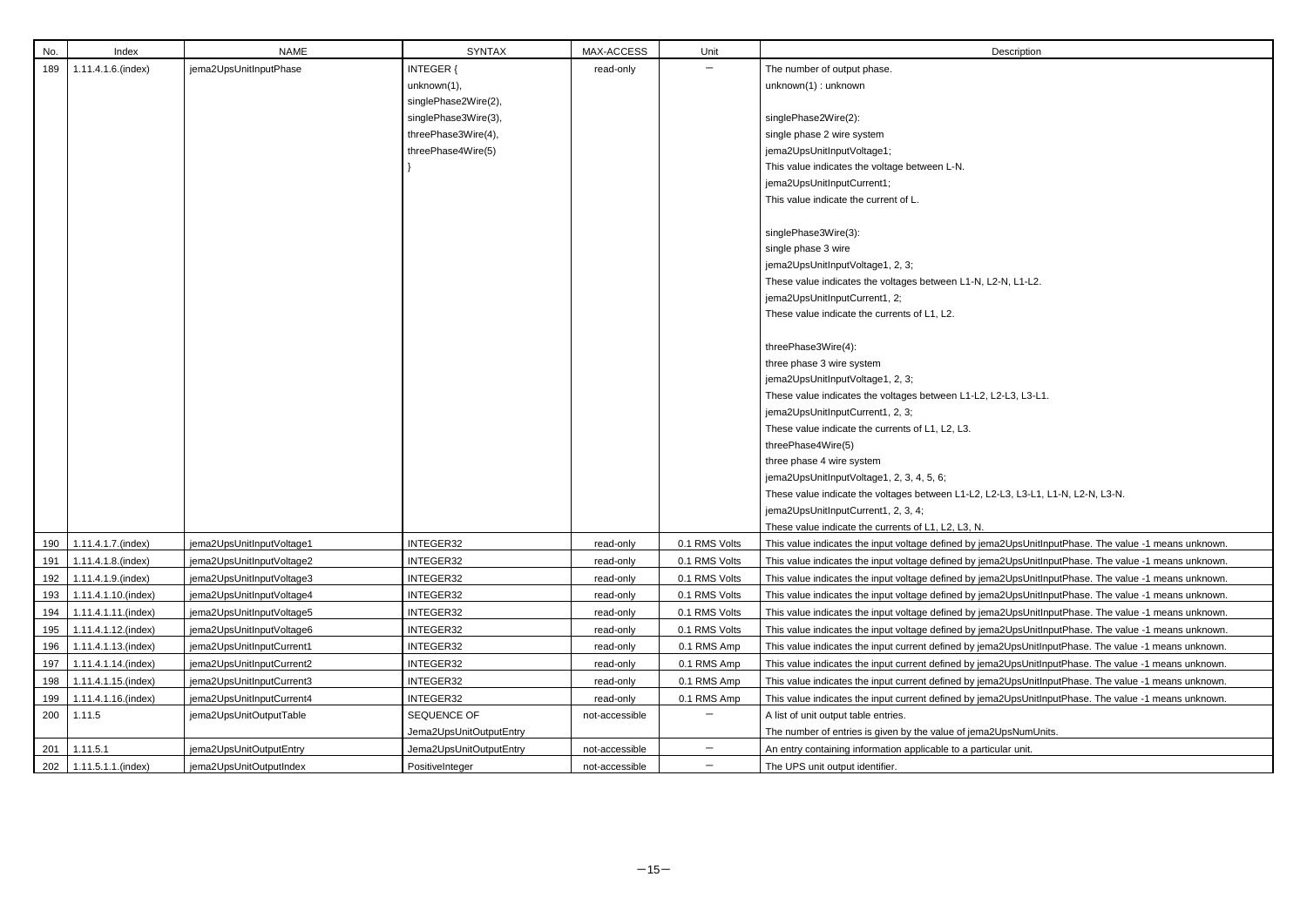| No. | Index                    | <b>NAME</b>               | <b>SYNTAX</b>           | MAX-ACCESS     | Unit              | Description                                                                                           |
|-----|--------------------------|---------------------------|-------------------------|----------------|-------------------|-------------------------------------------------------------------------------------------------------|
| 189 | 1.11.4.1.6.(index)       | jema2UpsUnitInputPhase    | <b>INTEGER {</b>        | read-only      | $\qquad \qquad -$ | The number of output phase.                                                                           |
|     |                          |                           | unknown(1),             |                |                   | unknown(1): unknown                                                                                   |
|     |                          |                           | singlePhase2Wire(2),    |                |                   |                                                                                                       |
|     |                          |                           | singlePhase3Wire(3),    |                |                   | singlePhase2Wire(2):                                                                                  |
|     |                          |                           | threePhase3Wire(4),     |                |                   | single phase 2 wire system                                                                            |
|     |                          |                           | threePhase4Wire(5)      |                |                   | jema2UpsUnitInputVoltage1;                                                                            |
|     |                          |                           |                         |                |                   | This value indicates the voltage between L-N.                                                         |
|     |                          |                           |                         |                |                   | jema2UpsUnitInputCurrent1;                                                                            |
|     |                          |                           |                         |                |                   | This value indicate the current of L.                                                                 |
|     |                          |                           |                         |                |                   |                                                                                                       |
|     |                          |                           |                         |                |                   | singlePhase3Wire(3):                                                                                  |
|     |                          |                           |                         |                |                   | single phase 3 wire                                                                                   |
|     |                          |                           |                         |                |                   | jema2UpsUnitInputVoltage1, 2, 3;                                                                      |
|     |                          |                           |                         |                |                   | These value indicates the voltages between L1-N, L2-N, L1-L2.                                         |
|     |                          |                           |                         |                |                   | jema2UpsUnitInputCurrent1, 2;                                                                         |
|     |                          |                           |                         |                |                   | These value indicate the currents of L1, L2.                                                          |
|     |                          |                           |                         |                |                   |                                                                                                       |
|     |                          |                           |                         |                |                   | threePhase3Wire(4):                                                                                   |
|     |                          |                           |                         |                |                   | three phase 3 wire system                                                                             |
|     |                          |                           |                         |                |                   | jema2UpsUnitInputVoltage1, 2, 3;                                                                      |
|     |                          |                           |                         |                |                   | These value indicates the voltages between L1-L2, L2-L3, L3-L1.                                       |
|     |                          |                           |                         |                |                   | jema2UpsUnitInputCurrent1, 2, 3;                                                                      |
|     |                          |                           |                         |                |                   | These value indicate the currents of L1, L2, L3.                                                      |
|     |                          |                           |                         |                |                   | threePhase4Wire(5)                                                                                    |
|     |                          |                           |                         |                |                   | three phase 4 wire system                                                                             |
|     |                          |                           |                         |                |                   | jema2UpsUnitInputVoltage1, 2, 3, 4, 5, 6;                                                             |
|     |                          |                           |                         |                |                   | These value indicate the voltages between L1-L2, L2-L3, L3-L1, L1-N, L2-N, L3-N.                      |
|     |                          |                           |                         |                |                   | jema2UpsUnitInputCurrent1, 2, 3, 4;                                                                   |
|     |                          |                           |                         |                |                   | These value indicate the currents of L1, L2, L3, N.                                                   |
| 190 | 1.11.4.1.7.(index)       | jema2UpsUnitInputVoltage1 | INTEGER32               | read-only      | 0.1 RMS Volts     | This value indicates the input voltage defined by jema2UpsUnitInputPhase. The value -1 means unknown. |
| 191 | 1.11.4.1.8.(index)       | jema2UpsUnitInputVoltage2 | INTEGER32               | read-only      | 0.1 RMS Volts     | This value indicates the input voltage defined by jema2UpsUnitInputPhase. The value -1 means unknown. |
| 192 | 1.11.4.1.9.(index)       | jema2UpsUnitInputVoltage3 | INTEGER32               | read-only      | 0.1 RMS Volts     | This value indicates the input voltage defined by jema2UpsUnitInputPhase. The value -1 means unknown. |
| 193 | 1.11.4.1.10.(index)      | jema2UpsUnitInputVoltage4 | INTEGER32               | read-only      | 0.1 RMS Volts     | This value indicates the input voltage defined by jema2UpsUnitInputPhase. The value -1 means unknown. |
| 194 | 1.11.4.1.11.(index)      | jema2UpsUnitInputVoltage5 | INTEGER32               | read-only      | 0.1 RMS Volts     | This value indicates the input voltage defined by jema2UpsUnitInputPhase. The value -1 means unknown. |
| 195 | 1.11.4.1.12.(index)      | jema2UpsUnitInputVoltage6 | INTEGER32               | read-only      | 0.1 RMS Volts     | This value indicates the input voltage defined by jema2UpsUnitInputPhase. The value -1 means unknown. |
| 196 | 1.11.4.1.13.(index)      | jema2UpsUnitInputCurrent1 | INTEGER32               | read-only      | 0.1 RMS Amp       | This value indicates the input current defined by jema2UpsUnitInputPhase. The value -1 means unknown. |
| 197 | 1.11.4.1.14.(index)      | jema2UpsUnitInputCurrent2 | INTEGER32               | read-only      | 0.1 RMS Amp       | This value indicates the input current defined by jema2UpsUnitInputPhase. The value -1 means unknown. |
| 198 | 1.11.4.1.15.(index)      | jema2UpsUnitInputCurrent3 | INTEGER32               | read-only      | 0.1 RMS Amp       | This value indicates the input current defined by jema2UpsUnitInputPhase. The value -1 means unknown. |
| 199 | 1.11.4.1.16.(index)      | jema2UpsUnitInputCurrent4 | INTEGER32               | read-only      | 0.1 RMS Amp       | This value indicates the input current defined by jema2UpsUnitInputPhase. The value -1 means unknown. |
| 200 | 1.11.5                   | jema2UpsUnitOutputTable   | SEQUENCE OF             | not-accessible | $\qquad \qquad -$ | A list of unit output table entries.                                                                  |
|     |                          |                           | Jema2UpsUnitOutputEntry |                |                   | The number of entries is given by the value of jema2UpsNumUnits.                                      |
| 201 | 1.11.5.1                 | jema2UpsUnitOutputEntry   | Jema2UpsUnitOutputEntry | not-accessible | $\qquad \qquad -$ | An entry containing information applicable to a particular unit.                                      |
|     | 202   1.11.5.1.1.(index) | jema2UpsUnitOutputIndex   | PositiveInteger         | not-accessible | $\qquad \qquad -$ | The UPS unit output identifier.                                                                       |

| ma2UpsUnitInputPhase. The value -1 means unknown. |
|---------------------------------------------------|
| ma2UpsUnitInputPhase. The value -1 means unknown. |
| ma2UpsUnitInputPhase. The value -1 means unknown. |
| ma2UpsUnitInputPhase. The value -1 means unknown. |
| ma2UpsUnitInputPhase. The value -1 means unknown. |
| ma2UpsUnitInputPhase. The value -1 means unknown. |
| ma2UpsUnitInputPhase. The value -1 means unknown. |
| ma2UpsUnitInputPhase. The value -1 means unknown. |
| ma2UpsUnitInputPhase. The value -1 means unknown. |
| ma2UpsUnitInputPhase. The value -1 means unknown. |
|                                                   |
| 2UpsNumUnits.                                     |
| icular unit.                                      |
|                                                   |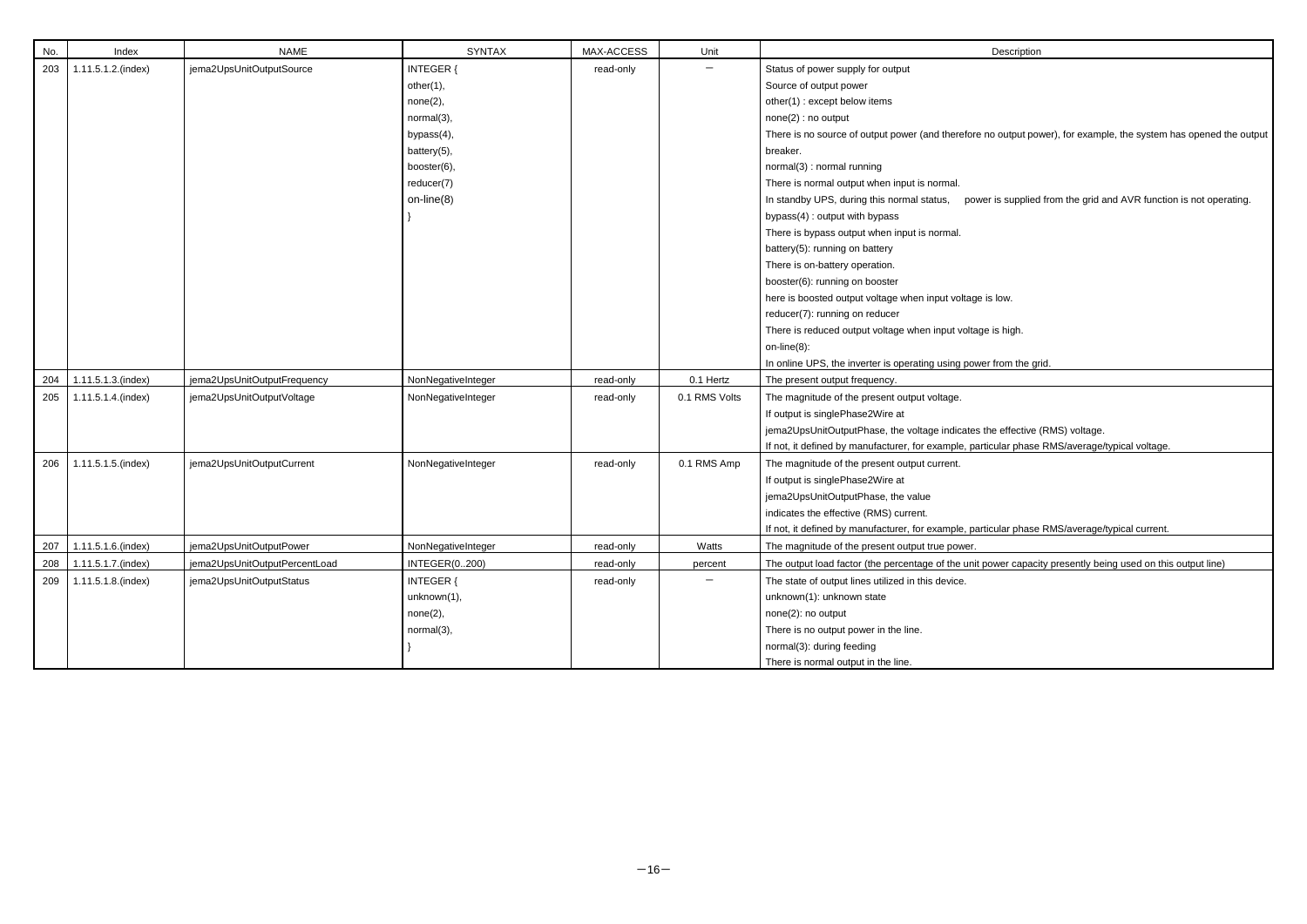| No. | Index              | <b>NAME</b>                   | <b>SYNTAX</b>        | MAX-ACCESS | Unit          |                                                                   |
|-----|--------------------|-------------------------------|----------------------|------------|---------------|-------------------------------------------------------------------|
|     |                    |                               |                      |            |               | Description                                                       |
| 203 | 1.11.5.1.2.(index) | jema2UpsUnitOutputSource      | INTEGER {            | read-only  |               | Status of power supply for output                                 |
|     |                    |                               | other(1),            |            |               | Source of output power                                            |
|     |                    |                               | none(2),             |            |               | other(1): except below items                                      |
|     |                    |                               | normal(3),           |            |               | none(2) : no output                                               |
|     |                    |                               | bypass(4),           |            |               | There is no source of output power (and therefore no output pot   |
|     |                    |                               | battery(5),          |            |               | breaker.                                                          |
|     |                    |                               | booster(6),          |            |               | normal(3) : normal running                                        |
|     |                    |                               | reducer(7)           |            |               | There is normal output when input is normal.                      |
|     |                    |                               | on-line $(8)$        |            |               | In standby UPS, during this normal status,<br>power is supplied   |
|     |                    |                               |                      |            |               | bypass(4): output with bypass                                     |
|     |                    |                               |                      |            |               | There is bypass output when input is normal.                      |
|     |                    |                               |                      |            |               | battery(5): running on battery                                    |
|     |                    |                               |                      |            |               | There is on-battery operation.                                    |
|     |                    |                               |                      |            |               | booster(6): running on booster                                    |
|     |                    |                               |                      |            |               | here is boosted output voltage when input voltage is low.         |
|     |                    |                               |                      |            |               | reducer(7): running on reducer                                    |
|     |                    |                               |                      |            |               | There is reduced output voltage when input voltage is high.       |
|     |                    |                               |                      |            |               | $on-line(8)$ :                                                    |
|     |                    |                               |                      |            |               | In online UPS, the inverter is operating using power from the gr  |
| 204 | 1.11.5.1.3.(index) | jema2UpsUnitOutputFrequency   | NonNegativeInteger   | read-only  | 0.1 Hertz     | The present output frequency.                                     |
| 205 | 1.11.5.1.4.(index) | jema2UpsUnitOutputVoltage     | NonNegativeInteger   | read-only  | 0.1 RMS Volts | The magnitude of the present output voltage.                      |
|     |                    |                               |                      |            |               | If output is singlePhase2Wire at                                  |
|     |                    |                               |                      |            |               | jema2UpsUnitOutputPhase, the voltage indicates the effective      |
|     |                    |                               |                      |            |               | If not, it defined by manufacturer, for example, particular phase |
| 206 | 1.11.5.1.5.(index) | jema2UpsUnitOutputCurrent     | NonNegativeInteger   | read-only  | 0.1 RMS Amp   | The magnitude of the present output current.                      |
|     |                    |                               |                      |            |               | If output is singlePhase2Wire at                                  |
|     |                    |                               |                      |            |               | jema2UpsUnitOutputPhase, the value                                |
|     |                    |                               |                      |            |               | indicates the effective (RMS) current.                            |
|     |                    |                               |                      |            |               | If not, it defined by manufacturer, for example, particular phase |
| 207 | 1.11.5.1.6.(index) | jema2UpsUnitOutputPower       | NonNegativeInteger   | read-only  | Watts         | The magnitude of the present output true power.                   |
| 208 | 1.11.5.1.7.(index) | jema2UpsUnitOutputPercentLoad | <b>INTEGER(0200)</b> | read-only  | percent       | The output load factor (the percentage of the unit power capaci   |
| 209 | 1.11.5.1.8.(index) | jema2UpsUnitOutputStatus      | <b>INTEGER {</b>     | read-only  |               | The state of output lines utilized in this device.                |
|     |                    |                               | unknown(1),          |            |               | unknown(1): unknown state                                         |
|     |                    |                               | none(2),             |            |               | none(2): no output                                                |
|     |                    |                               | normal(3),           |            |               | There is no output power in the line.                             |
|     |                    |                               |                      |            |               | normal(3): during feeding                                         |
|     |                    |                               |                      |            |               | There is normal output in the line.                               |

no output power), for example, the system has opened the output

ver is supplied from the grid and AVR function is not operating.

er from the grid.

the effective (RMS) voltage. rticular phase RMS/average/typical voltage.

rticular phase RMS/average/typical current.

power capacity presently being used on this output line)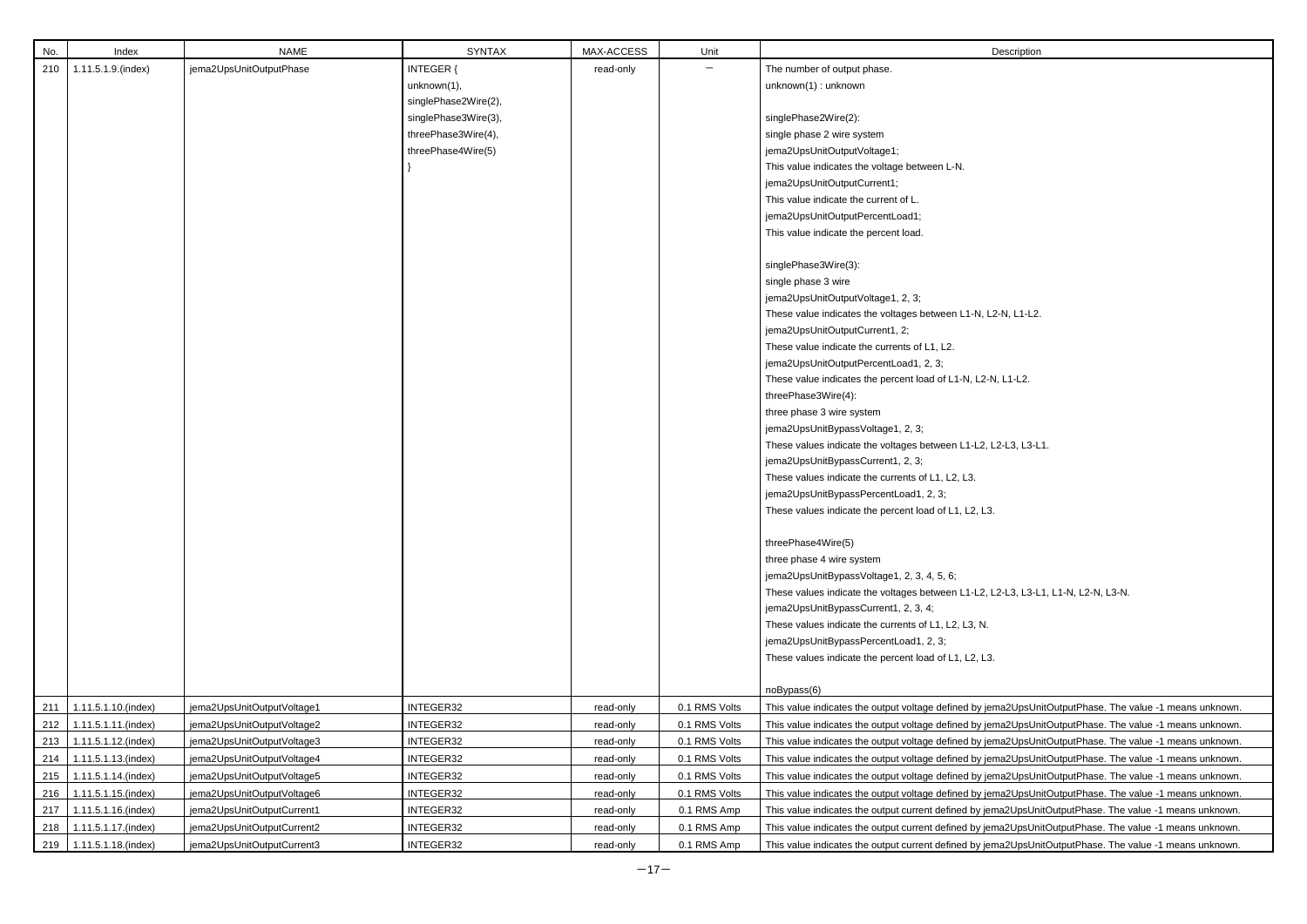| No. | Index                     | <b>NAME</b>                | <b>SYNTAX</b>        | MAX-ACCESS | Unit          | Description                                                   |
|-----|---------------------------|----------------------------|----------------------|------------|---------------|---------------------------------------------------------------|
| 210 | 1.11.5.1.9.(index)        | jema2UpsUnitOutputPhase    | <b>INTEGER {</b>     | read-only  |               | The number of output phase.                                   |
|     |                           |                            | unknown(1),          |            |               | unknown(1): unknown                                           |
|     |                           |                            | singlePhase2Wire(2), |            |               |                                                               |
|     |                           |                            | singlePhase3Wire(3), |            |               | singlePhase2Wire(2):                                          |
|     |                           |                            | threePhase3Wire(4),  |            |               | single phase 2 wire system                                    |
|     |                           |                            | threePhase4Wire(5)   |            |               | jema2UpsUnitOutputVoltage1;                                   |
|     |                           |                            |                      |            |               | This value indicates the voltage between L-N.                 |
|     |                           |                            |                      |            |               | jema2UpsUnitOutputCurrent1;                                   |
|     |                           |                            |                      |            |               | This value indicate the current of L.                         |
|     |                           |                            |                      |            |               | jema2UpsUnitOutputPercentLoad1;                               |
|     |                           |                            |                      |            |               | This value indicate the percent load.                         |
|     |                           |                            |                      |            |               | singlePhase3Wire(3):                                          |
|     |                           |                            |                      |            |               | single phase 3 wire                                           |
|     |                           |                            |                      |            |               | jema2UpsUnitOutputVoltage1, 2, 3;                             |
|     |                           |                            |                      |            |               | These value indicates the voltages between L1-N, L2-N, L1-L2. |
|     |                           |                            |                      |            |               | jema2UpsUnitOutputCurrent1, 2;                                |
|     |                           |                            |                      |            |               | These value indicate the currents of L1, L2.                  |
|     |                           |                            |                      |            |               | jema2UpsUnitOutputPercentLoad1, 2, 3;                         |
|     |                           |                            |                      |            |               | These value indicates the percent load of L1-N, L2-N, L1-L2.  |
|     |                           |                            |                      |            |               | threePhase3Wire(4):                                           |
|     |                           |                            |                      |            |               | three phase 3 wire system                                     |
|     |                           |                            |                      |            |               | jema2UpsUnitBypassVoltage1, 2, 3;                             |
|     |                           |                            |                      |            |               | These values indicate the voltages between L1-L2, L2-L3, L3-L |
|     |                           |                            |                      |            |               | jema2UpsUnitBypassCurrent1, 2, 3;                             |
|     |                           |                            |                      |            |               | These values indicate the currents of L1, L2, L3.             |
|     |                           |                            |                      |            |               | jema2UpsUnitBypassPercentLoad1, 2, 3;                         |
|     |                           |                            |                      |            |               | These values indicate the percent load of L1, L2, L3.         |
|     |                           |                            |                      |            |               |                                                               |
|     |                           |                            |                      |            |               | threePhase4Wire(5)                                            |
|     |                           |                            |                      |            |               | three phase 4 wire system                                     |
|     |                           |                            |                      |            |               | jema2UpsUnitBypassVoltage1, 2, 3, 4, 5, 6;                    |
|     |                           |                            |                      |            |               | These values indicate the voltages between L1-L2, L2-L3, L3-L |
|     |                           |                            |                      |            |               | jema2UpsUnitBypassCurrent1, 2, 3, 4;                          |
|     |                           |                            |                      |            |               | These values indicate the currents of L1, L2, L3, N.          |
|     |                           |                            |                      |            |               | jema2UpsUnitBypassPercentLoad1, 2, 3;                         |
|     |                           |                            |                      |            |               | These values indicate the percent load of L1, L2, L3.         |
|     |                           |                            |                      |            |               |                                                               |
|     |                           |                            |                      |            |               | noBypass(6)                                                   |
| 211 | 1.11.5.1.10.(index)       | jema2UpsUnitOutputVoltage1 | INTEGER32            | read-only  | 0.1 RMS Volts | This value indicates the output voltage defined by jema2UpsUn |
| 212 | 1.11.5.1.11.(index)       | jema2UpsUnitOutputVoltage2 | INTEGER32            | read-only  | 0.1 RMS Volts | This value indicates the output voltage defined by jema2UpsUn |
| 213 | 1.11.5.1.12.(index)       | jema2UpsUnitOutputVoltage3 | INTEGER32            | read-only  | 0.1 RMS Volts | This value indicates the output voltage defined by jema2UpsUn |
| 214 | 1.11.5.1.13.(index)       | jema2UpsUnitOutputVoltage4 | INTEGER32            | read-only  | 0.1 RMS Volts | This value indicates the output voltage defined by jema2UpsUn |
| 215 | 1.11.5.1.14.(index)       | jema2UpsUnitOutputVoltage5 | INTEGER32            | read-only  | 0.1 RMS Volts | This value indicates the output voltage defined by jema2UpsUr |
| 216 | 1.11.5.1.15.(index)       | jema2UpsUnitOutputVoltage6 | INTEGER32            | read-only  | 0.1 RMS Volts | This value indicates the output voltage defined by jema2UpsUn |
| 217 | 1.11.5.1.16.(index)       | jema2UpsUnitOutputCurrent1 | INTEGER32            | read-only  | 0.1 RMS Amp   | This value indicates the output current defined by jema2UpsUn |
| 218 | 1.11.5.1.17.(index)       | jema2UpsUnitOutputCurrent2 | INTEGER32            | read-only  | 0.1 RMS Amp   | This value indicates the output current defined by jema2UpsUn |
|     | 219   1.11.5.1.18.(index) | jema2UpsUnitOutputCurrent3 | INTEGER32            | read-only  | 0.1 RMS Amp   | This value indicates the output current defined by jema2UpsUn |

 $H$ , L2-L3, L3-L1.

, L2-L3, L3-L1, L1-N, L2-N, L3-N.

jema2UpsUnitOutputPhase. The value -1 means unknown. jema2UpsUnitOutputPhase. The value -1 means unknown. jema2UpsUnitOutputPhase. The value -1 means unknown. jema2UpsUnitOutputPhase. The value -1 means unknown. jema2UpsUnitOutputPhase. The value -1 means unknown. jema2UpsUnitOutputPhase. The value -1 means unknown. jema2UpsUnitOutputPhase. The value -1 means unknown. jema2UpsUnitOutputPhase. The value -1 means unknown. jema2UpsUnitOutputPhase. The value -1 means unknown.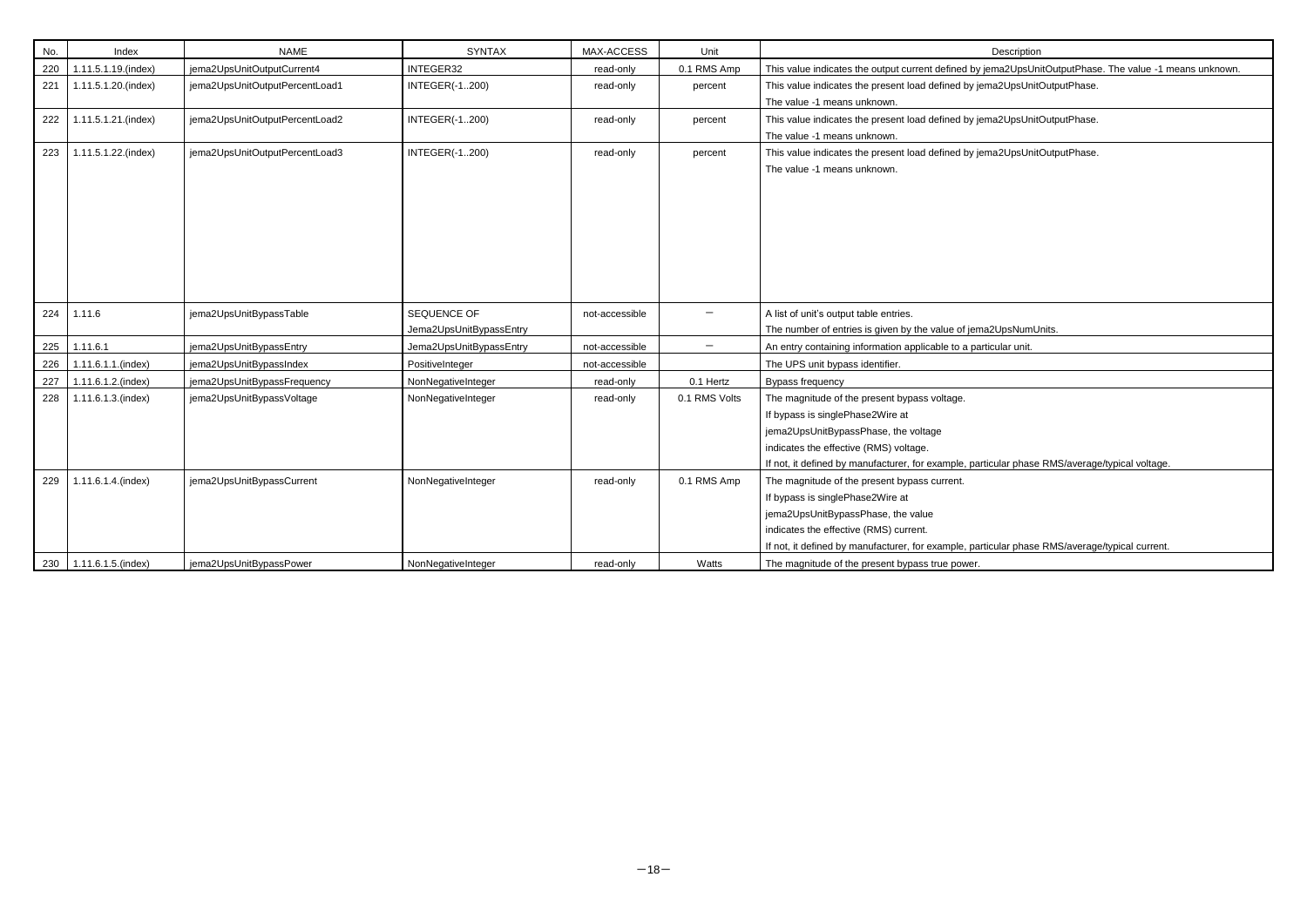| No.   | Index               | <b>NAME</b>                    | <b>SYNTAX</b>                          | MAX-ACCESS     | Unit                     | Description                                                                                                                                                                                                                             |
|-------|---------------------|--------------------------------|----------------------------------------|----------------|--------------------------|-----------------------------------------------------------------------------------------------------------------------------------------------------------------------------------------------------------------------------------------|
| 220   | 1.11.5.1.19.(index) | jema2UpsUnitOutputCurrent4     | INTEGER32                              | read-only      | 0.1 RMS Amp              | This value indicates the output current defined by jema2UpsUn                                                                                                                                                                           |
| 221   | 1.11.5.1.20.(index) | jema2UpsUnitOutputPercentLoad1 | <b>INTEGER(-1200)</b>                  | read-only      | percent                  | This value indicates the present load defined by jema2UpsUnit<br>The value -1 means unknown.                                                                                                                                            |
| 222   | 1.11.5.1.21.(index) | jema2UpsUnitOutputPercentLoad2 | <b>INTEGER(-1200)</b>                  | read-only      | percent                  | This value indicates the present load defined by jema2UpsUnit<br>The value -1 means unknown.                                                                                                                                            |
| 223   | 1.11.5.1.22.(index) | jema2UpsUnitOutputPercentLoad3 | <b>INTEGER(-1200)</b>                  | read-only      | percent                  | This value indicates the present load defined by jema2UpsUnit<br>The value -1 means unknown.                                                                                                                                            |
| 224   | 1.11.6              | jema2UpsUnitBypassTable        | SEQUENCE OF<br>Jema2UpsUnitBypassEntry | not-accessible | $\qquad \qquad -$        | A list of unit's output table entries.<br>The number of entries is given by the value of jema2UpsNumU                                                                                                                                   |
| 225   | 1.11.6.1            | jema2UpsUnitBypassEntry        | Jema2UpsUnitBypassEntry                | not-accessible | $\overline{\phantom{m}}$ | An entry containing information applicable to a particular unit.                                                                                                                                                                        |
| 226   | 1.11.6.1.1.(index)  | jema2UpsUnitBypassIndex        | PositiveInteger                        | not-accessible |                          | The UPS unit bypass identifier.                                                                                                                                                                                                         |
| 227   | 1.11.6.1.2.(index)  | jema2UpsUnitBypassFrequency    | NonNegativeInteger                     | read-only      | 0.1 Hertz                | <b>Bypass frequency</b>                                                                                                                                                                                                                 |
| 228   | 1.11.6.1.3.(index)  | jema2UpsUnitBypassVoltage      | NonNegativeInteger                     | read-only      | 0.1 RMS Volts            | The magnitude of the present bypass voltage.<br>If bypass is singlePhase2Wire at<br>jema2UpsUnitBypassPhase, the voltage<br>indicates the effective (RMS) voltage.<br>If not, it defined by manufacturer, for example, particular phase |
| 229   | 1.11.6.1.4.(index)  | jema2UpsUnitBypassCurrent      | NonNegativeInteger                     | read-only      | 0.1 RMS Amp              | The magnitude of the present bypass current.<br>If bypass is singlePhase2Wire at<br>jema2UpsUnitBypassPhase, the value<br>indicates the effective (RMS) current.<br>If not, it defined by manufacturer, for example, particular phase   |
| 230 l | 1.11.6.1.5.(index)  | jema2UpsUnitBypassPower        | NonNegativeInteger                     | read-only      | Watts                    | The magnitude of the present bypass true power.                                                                                                                                                                                         |

# jema2UpsUnitOutputPhase. The value -1 means unknown.

ema2UpsUnitOutputPhase.

ema2UpsUnitOutputPhase.

ema2UpsUnitOutputPhase.

na 2UpsNumUnits.

rticular phase RMS/average/typical voltage.

rticular phase RMS/average/typical current.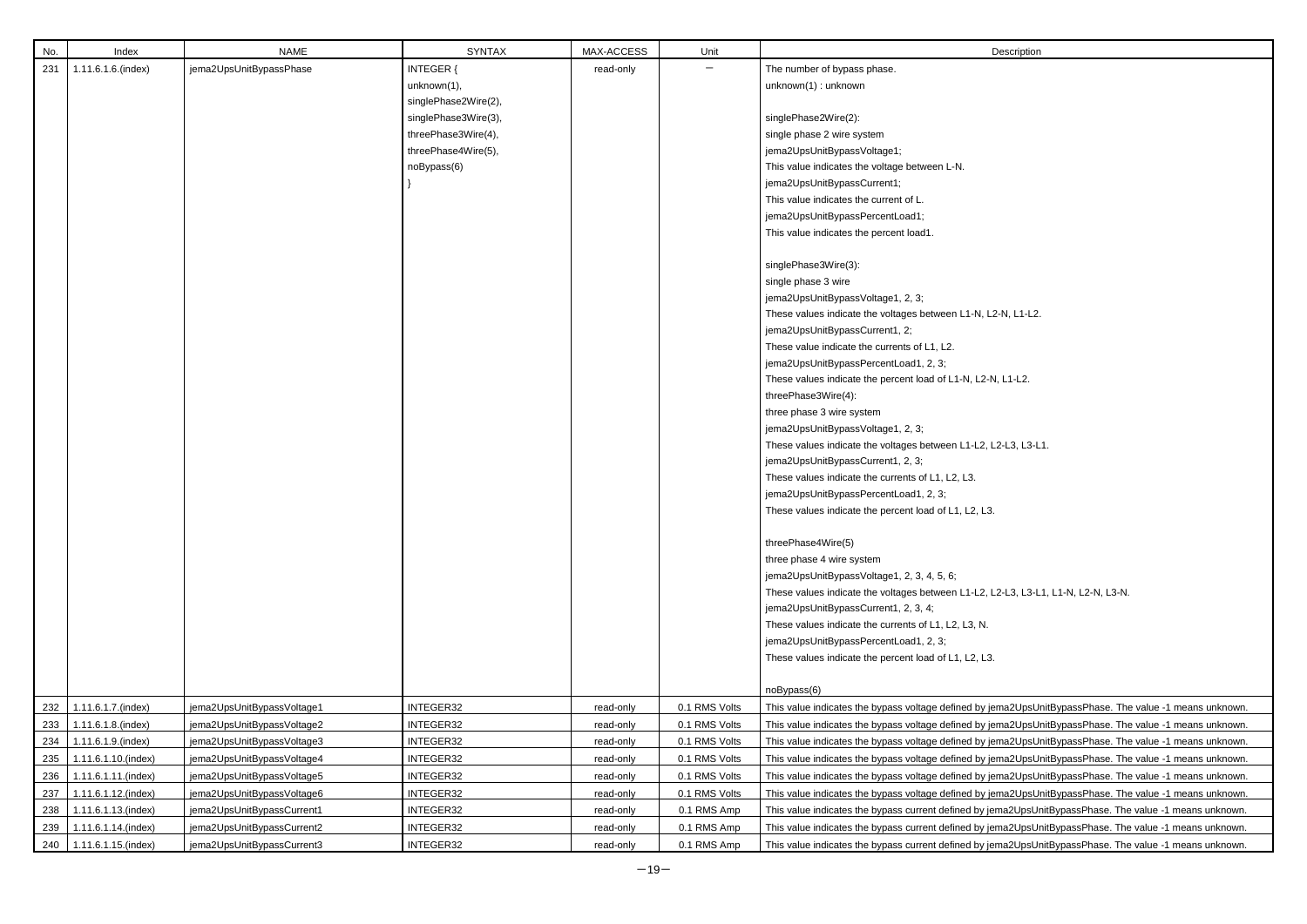| No. | Index               | <b>NAME</b>                | <b>SYNTAX</b>        | MAX-ACCESS | Unit          | Description                                                   |
|-----|---------------------|----------------------------|----------------------|------------|---------------|---------------------------------------------------------------|
| 231 | 1.11.6.1.6.(index)  | jema2UpsUnitBypassPhase    | <b>INTEGER {</b>     | read-only  |               | The number of bypass phase.                                   |
|     |                     |                            | unknown(1),          |            |               | unknown(1): unknown                                           |
|     |                     |                            | singlePhase2Wire(2), |            |               |                                                               |
|     |                     |                            | singlePhase3Wire(3), |            |               | singlePhase2Wire(2):                                          |
|     |                     |                            | threePhase3Wire(4),  |            |               | single phase 2 wire system                                    |
|     |                     |                            | threePhase4Wire(5),  |            |               | jema2UpsUnitBypassVoltage1;                                   |
|     |                     |                            | noBypass(6)          |            |               | This value indicates the voltage between L-N.                 |
|     |                     |                            |                      |            |               | jema2UpsUnitBypassCurrent1;                                   |
|     |                     |                            |                      |            |               | This value indicates the current of L.                        |
|     |                     |                            |                      |            |               | jema2UpsUnitBypassPercentLoad1;                               |
|     |                     |                            |                      |            |               | This value indicates the percent load1.                       |
|     |                     |                            |                      |            |               | singlePhase3Wire(3):                                          |
|     |                     |                            |                      |            |               | single phase 3 wire                                           |
|     |                     |                            |                      |            |               | jema2UpsUnitBypassVoltage1, 2, 3;                             |
|     |                     |                            |                      |            |               | These values indicate the voltages between L1-N, L2-N, L1-L2. |
|     |                     |                            |                      |            |               | jema2UpsUnitBypassCurrent1, 2;                                |
|     |                     |                            |                      |            |               | These value indicate the currents of L1, L2.                  |
|     |                     |                            |                      |            |               | jema2UpsUnitBypassPercentLoad1, 2, 3;                         |
|     |                     |                            |                      |            |               | These values indicate the percent load of L1-N, L2-N, L1-L2.  |
|     |                     |                            |                      |            |               | threePhase3Wire(4):                                           |
|     |                     |                            |                      |            |               | three phase 3 wire system                                     |
|     |                     |                            |                      |            |               | jema2UpsUnitBypassVoltage1, 2, 3;                             |
|     |                     |                            |                      |            |               | These values indicate the voltages between L1-L2, L2-L3, L3-L |
|     |                     |                            |                      |            |               | jema2UpsUnitBypassCurrent1, 2, 3;                             |
|     |                     |                            |                      |            |               | These values indicate the currents of L1, L2, L3.             |
|     |                     |                            |                      |            |               | jema2UpsUnitBypassPercentLoad1, 2, 3;                         |
|     |                     |                            |                      |            |               | These values indicate the percent load of L1, L2, L3.         |
|     |                     |                            |                      |            |               | threePhase4Wire(5)                                            |
|     |                     |                            |                      |            |               | three phase 4 wire system                                     |
|     |                     |                            |                      |            |               | jema2UpsUnitBypassVoltage1, 2, 3, 4, 5, 6;                    |
|     |                     |                            |                      |            |               | These values indicate the voltages between L1-L2, L2-L3, L3-L |
|     |                     |                            |                      |            |               | jema2UpsUnitBypassCurrent1, 2, 3, 4;                          |
|     |                     |                            |                      |            |               | These values indicate the currents of L1, L2, L3, N.          |
|     |                     |                            |                      |            |               | jema2UpsUnitBypassPercentLoad1, 2, 3;                         |
|     |                     |                            |                      |            |               | These values indicate the percent load of L1, L2, L3.         |
|     |                     |                            |                      |            |               | noBypass(6)                                                   |
| 232 | 1.11.6.1.7.(index)  | jema2UpsUnitBypassVoltage1 | INTEGER32            | read-only  | 0.1 RMS Volts | This value indicates the bypass voltage defined by jema2UpsU  |
| 233 | 1.11.6.1.8.(index)  | jema2UpsUnitBypassVoltage2 | INTEGER32            | read-only  | 0.1 RMS Volts | This value indicates the bypass voltage defined by jema2UpsU  |
| 234 | 1.11.6.1.9.(index)  | jema2UpsUnitBypassVoltage3 | INTEGER32            | read-only  | 0.1 RMS Volts | This value indicates the bypass voltage defined by jema2UpsU  |
| 235 | 1.11.6.1.10.(index) | jema2UpsUnitBypassVoltage4 | INTEGER32            | read-only  | 0.1 RMS Volts | This value indicates the bypass voltage defined by jema2UpsU  |
| 236 | 1.11.6.1.11.(index) | jema2UpsUnitBypassVoltage5 | INTEGER32            | read-only  | 0.1 RMS Volts | This value indicates the bypass voltage defined by jema2UpsU  |
| 237 | 1.11.6.1.12.(index) | jema2UpsUnitBypassVoltage6 | INTEGER32            | read-only  | 0.1 RMS Volts | This value indicates the bypass voltage defined by jema2UpsU  |
| 238 | 1.11.6.1.13.(index) | jema2UpsUnitBypassCurrent1 | INTEGER32            | read-only  | 0.1 RMS Amp   | This value indicates the bypass current defined by jema2UpsU  |
| 239 | 1.11.6.1.14.(index) | jema2UpsUnitBypassCurrent2 | INTEGER32            | read-only  | 0.1 RMS Amp   | This value indicates the bypass current defined by jema2UpsU  |
| 240 | 1.11.6.1.15.(index) | jema2UpsUnitBypassCurrent3 | INTEGER32            | read-only  | 0.1 RMS Amp   | This value indicates the bypass current defined by jema2UpsU  |

2, L2-L3, L3-L1.

2, L2-L3, L3-L1, L1-N, L2-N, L3-N.

<sup>2</sup> jema2UpsUnitBypassPhase. The value -1 means unknown. y jema2UpsUnitBypassPhase. The value -1 means unknown. y jema2UpsUnitBypassPhase. The value -1 means unknown. y jema2UpsUnitBypassPhase. The value -1 means unknown. y jema2UpsUnitBypassPhase. The value -1 means unknown. y jema2UpsUnitBypassPhase. The value -1 means unknown. iema2UpsUnitBypassPhase. The value -1 means unknown. <sup>2</sup> jema2UpsUnitBypassPhase. The value -1 means unknown. buret index) yemazupsunit index integer in the samazupsUnitBypassPhase. The value -1 means unknown.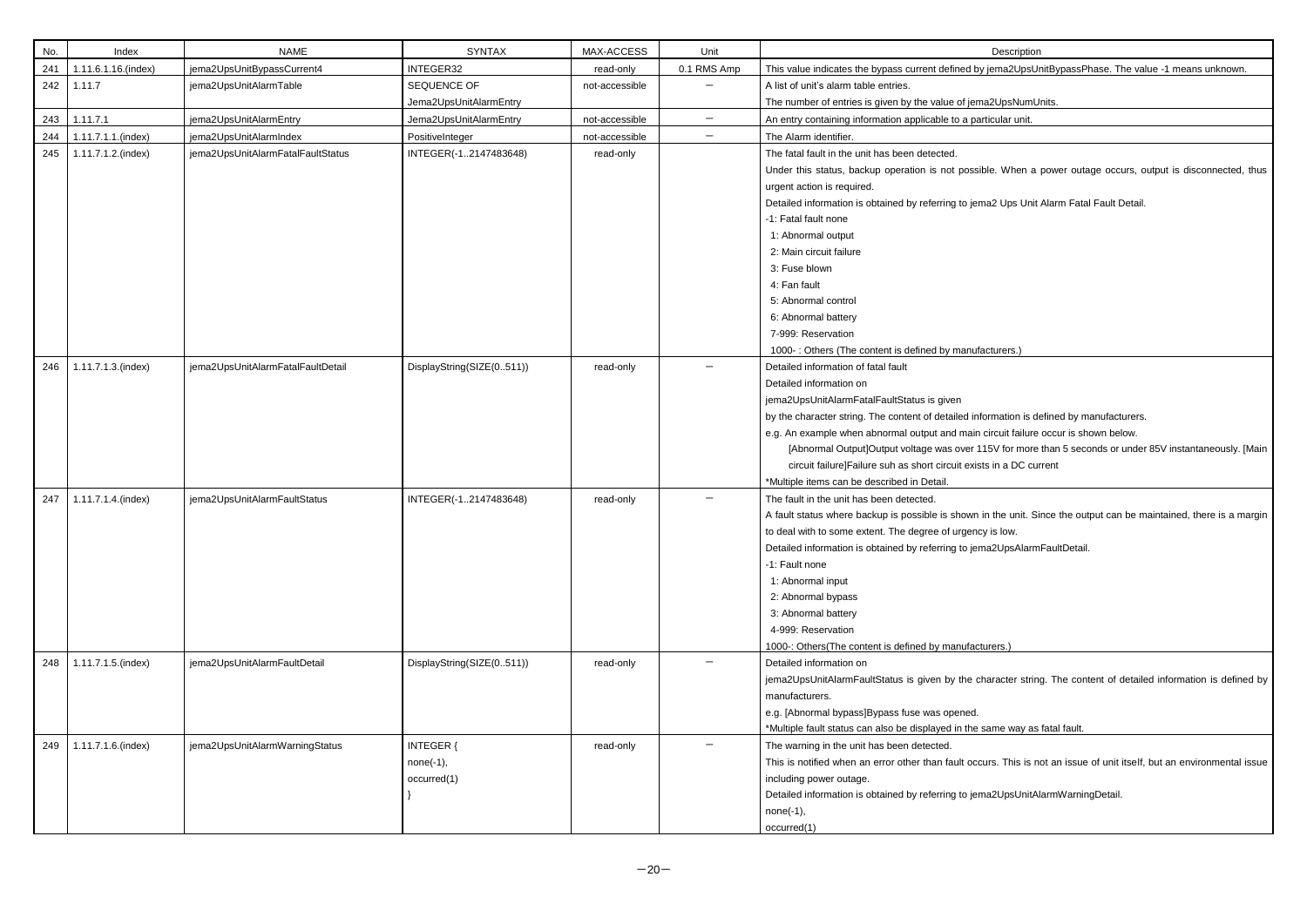| No. | Index               | <b>NAME</b>                       | <b>SYNTAX</b>                                  | MAX-ACCESS     | Unit                     | Description                                                                                                                                                                                                                                                                                                                                                                                                                     |
|-----|---------------------|-----------------------------------|------------------------------------------------|----------------|--------------------------|---------------------------------------------------------------------------------------------------------------------------------------------------------------------------------------------------------------------------------------------------------------------------------------------------------------------------------------------------------------------------------------------------------------------------------|
| 241 | 1.11.6.1.16.(index) | jema2UpsUnitBypassCurrent4        | INTEGER32                                      | read-only      | 0.1 RMS Amp              | This value indicates the bypass current defined by jema2UpsU                                                                                                                                                                                                                                                                                                                                                                    |
| 242 | 1.11.7              | jema2UpsUnitAlarmTable            | SEQUENCE OF                                    | not-accessible |                          | A list of unit's alarm table entries.                                                                                                                                                                                                                                                                                                                                                                                           |
|     |                     |                                   | Jema2UpsUnitAlarmEntry                         |                |                          | The number of entries is given by the value of jema2UpsNumU                                                                                                                                                                                                                                                                                                                                                                     |
| 243 | 1.11.7.1            | jema2UpsUnitAlarmEntry            | Jema2UpsUnitAlarmEntry                         | not-accessible | $\overline{\phantom{m}}$ | An entry containing information applicable to a particular unit.                                                                                                                                                                                                                                                                                                                                                                |
| 244 | 1.11.7.1.1.(index)  | jema2UpsUnitAlarmIndex            | PositiveInteger                                | not-accessible | $\overline{\phantom{m}}$ | The Alarm identifier.                                                                                                                                                                                                                                                                                                                                                                                                           |
| 245 | 1.11.7.1.2.(index)  | jema2UpsUnitAlarmFatalFaultStatus | INTEGER(-12147483648)                          | read-only      |                          | The fatal fault in the unit has been detected.<br>Under this status, backup operation is not possible. When a<br>urgent action is required.<br>Detailed information is obtained by referring to jema2 Ups Unit<br>-1: Fatal fault none<br>1: Abnormal output                                                                                                                                                                    |
|     |                     |                                   |                                                |                |                          | 2: Main circuit failure<br>3: Fuse blown<br>4: Fan fault<br>5: Abnormal control<br>6: Abnormal battery<br>7-999: Reservation<br>1000-: Others (The content is defined by manufacturers.)                                                                                                                                                                                                                                        |
| 246 | 1.11.7.1.3.(index)  | jema2UpsUnitAlarmFatalFaultDetail | DisplayString(SIZE(0511))                      | read-only      |                          | Detailed information of fatal fault<br>Detailed information on<br>jema2UpsUnitAlarmFatalFaultStatus is given<br>by the character string. The content of detailed information is do<br>e.g. An example when abnormal output and main circuit failure<br>[Abnormal Output]Output voltage was over 115V for more<br>circuit failure]Failure suh as short circuit exists in a DC cui<br>*Multiple items can be described in Detail. |
| 247 | 1.11.7.1.4.(index)  | jema2UpsUnitAlarmFaultStatus      | INTEGER(-12147483648)                          | read-only      |                          | The fault in the unit has been detected.<br>A fault status where backup is possible is shown in the unit. Si<br>to deal with to some extent. The degree of urgency is low.<br>Detailed information is obtained by referring to jema2UpsAlarm<br>-1: Fault none<br>1: Abnormal input<br>2: Abnormal bypass<br>3: Abnormal battery<br>4-999: Reservation<br>1000 -: Others (The content is defined by manufacturers.)             |
| 248 | 1.11.7.1.5.(index)  | jema2UpsUnitAlarmFaultDetail      | DisplayString(SIZE(0511))                      | read-only      |                          | Detailed information on<br>jema2UpsUnitAlarmFaultStatus is given by the character strin<br>manufacturers.<br>e.g. [Abnormal bypass]Bypass fuse was opened.<br>*Multiple fault status can also be displayed in the same way as                                                                                                                                                                                                   |
| 249 | 1.11.7.1.6.(index)  | jema2UpsUnitAlarmWarningStatus    | <b>INTEGER {</b><br>$none(-1),$<br>occurred(1) | read-only      |                          | The warning in the unit has been detected.<br>This is notified when an error other than fault occurs. This is n<br>including power outage.<br>Detailed information is obtained by referring to jema2UpsUnitAl<br>$none(-1),$<br>occurred(1)                                                                                                                                                                                     |

iema2UpsUnitBypassPhase. The value -1 means unknown.

na 2UpsNumUnits.

ble. When a power outage occurs, output is disconnected, thus

na2 Ups Unit Alarm Fatal Fault Detail.

ormation is defined by manufacturers.

circuit failure occur is shown below.

15V for more than 5 seconds or under 85V instantaneously. [Main ts in a DC current

in the unit. Since the output can be maintained, there is a margin y is low.

na2UpsAlarmFaultDetail.

haracter string. The content of detailed information is defined by

same way as fatal fault.

urs. This is not an issue of unit itself, but an environmental issue

na2UpsUnitAlarmWarningDetail.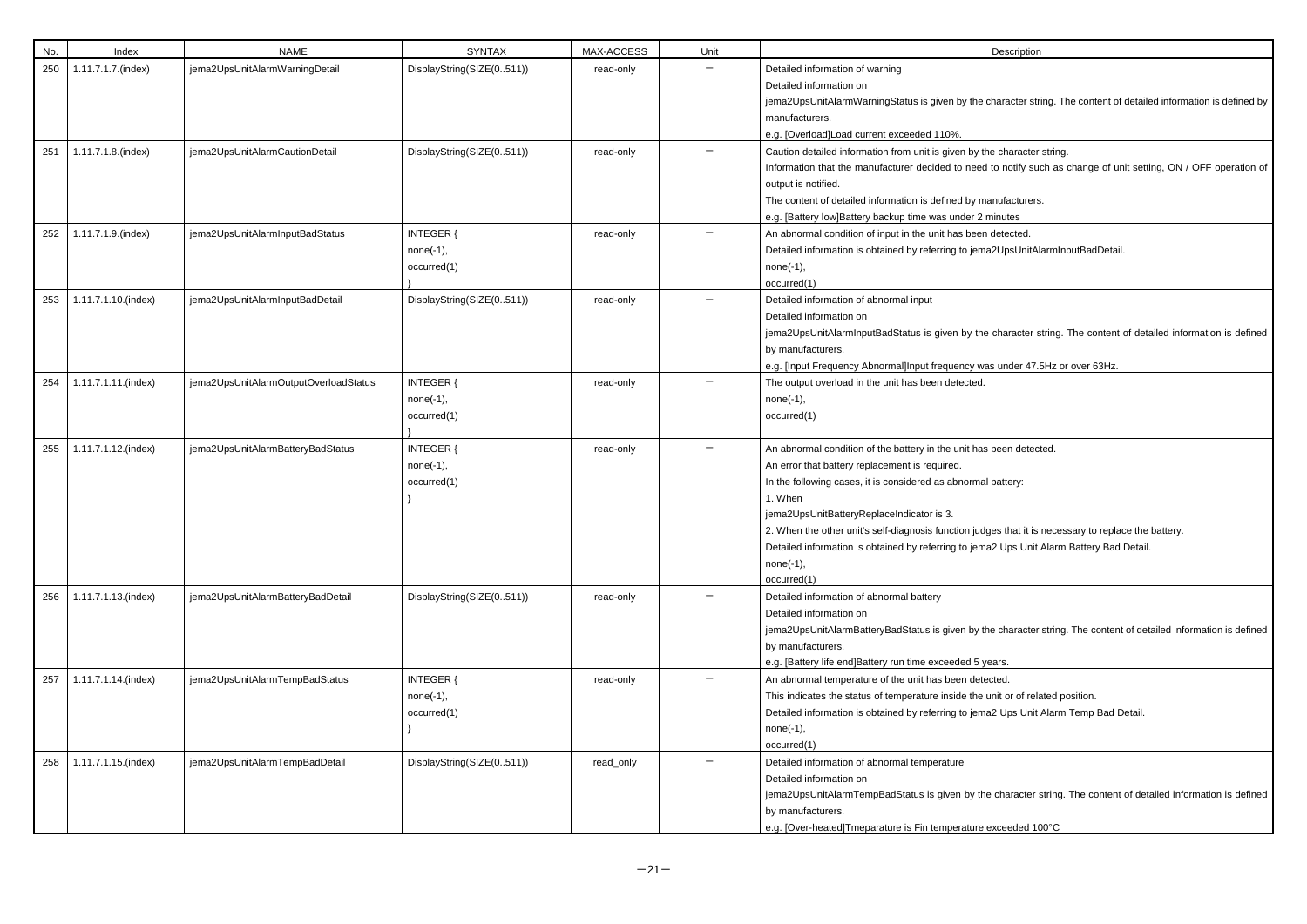| No. | Index               | <b>NAME</b>                           | <b>SYNTAX</b>                                  | MAX-ACCESS | Unit | Description                                                                                                                                                                                                                                                                                                                                                                                                                          |
|-----|---------------------|---------------------------------------|------------------------------------------------|------------|------|--------------------------------------------------------------------------------------------------------------------------------------------------------------------------------------------------------------------------------------------------------------------------------------------------------------------------------------------------------------------------------------------------------------------------------------|
| 250 | 1.11.7.1.7.(index)  | jema2UpsUnitAlarmWarningDetail        | DisplayString(SIZE(0511))                      | read-only  |      | Detailed information of warning<br>Detailed information on<br>jema2UpsUnitAlarmWarningStatus is given by the character string. Th<br>manufacturers.<br>e.g. [Overload]Load current exceeded 110%.                                                                                                                                                                                                                                    |
| 251 | 1.11.7.1.8.(index)  | jema2UpsUnitAlarmCautionDetail        | DisplayString(SIZE(0511))                      | read-only  |      | Caution detailed information from unit is given by the character string.<br>Information that the manufacturer decided to need to notify such as o<br>output is notified.<br>The content of detailed information is defined by manufacturers.<br>e.g. [Battery low]Battery backup time was under 2 minutes                                                                                                                            |
| 252 | 1.11.7.1.9.(index)  | jema2UpsUnitAlarmInputBadStatus       | <b>INTEGER {</b><br>$none(-1),$<br>occurred(1) | read-only  |      | An abnormal condition of input in the unit has been detected.<br>Detailed information is obtained by referring to jema2UpsUnitAlarmInp<br>$none(-1),$<br>occurred(1)                                                                                                                                                                                                                                                                 |
| 253 | 1.11.7.1.10.(index) | jema2UpsUnitAlarmInputBadDetail       | DisplayString(SIZE(0511))                      | read-only  |      | Detailed information of abnormal input<br>Detailed information on<br>jema2UpsUnitAlarmInputBadStatus is given by the character string. 1<br>by manufacturers.<br>e.g. [Input Frequency Abnormal]Input frequency was under 47.5Hz or                                                                                                                                                                                                  |
| 254 | 1.11.7.1.11.(index) | jema2UpsUnitAlarmOutputOverloadStatus | <b>INTEGER {</b><br>$none(-1),$<br>occurred(1) | read-only  |      | The output overload in the unit has been detected.<br>$none(-1),$<br>occurred(1)                                                                                                                                                                                                                                                                                                                                                     |
| 255 | 1.11.7.1.12.(index) | jema2UpsUnitAlarmBatteryBadStatus     | <b>INTEGER {</b><br>$none(-1),$<br>occurred(1) | read-only  |      | An abnormal condition of the battery in the unit has been detected.<br>An error that battery replacement is required.<br>In the following cases, it is considered as abnormal battery:<br>1. When<br>jema2UpsUnitBatteryReplaceIndicator is 3.<br>2. When the other unit's self-diagnosis function judges that it is necess<br>Detailed information is obtained by referring to jema2 Ups Unit Alarm I<br>$none(-1),$<br>occurred(1) |
| 256 | 1.11.7.1.13.(index) | jema2UpsUnitAlarmBatteryBadDetail     | DisplayString(SIZE(0511))                      | read-only  |      | Detailed information of abnormal battery<br>Detailed information on<br>jema2UpsUnitAlarmBatteryBadStatus is given by the character string.<br>by manufacturers.<br>e.g. [Battery life end]Battery run time exceeded 5 years.                                                                                                                                                                                                         |
| 257 | 1.11.7.1.14.(index) | jema2UpsUnitAlarmTempBadStatus        | <b>INTEGER {</b><br>$none(-1),$<br>occurred(1) | read-only  |      | An abnormal temperature of the unit has been detected.<br>This indicates the status of temperature inside the unit or of related po<br>Detailed information is obtained by referring to jema2 Ups Unit Alarm<br>$none(-1),$<br>occurred(1)                                                                                                                                                                                           |
| 258 | 1.11.7.1.15.(index) | jema2UpsUnitAlarmTempBadDetail        | DisplayString(SIZE(0511))                      | read_only  |      | Detailed information of abnormal temperature<br>Detailed information on<br>jema2UpsUnitAlarmTempBadStatus is given by the character string.<br>by manufacturers.<br>e.g. [Over-heated]Tmeparature is Fin temperature exceeded 100°C                                                                                                                                                                                                  |

| Description |  |
|-------------|--|
|             |  |

character string. The content of detailed information is defined by

d to notify such as change of unit setting, ON / OFF operation of

na2UpsUnitAlarmInputBadDetail.

le character string. The content of detailed information is defined

as under 47.5Hz or over 63Hz.

dges that it is necessary to replace the battery. na2 Ups Unit Alarm Battery Bad Detail.

the character string. The content of detailed information is defined

unit or of related position.

na2 Ups Unit Alarm Temp Bad Detail.

he character string. The content of detailed information is defined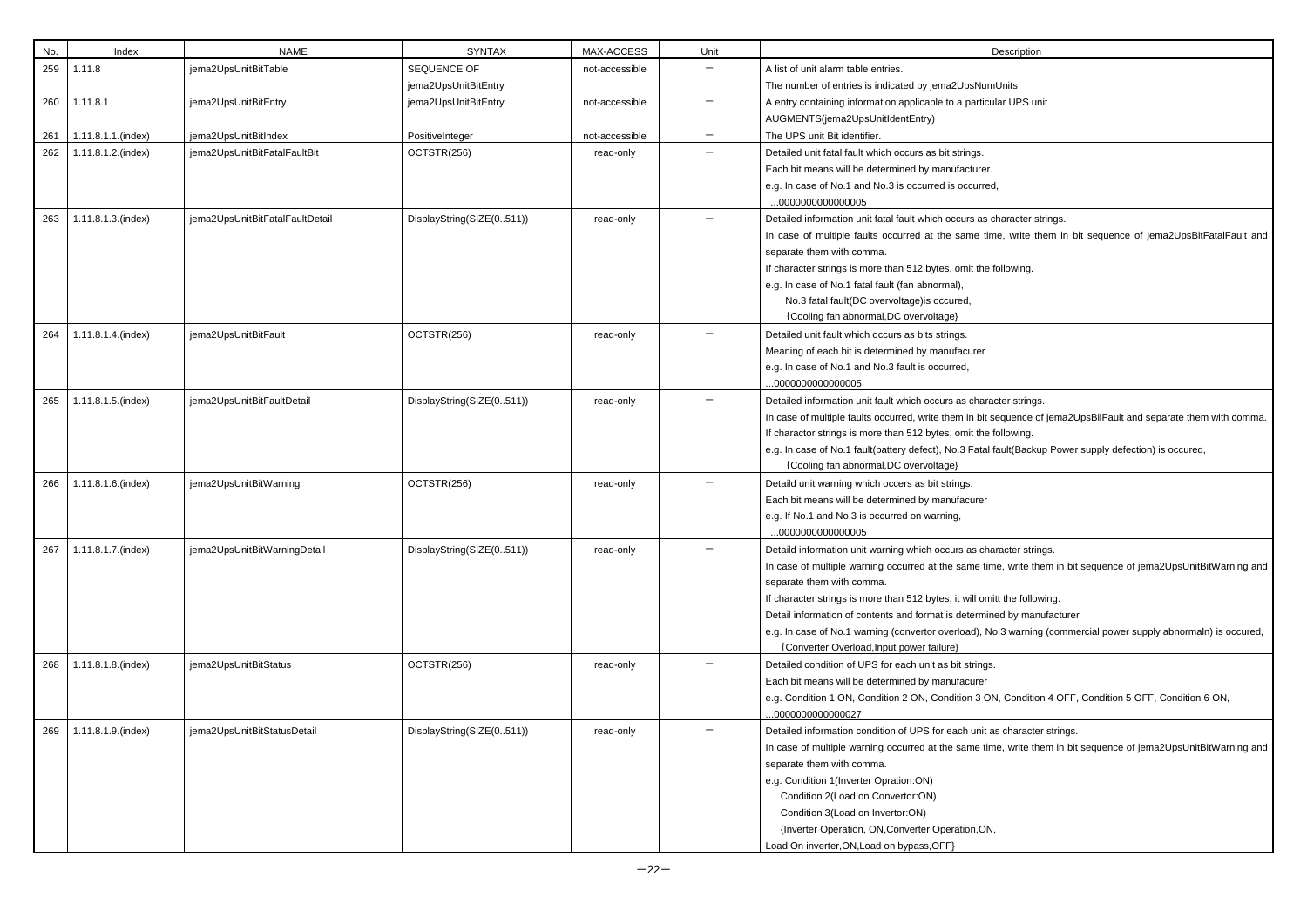| No. | Index              | <b>NAME</b>                     | <b>SYNTAX</b>             | MAX-ACCESS     | Unit                     | Description                                                               |
|-----|--------------------|---------------------------------|---------------------------|----------------|--------------------------|---------------------------------------------------------------------------|
| 259 | 1.11.8             | jema2UpsUnitBitTable            | SEQUENCE OF               | not-accessible |                          | A list of unit alarm table entries.                                       |
|     |                    |                                 | jema2UpsUnitBitEntry      |                |                          | The number of entries is indicated by jema2UpsNumUnits                    |
| 260 | 1.11.8.1           | jema2UpsUnitBitEntry            | jema2UpsUnitBitEntry      | not-accessible | $\qquad \qquad -$        | A entry containing information applicable to a particular UPS unit        |
|     |                    |                                 |                           |                |                          | AUGMENTS(jema2UpsUnitIdentEntry)                                          |
| 261 | 1.11.8.1.1.(index) | jema2UpsUnitBitIndex            | PositiveInteger           | not-accessible | $\overline{\phantom{m}}$ | The UPS unit Bit identifier.                                              |
| 262 | 1.11.8.1.2.(index) | jema2UpsUnitBitFatalFaultBit    | OCTSTR(256)               | read-only      |                          | Detailed unit fatal fault which occurs as bit strings.                    |
|     |                    |                                 |                           |                |                          | Each bit means will be determined by manufacturer.                        |
|     |                    |                                 |                           |                |                          | e.g. In case of No.1 and No.3 is occurred is occurred,                    |
|     |                    |                                 |                           |                |                          | 000000000000005                                                           |
| 263 | 1.11.8.1.3.(index) | jema2UpsUnitBitFatalFaultDetail | DisplayString(SIZE(0511)) | read-only      |                          | Detailed information unit fatal fault which occurs as character strings.  |
|     |                    |                                 |                           |                |                          | In case of multiple faults occurred at the same time, write them in b     |
|     |                    |                                 |                           |                |                          | separate them with comma.                                                 |
|     |                    |                                 |                           |                |                          | If character strings is more than 512 bytes, omit the following.          |
|     |                    |                                 |                           |                |                          | e.g. In case of No.1 fatal fault (fan abnormal),                          |
|     |                    |                                 |                           |                |                          | No.3 fatal fault(DC overvoltage) is occured,                              |
|     |                    |                                 |                           |                |                          | {Cooling fan abnormal, DC overvoltage}                                    |
| 264 | 1.11.8.1.4.(index) | jema2UpsUnitBitFault            | OCTSTR(256)               | read-only      |                          | Detailed unit fault which occurs as bits strings.                         |
|     |                    |                                 |                           |                |                          | Meaning of each bit is determined by manufacurer                          |
|     |                    |                                 |                           |                |                          | e.g. In case of No.1 and No.3 fault is occurred,                          |
|     |                    |                                 |                           |                |                          | 000000000000005                                                           |
| 265 | 1.11.8.1.5.(index) | jema2UpsUnitBitFaultDetail      | DisplayString(SIZE(0511)) | read-only      | $\qquad \qquad -$        | Detailed information unit fault which occurs as character strings.        |
|     |                    |                                 |                           |                |                          | In case of multiple faults occurred, write them in bit sequence of jema2l |
|     |                    |                                 |                           |                |                          | If charactor strings is more than 512 bytes, omit the following.          |
|     |                    |                                 |                           |                |                          | e.g. In case of No.1 fault(battery defect), No.3 Fatal fault(Backup Power |
|     |                    |                                 |                           |                |                          | {Cooling fan abnormal, DC overvoltage}                                    |
| 266 | 1.11.8.1.6.(index) | jema2UpsUnitBitWarning          | OCTSTR(256)               | read-only      |                          | Detaild unit warning which occers as bit strings.                         |
|     |                    |                                 |                           |                |                          | Each bit means will be determined by manufacurer                          |
|     |                    |                                 |                           |                |                          | e.g. If No.1 and No.3 is occurred on warning,                             |
|     |                    |                                 |                           |                |                          | 000000000000005                                                           |
| 267 | 1.11.8.1.7.(index) | jema2UpsUnitBitWarningDetail    | DisplayString(SIZE(0511)) | read-only      |                          | Detaild information unit warning which occurs as character strings.       |
|     |                    |                                 |                           |                |                          | In case of multiple warning occurred at the same time, write them in bit  |
|     |                    |                                 |                           |                |                          | separate them with comma.                                                 |
|     |                    |                                 |                           |                |                          | If character strings is more than 512 bytes, it will omitt the following. |
|     |                    |                                 |                           |                |                          | Detail information of contents and format is determined by manufacture    |
|     |                    |                                 |                           |                |                          | e.g. In case of No.1 warning (convertor overload), No.3 warning (comm     |
|     |                    |                                 |                           |                |                          | {Converter Overload, Input power failure}                                 |
| 268 | 1.11.8.1.8.(index) | jema2UpsUnitBitStatus           | OCTSTR(256)               | read-only      |                          | Detailed condition of UPS for each unit as bit strings.                   |
|     |                    |                                 |                           |                |                          | Each bit means will be determined by manufacurer                          |
|     |                    |                                 |                           |                |                          | e.g. Condition 1 ON, Condition 2 ON, Condition 3 ON, Condition 4 OFF      |
|     |                    |                                 |                           |                |                          | 000000000000027                                                           |
| 269 | 1.11.8.1.9.(index) | jema2UpsUnitBitStatusDetail     | DisplayString(SIZE(0511)) | read-only      |                          | Detailed information condition of UPS for each unit as character strings. |
|     |                    |                                 |                           |                |                          | In case of multiple warning occurred at the same time, write them in bit  |
|     |                    |                                 |                           |                |                          | separate them with comma.                                                 |
|     |                    |                                 |                           |                |                          | e.g. Condition 1(Inverter Opration:ON)                                    |
|     |                    |                                 |                           |                |                          | Condition 2(Load on Convertor:ON)                                         |
|     |                    |                                 |                           |                |                          | Condition 3(Load on Invertor:ON)                                          |
|     |                    |                                 |                           |                |                          | {Inverter Operation, ON, Converter Operation, ON,                         |
|     |                    |                                 |                           |                |                          | Load On inverter, ON, Load on bypass, OFF}                                |

## **mUnits**

time, write them in bit sequence of jema2UpsBitFatalFault and

In sequence of jema2UpsBilFault and separate them with comma. **If** charactor strings is not

al fault(Backup Power supply defection) is occured,

time, write them in bit sequence of jema2UpsUnitBitWarning and

No.3 warning (commercial power supply abnormaln) is occured,

ON, Condition 4 OFF, Condition 5 OFF, Condition 6 ON,

time, write them in bit sequence of jema2UpsUnitBitWarning and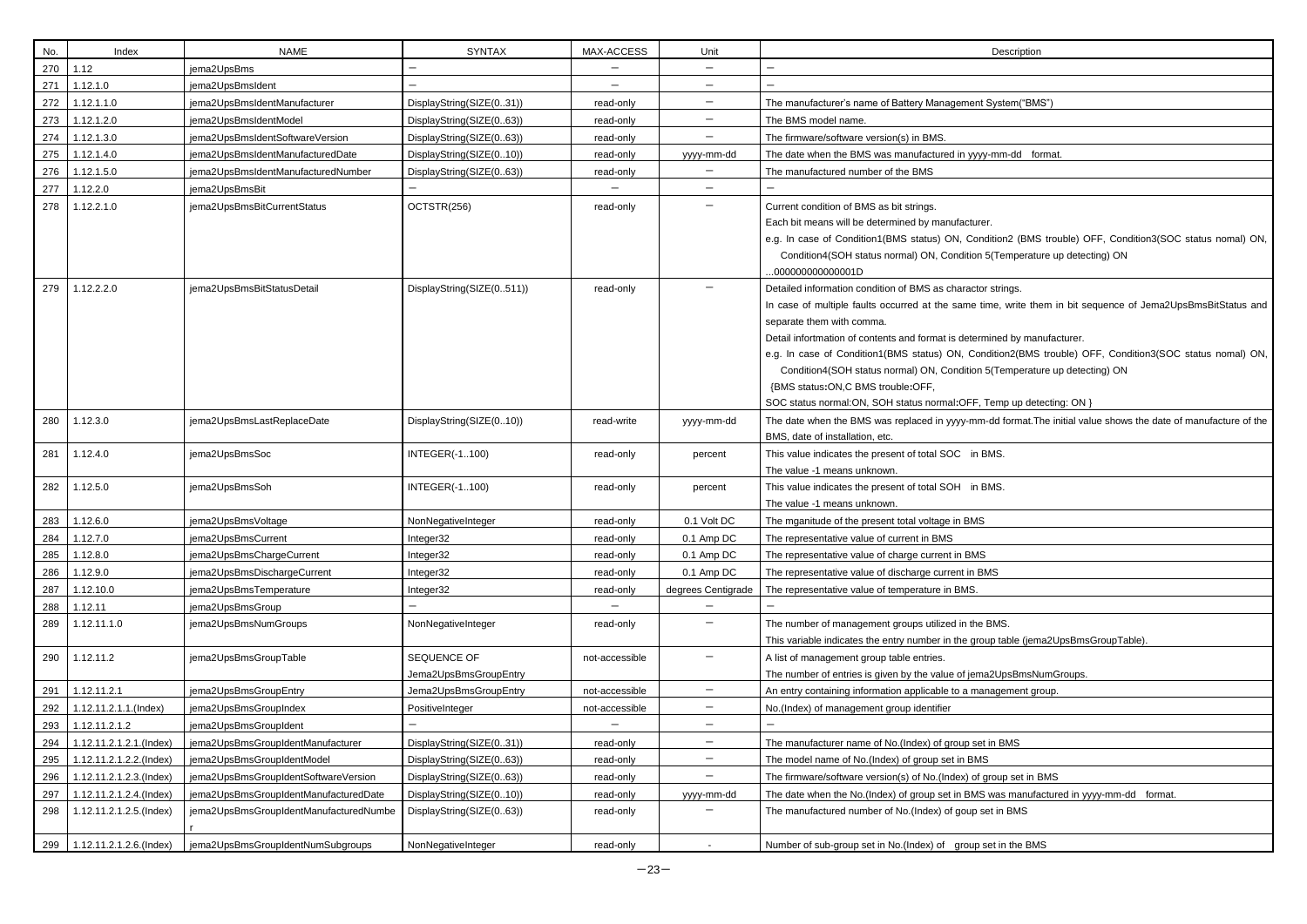| Each bit means will be determined by manufacturer.                                                              |
|-----------------------------------------------------------------------------------------------------------------|
| e.g. In case of Condition1(BMS status) ON, Condition2 (BMS trouble) OFF, Condition3(SOC status nomal) ON,       |
| Condition4(SOH status normal) ON, Condition 5(Temperature up detecting) ON                                      |
| $000000000000001$ D                                                                                             |
| Detailed information condition of BMS as charactor strings.                                                     |
| In case of multiple faults occurred at the same time, write them in bit sequence of Jema2UpsBmsBitStatus and    |
| separate them with comma.                                                                                       |
| Detail infortmation of contents and format is determined by manufacturer.                                       |
| e.g. In case of Condition1(BMS status) ON, Condition2(BMS trouble) OFF, Condition3(SOC status nomal) ON,        |
| Condition4(SOH status normal) ON, Condition 5(Temperature up detecting) ON                                      |
| {BMS status: ON, C BMS trouble: OFF,                                                                            |
| SOC status normal: ON, SOH status normal: OFF, Temp up detecting: ON }                                          |
| The date when the BMS was replaced in yyyy-mm-dd format. The initial value shows the date of manufacture of the |
| BMS, date of installation, etc.                                                                                 |
| This value indicates the present of total SOC in BMS.                                                           |
| The value -1 means unknown.                                                                                     |
| This value indicates the present of total SOH in BMS.                                                           |
| The value -1 means unknown.                                                                                     |
| The mganitude of the present total voltage in BMS                                                               |
| The representative value of current in BMS                                                                      |
| The representative value of charge current in BMS                                                               |
| The representative value of discharge current in BMS                                                            |
| The representative value of temperature in BMS.                                                                 |
|                                                                                                                 |
| The number of management groups utilized in the BMS.                                                            |
| This variable indicates the entry number in the group table (jema2UpsBmsGroupTable).                            |
| A list of management group table entries.                                                                       |
| The number of entries is given by the value of jema2UpsBmsNumGroups.                                            |
| An entry containing information applicable to a management group.                                               |
| No.(Index) of management group identifier                                                                       |
|                                                                                                                 |
| The manufacturer name of No.(Index) of group set in BMS                                                         |
| The model name of No.(Index) of group set in BMS                                                                |
| The firmware/software version(s) of No.(Index) of group set in BMS                                              |
| The date when the No.(Index) of group set in BMS was manufactured in yyyy-mm-dd format.                         |
| The manufactured number of No.(Index) of goup set in BMS                                                        |
| Number of sub-group set in No. (Index) of group set in the BMS                                                  |

| No. | Index                       | <b>NAME</b>                            | <b>SYNTAX</b>             | MAX-ACCESS               | Unit                     | Description                                                                                                     |
|-----|-----------------------------|----------------------------------------|---------------------------|--------------------------|--------------------------|-----------------------------------------------------------------------------------------------------------------|
| 270 | 1.12                        | jema2UpsBms                            |                           |                          | $\qquad \qquad -$        |                                                                                                                 |
| 271 | 1.12.1.0                    | jema2UpsBmsIdent                       |                           | $\overline{\phantom{0}}$ |                          |                                                                                                                 |
|     | 272 1.12.1.1.0              | jema2UpsBmsIdentManufacturer           | DisplayString(SIZE(031))  | read-only                | $\qquad \qquad -$        | The manufacturer's name of Battery Management System("BMS")                                                     |
|     | 273 1.12.1.2.0              | jema2UpsBmsIdentModel                  | DisplayString(SIZE(063))  | read-only                | $\overline{\phantom{0}}$ | The BMS model name.                                                                                             |
|     | 274 1.12.1.3.0              | jema2UpsBmsIdentSoftwareVersion        | DisplayString(SIZE(063))  | read-only                | —                        | The firmware/software version(s) in BMS.                                                                        |
|     | 275 1.12.1.4.0              | jema2UpsBmsIdentManufacturedDate       | DisplayString(SIZE(010))  | read-only                | yyyy-mm-dd               | The date when the BMS was manufactured in yyyy-mm-dd format.                                                    |
|     | 276 1.12.1.5.0              | jema2UpsBmsIdentManufacturedNumber     | DisplayString(SIZE(063))  | read-only                |                          | The manufactured number of the BMS                                                                              |
| 277 | 1.12.2.0                    | jema2UpsBmsBit                         |                           |                          | $\qquad \qquad -$        |                                                                                                                 |
| 278 | 1.12.2.1.0                  | jema2UpsBmsBitCurrentStatus            | OCTSTR(256)               | read-only                |                          | Current condition of BMS as bit strings.                                                                        |
|     |                             |                                        |                           |                          |                          | Each bit means will be determined by manufacturer.                                                              |
|     |                             |                                        |                           |                          |                          | e.g. In case of Condition1(BMS status) ON, Condition2 (BMS trouble) OFF, Condition3(SOC status nomal) ON,       |
|     |                             |                                        |                           |                          |                          | Condition4(SOH status normal) ON, Condition 5(Temperature up detecting) ON                                      |
|     |                             |                                        |                           |                          |                          | 000000000000001D                                                                                                |
| 279 | 1.12.2.2.0                  | jema2UpsBmsBitStatusDetail             | DisplayString(SIZE(0511)) | read-only                |                          | Detailed information condition of BMS as charactor strings.                                                     |
|     |                             |                                        |                           |                          |                          | In case of multiple faults occurred at the same time, write them in bit sequence of Jema2UpsBmsBitStatus and    |
|     |                             |                                        |                           |                          |                          | separate them with comma.                                                                                       |
|     |                             |                                        |                           |                          |                          | Detail infortmation of contents and format is determined by manufacturer.                                       |
|     |                             |                                        |                           |                          |                          | e.g. In case of Condition1(BMS status) ON, Condition2(BMS trouble) OFF, Condition3(SOC status nomal) ON,        |
|     |                             |                                        |                           |                          |                          | Condition4(SOH status normal) ON, Condition 5(Temperature up detecting) ON                                      |
|     |                             |                                        |                           |                          |                          | {BMS status: ON, C BMS trouble: OFF,                                                                            |
|     |                             |                                        |                           |                          |                          | SOC status normal: ON, SOH status normal: OFF, Temp up detecting: ON }                                          |
| 280 | 1.12.3.0                    | jema2UpsBmsLastReplaceDate             | DisplayString(SIZE(010))  | read-write               | yyyy-mm-dd               | The date when the BMS was replaced in yyyy-mm-dd format. The initial value shows the date of manufacture of the |
|     |                             |                                        |                           |                          |                          | BMS, date of installation, etc.                                                                                 |
| 281 | 1.12.4.0                    | jema2UpsBmsSoc                         | <b>INTEGER(-1100)</b>     | read-only                | percent                  | This value indicates the present of total SOC in BMS.                                                           |
|     |                             |                                        |                           |                          |                          | The value -1 means unknown.                                                                                     |
| 282 | 1.12.5.0                    | jema2UpsBmsSoh                         | <b>INTEGER(-1100)</b>     | read-only                | percent                  | This value indicates the present of total SOH in BMS.                                                           |
|     |                             |                                        |                           |                          |                          | The value -1 means unknown.                                                                                     |
| 283 | 1.12.6.0                    | jema2UpsBmsVoltage                     | NonNegativeInteger        | read-only                | 0.1 Volt DC              | The mganitude of the present total voltage in BMS                                                               |
| 284 | 1.12.7.0                    | jema2UpsBmsCurrent                     | Integer32                 | read-only                | 0.1 Amp DC               | The representative value of current in BMS                                                                      |
| 285 | 1.12.8.0                    | jema2UpsBmsChargeCurrent               | Integer32                 | read-only                | 0.1 Amp DC               | The representative value of charge current in BMS                                                               |
| 286 | 1.12.9.0                    | jema2UpsBmsDischargeCurrent            | Integer32                 | read-only                | 0.1 Amp DC               | The representative value of discharge current in BMS                                                            |
| 287 | 1.12.10.0                   | jema2UpsBmsTemperature                 | Integer32                 | read-only                | degrees Centigrade       | The representative value of temperature in BMS.                                                                 |
| 288 | 1.12.11                     | jema2UpsBmsGroup                       |                           |                          |                          |                                                                                                                 |
| 289 | 1.12.11.1.0                 | jema2UpsBmsNumGroups                   | NonNegativeInteger        | read-only                | $\qquad \qquad -$        | The number of management groups utilized in the BMS.                                                            |
|     |                             |                                        |                           |                          |                          | This variable indicates the entry number in the group table (jema2UpsBmsGroupTable).                            |
| 290 | 1.12.11.2                   | jema2UpsBmsGroupTable                  | SEQUENCE OF               | not-accessible           | $\qquad \qquad -$        | A list of management group table entries.                                                                       |
|     |                             |                                        | Jema2UpsBmsGroupEntry     |                          |                          | The number of entries is given by the value of jema2UpsBmsNumGroups.                                            |
| 291 | 1.12.11.2.1                 | jema2UpsBmsGroupEntry                  | Jema2UpsBmsGroupEntry     | not-accessible           | $\qquad \qquad -$        | An entry containing information applicable to a management group.                                               |
| 292 | 1.12.11.2.1.1.(Index)       | jema2UpsBmsGroupIndex                  | PositiveInteger           | not-accessible           | $-$                      | No.(Index) of management group identifier                                                                       |
| 293 | 1.12.11.2.1.2               | jema2UpsBmsGroupIdent                  |                           |                          | $\qquad \qquad -$        |                                                                                                                 |
| 294 | 1.12.11.2.1.2.1.(Index)     | jema2UpsBmsGroupIdentManufacturer      | DisplayString(SIZE(031))  | read-only                | $\qquad \qquad -$        | The manufacturer name of No.(Index) of group set in BMS                                                         |
| 295 | 1.12.11.2.1.2.2.(Index)     | jema2UpsBmsGroupIdentModel             | DisplayString(SIZE(063))  | read-only                | $\overline{\phantom{0}}$ | The model name of No.(Index) of group set in BMS                                                                |
| 296 | 1.12.11.2.1.2.3.(Index)     | jema2UpsBmsGroupIdentSoftwareVersion   | DisplayString(SIZE(063))  | read-only                | $\qquad \qquad -$        | The firmware/software version(s) of No.(Index) of group set in BMS                                              |
| 297 | 1.12.11.2.1.2.4.(Index)     | jema2UpsBmsGroupIdentManufacturedDate  | DisplayString(SIZE(010))  | read-only                | yyyy-mm-dd               | The date when the No.(Index) of group set in BMS was manufactured in yyyy-mm-dd format.                         |
| 298 | 1.12.11.2.1.2.5.(Index)     | jema2UpsBmsGroupIdentManufacturedNumbe | DisplayString(SIZE(063))  | read-only                |                          | The manufactured number of No.(Index) of goup set in BMS                                                        |
|     |                             |                                        |                           |                          |                          |                                                                                                                 |
|     | 299 1.12.11.2.1.2.6.(Index) | jema2UpsBmsGroupIdentNumSubgroups      | NonNegativeInteger        | read-only                |                          | Number of sub-group set in No.(Index) of group set in the BMS                                                   |
|     |                             |                                        |                           |                          |                          |                                                                                                                 |

| Description |
|-------------|
|-------------|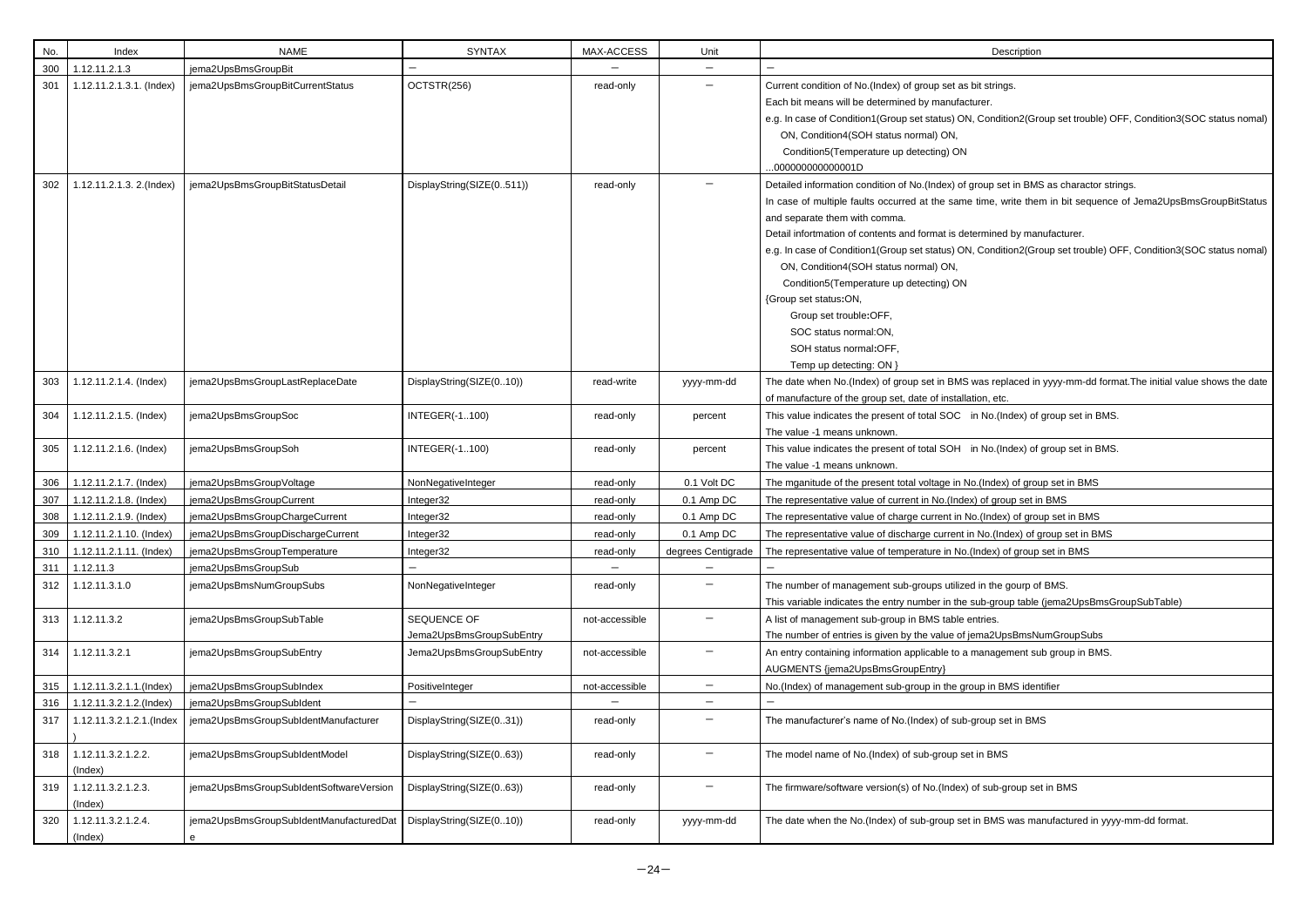| No. | Index                         | <b>NAME</b>                                  | <b>SYNTAX</b>                           | MAX-ACCESS     | Unit                     | Description                                                                                                                                                                                                                                                                                                                                                                                                                                                                                                                                            |
|-----|-------------------------------|----------------------------------------------|-----------------------------------------|----------------|--------------------------|--------------------------------------------------------------------------------------------------------------------------------------------------------------------------------------------------------------------------------------------------------------------------------------------------------------------------------------------------------------------------------------------------------------------------------------------------------------------------------------------------------------------------------------------------------|
| 300 | 1.12.11.2.1.3                 | jema2UpsBmsGroupBit                          |                                         |                |                          |                                                                                                                                                                                                                                                                                                                                                                                                                                                                                                                                                        |
| 301 | 1.12.11.2.1.3.1. (Index)      | jema2UpsBmsGroupBitCurrentStatus             | OCTSTR(256)                             | read-only      |                          | Current condition of No.(Index) of group set as bit strings.<br>Each bit means will be determined by manufacturer.<br>e.g. In case of Condition1(Group set status) ON, Condition2(Group se<br>ON, Condition4(SOH status normal) ON,<br>Condition5(Temperature up detecting) ON<br>00000000000001D                                                                                                                                                                                                                                                      |
| 302 | 1.12.11.2.1.3. 2.(Index)      | jema2UpsBmsGroupBitStatusDetail              | DisplayString(SIZE(0511))               | read-only      |                          | Detailed information condition of No.(Index) of group set in BMS as cl<br>In case of multiple faults occurred at the same time, write them in b<br>and separate them with comma.<br>Detail infortmation of contents and format is determined by manufactu<br>e.g. In case of Condition1(Group set status) ON, Condition2(Group se<br>ON, Condition4(SOH status normal) ON,<br>Condition5(Temperature up detecting) ON<br>{Group set status:ON,<br>Group set trouble:OFF,<br>SOC status normal:ON,<br>SOH status normal:OFF,<br>Temp up detecting: ON } |
| 303 | 1.12.11.2.1.4. (Index)        | jema2UpsBmsGroupLastReplaceDate              | DisplayString(SIZE(010))                | read-write     | yyyy-mm-dd               | The date when No.(Index) of group set in BMS was replaced in yyyy-<br>of manufacture of the group set, date of installation, etc.                                                                                                                                                                                                                                                                                                                                                                                                                      |
| 304 | 1.12.11.2.1.5. (Index)        | jema2UpsBmsGroupSoc                          | <b>INTEGER(-1100)</b>                   | read-only      | percent                  | This value indicates the present of total SOC in No.(Index) of group<br>The value -1 means unknown.                                                                                                                                                                                                                                                                                                                                                                                                                                                    |
| 305 | 1.12.11.2.1.6. (Index)        | jema2UpsBmsGroupSoh                          | <b>INTEGER(-1100)</b>                   | read-only      | percent                  | This value indicates the present of total SOH in No.(Index) of group<br>The value -1 means unknown.                                                                                                                                                                                                                                                                                                                                                                                                                                                    |
| 306 | 1.12.11.2.1.7. (Index)        | jema2UpsBmsGroupVoltage                      | NonNegativeInteger                      | read-only      | 0.1 Volt DC              | The mganitude of the present total voltage in No.(Index) of group set                                                                                                                                                                                                                                                                                                                                                                                                                                                                                  |
| 307 | 1.12.11.2.1.8. (Index)        | jema2UpsBmsGroupCurrent                      | Integer32                               | read-only      | 0.1 Amp DC               | The representative value of current in No.(Index) of group set in BMS                                                                                                                                                                                                                                                                                                                                                                                                                                                                                  |
| 308 | 1.12.11.2.1.9. (Index)        | jema2UpsBmsGroupChargeCurrent                | Integer32                               | read-only      | 0.1 Amp DC               | The representative value of charge current in No.(Index) of group set                                                                                                                                                                                                                                                                                                                                                                                                                                                                                  |
| 309 | 1.12.11.2.1.10. (Index)       | jema2UpsBmsGroupDischargeCurrent             | Integer32                               | read-only      | 0.1 Amp DC               | The representative value of discharge current in No.(Index) of group s                                                                                                                                                                                                                                                                                                                                                                                                                                                                                 |
| 310 | 1.12.11.2.1.11. (Index)       | jema2UpsBmsGroupTemperature                  | Integer32                               | read-only      | degrees Centigrade       | The representative value of temperature in No.(Index) of group set in                                                                                                                                                                                                                                                                                                                                                                                                                                                                                  |
| 311 | 1.12.11.3                     | jema2UpsBmsGroupSub                          |                                         |                |                          |                                                                                                                                                                                                                                                                                                                                                                                                                                                                                                                                                        |
| 312 | 1.12.11.3.1.0                 | jema2UpsBmsNumGroupSubs                      | NonNegativeInteger                      | read-only      | $\qquad \qquad -$        | The number of management sub-groups utilized in the gourp of BMS.<br>This variable indicates the entry number in the sub-group table (jema                                                                                                                                                                                                                                                                                                                                                                                                             |
| 313 | 1.12.11.3.2                   | jema2UpsBmsGroupSubTable                     | SEQUENCE OF<br>Jema2UpsBmsGroupSubEntry | not-accessible |                          | A list of management sub-group in BMS table entries.<br>The number of entries is given by the value of jema2UpsBmsNumGrd                                                                                                                                                                                                                                                                                                                                                                                                                               |
| 314 | 1.12.11.3.2.1                 | jema2UpsBmsGroupSubEntry                     | Jema2UpsBmsGroupSubEntry                | not-accessible | —                        | An entry containing information applicable to a management sub grou<br>AUGMENTS {jema2UpsBmsGroupEntry}                                                                                                                                                                                                                                                                                                                                                                                                                                                |
| 315 | 1.12.11.3.2.1.1.(Index)       | jema2UpsBmsGroupSubIndex                     | PositiveInteger                         | not-accessible | $\overline{\phantom{0}}$ | No.(Index) of management sub-group in the group in BMS identifier                                                                                                                                                                                                                                                                                                                                                                                                                                                                                      |
| 316 | 1.12.11.3.2.1.2.(Index)       | jema2UpsBmsGroupSubldent                     |                                         |                |                          |                                                                                                                                                                                                                                                                                                                                                                                                                                                                                                                                                        |
| 317 | 1.12.11.3.2.1.2.1.(Index      | jema2UpsBmsGroupSubIdentManufacturer         | DisplayString(SIZE(031))                | read-only      |                          | The manufacturer's name of No.(Index) of sub-group set in BMS                                                                                                                                                                                                                                                                                                                                                                                                                                                                                          |
| 318 | 1.12.11.3.2.1.2.2.<br>(Index) | jema2UpsBmsGroupSubIdentModel                | DisplayString(SIZE(063))                | read-only      |                          | The model name of No.(Index) of sub-group set in BMS                                                                                                                                                                                                                                                                                                                                                                                                                                                                                                   |
| 319 | 1.12.11.3.2.1.2.3.<br>(Index) | jema2UpsBmsGroupSubIdentSoftwareVersion      | DisplayString(SIZE(063))                | read-only      |                          | The firmware/software version(s) of No.(Index) of sub-group set in BN                                                                                                                                                                                                                                                                                                                                                                                                                                                                                  |
| 320 | 1.12.11.3.2.1.2.4.<br>(Index) | jema2UpsBmsGroupSubIdentManufacturedDat<br>е | DisplayString(SIZE(010))                | read-only      | yyyy-mm-dd               | The date when the No.(Index) of sub-group set in BMS was manufact                                                                                                                                                                                                                                                                                                                                                                                                                                                                                      |

Condition2(Group set trouble) OFF, Condition3(SOC status nomal)

up set in BMS as charactor strings.

me, write them in bit sequence of Jema2UpsBmsGroupBitStatus

mined by manufacturer. Condition2(Group set trouble) OFF, Condition3(SOC status nomal)

as replaced in yyyy-mm-dd format.The initial value shows the date n, etc.

No.(Index) of group set in BMS.

No.(Index) of group set in BMS.

Index) of group set in BMS

(Index) of group set in BMS **Jo.** (Index) of group set in BMS

dex) of group set in BMS

b-group table (jema2UpsBmsGroupSubTable)

na 2Ups BmsNum Group Subs

anagement sub group in BMS.

sub-group set in BMS

BMS was manufactured in yyyy-mm-dd format.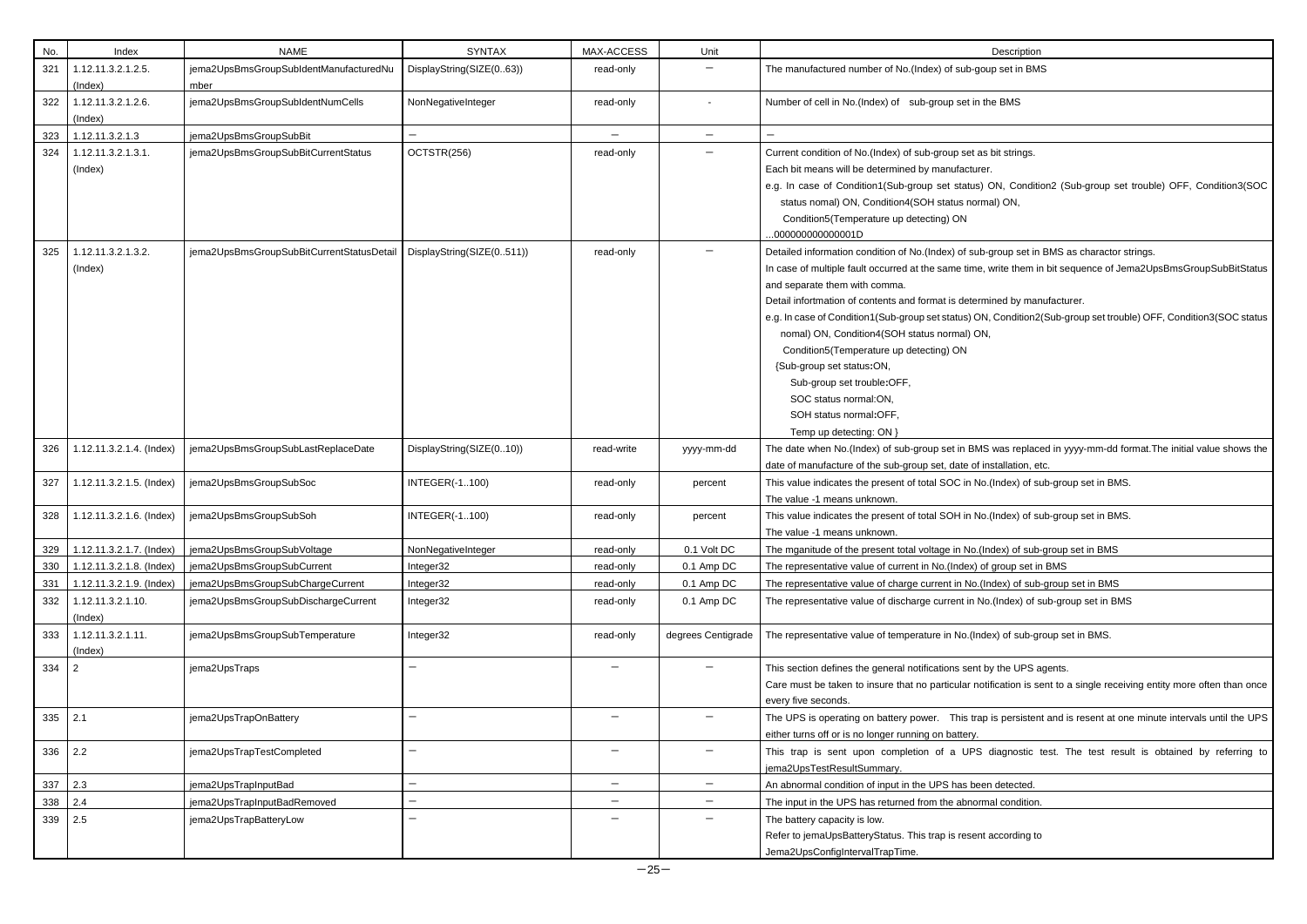| No. | Index                         | <b>NAME</b>                               | <b>SYNTAX</b>             | MAX-ACCESS        | Unit               | Description                                                                                                                                                                                                                                                                                                                                                                                                                                                                                                                                                                |
|-----|-------------------------------|-------------------------------------------|---------------------------|-------------------|--------------------|----------------------------------------------------------------------------------------------------------------------------------------------------------------------------------------------------------------------------------------------------------------------------------------------------------------------------------------------------------------------------------------------------------------------------------------------------------------------------------------------------------------------------------------------------------------------------|
| 321 | 1.12.11.3.2.1.2.5.            | jema2UpsBmsGroupSubIdentManufacturedNu    | DisplayString(SIZE(063))  | read-only         |                    | The manufactured number of No.(Index) of sub-goup set in BMS                                                                                                                                                                                                                                                                                                                                                                                                                                                                                                               |
|     | (Index)                       | mber                                      |                           |                   |                    |                                                                                                                                                                                                                                                                                                                                                                                                                                                                                                                                                                            |
| 322 | 1.12.11.3.2.1.2.6.<br>(Index) | jema2UpsBmsGroupSubIdentNumCells          | NonNegativeInteger        | read-only         |                    | Number of cell in No.(Index) of sub-group set in the BMS                                                                                                                                                                                                                                                                                                                                                                                                                                                                                                                   |
| 323 | 1.12.11.3.2.1.3               | jema2UpsBmsGroupSubBit                    | $\overline{\phantom{0}}$  | $\qquad \qquad -$ | $\qquad \qquad -$  | $\qquad \qquad -$                                                                                                                                                                                                                                                                                                                                                                                                                                                                                                                                                          |
| 324 | 1.12.11.3.2.1.3.1.<br>(Index) | jema2UpsBmsGroupSubBitCurrentStatus       | OCTSTR(256)               | read-only         |                    | Current condition of No.(Index) of sub-group set as bit strings.<br>Each bit means will be determined by manufacturer.<br>e.g. In case of Condition1(Sub-group set status) ON, Condition2 (S<br>status nomal) ON, Condition4(SOH status normal) ON,<br>Condition5(Temperature up detecting) ON<br>.00000000000001D                                                                                                                                                                                                                                                         |
| 325 | 1.12.11.3.2.1.3.2.<br>(Index) | jema2UpsBmsGroupSubBitCurrentStatusDetail | DisplayString(SIZE(0511)) | read-only         |                    | Detailed information condition of No.(Index) of sub-group set in BMS a<br>In case of multiple fault occurred at the same time, write them in bit se<br>and separate them with comma.<br>Detail infortmation of contents and format is determined by manufactu<br>e.g. In case of Condition1(Sub-group set status) ON, Condition2(Sub-g<br>nomal) ON, Condition4(SOH status normal) ON,<br>Condition5(Temperature up detecting) ON<br>{Sub-group set status:ON,<br>Sub-group set trouble:OFF,<br>SOC status normal:ON,<br>SOH status normal:OFF,<br>Temp up detecting: ON } |
| 326 | 1.12.11.3.2.1.4. (Index)      | jema2UpsBmsGroupSubLastReplaceDate        | DisplayString(SIZE(010))  | read-write        | yyyy-mm-dd         | The date when No.(Index) of sub-group set in BMS was replaced in y<br>date of manufacture of the sub-group set, date of installation, etc.                                                                                                                                                                                                                                                                                                                                                                                                                                 |
| 327 | 1.12.11.3.2.1.5. (Index)      | jema2UpsBmsGroupSubSoc                    | <b>INTEGER(-1100)</b>     | read-only         | percent            | This value indicates the present of total SOC in No.(Index) of sub-gro<br>The value -1 means unknown.                                                                                                                                                                                                                                                                                                                                                                                                                                                                      |
| 328 | 1.12.11.3.2.1.6. (Index)      | jema2UpsBmsGroupSubSoh                    | <b>INTEGER(-1100)</b>     | read-only         | percent            | This value indicates the present of total SOH in No.(Index) of sub-gro<br>The value -1 means unknown.                                                                                                                                                                                                                                                                                                                                                                                                                                                                      |
| 329 | 1.12.11.3.2.1.7. (Index)      | jema2UpsBmsGroupSubVoltage                | NonNegativeInteger        | read-only         | 0.1 Volt DC        | The mganitude of the present total voltage in No. (Index) of sub-group                                                                                                                                                                                                                                                                                                                                                                                                                                                                                                     |
| 330 | 1.12.11.3.2.1.8. (Index)      | jema2UpsBmsGroupSubCurrent                | Integer32                 | read-only         | 0.1 Amp DC         | The representative value of current in No.(Index) of group set in BMS                                                                                                                                                                                                                                                                                                                                                                                                                                                                                                      |
| 331 | 1.12.11.3.2.1.9. (Index)      | jema2UpsBmsGroupSubChargeCurrent          | Integer32                 | read-only         | 0.1 Amp DC         | The representative value of charge current in No.(Index) of sub-group                                                                                                                                                                                                                                                                                                                                                                                                                                                                                                      |
| 332 | 1.12.11.3.2.1.10.<br>(Index)  | jema2UpsBmsGroupSubDischargeCurrent       | Integer32                 | read-only         | 0.1 Amp DC         | The representative value of discharge current in No.(Index) of sub-gro                                                                                                                                                                                                                                                                                                                                                                                                                                                                                                     |
| 333 | 1.12.11.3.2.1.11.<br>(Index)  | jema2UpsBmsGroupSubTemperature            | Integer32                 | read-only         | degrees Centigrade | The representative value of temperature in No.(Index) of sub-group so                                                                                                                                                                                                                                                                                                                                                                                                                                                                                                      |
| 334 | $\overline{2}$                | jema2UpsTraps                             |                           |                   |                    | This section defines the general notifications sent by the UPS agents.<br>Care must be taken to insure that no particular notification is sent to<br>every five seconds.                                                                                                                                                                                                                                                                                                                                                                                                   |
| 335 | 2.1                           | jema2UpsTrapOnBattery                     | -                         |                   |                    | The UPS is operating on battery power.  This trap is persistent and i<br>either turns off or is no longer running on battery.                                                                                                                                                                                                                                                                                                                                                                                                                                              |
| 336 | 2.2                           | jema2UpsTrapTestCompleted                 |                           |                   |                    | This trap is sent upon completion of a UPS diagnostic test.<br>jema2UpsTestResultSummary.                                                                                                                                                                                                                                                                                                                                                                                                                                                                                  |
| 337 | 2.3                           | jema2UpsTrapInputBad                      |                           | —                 |                    | An abnormal condition of input in the UPS has been detected.                                                                                                                                                                                                                                                                                                                                                                                                                                                                                                               |
| 338 | 2.4                           | jema2UpsTrapInputBadRemoved               |                           | —                 | $\qquad \qquad -$  | The input in the UPS has returned from the abnormal condition.                                                                                                                                                                                                                                                                                                                                                                                                                                                                                                             |
| 339 | 2.5                           | jema2UpsTrapBatteryLow                    |                           |                   |                    | The battery capacity is low.<br>Refer to jemaUpsBatteryStatus. This trap is resent according to<br>Jema2UpsConfigIntervalTrapTime.                                                                                                                                                                                                                                                                                                                                                                                                                                         |

ON, Condition2 (Sub-group set trouble) OFF, Condition3(SOC mal) ON,

b-group set in BMS as charactor strings. , write them in bit sequence of Jema2UpsBmsGroupSubBitStatus

mined by manufacturer.

N, Condition2(Sub-group set trouble) OFF, Condition3(SOC status

1S was replaced in yyyy-mm-dd format.The initial value shows the installation, etc.

o.(Index) of sub-group set in BMS.

o.(Index) of sub-group set in BMS.

Index) of sub-group set in BMS

(Index) of sub-group set in BMS

lo.(Index) of sub-group set in BMS

dex) of sub-group set in BMS.

otification is sent to a single receiving entity more often than once

p is persistent and is resent at one minute intervals until the UPS

diagnostic test. The test result is obtained by referring to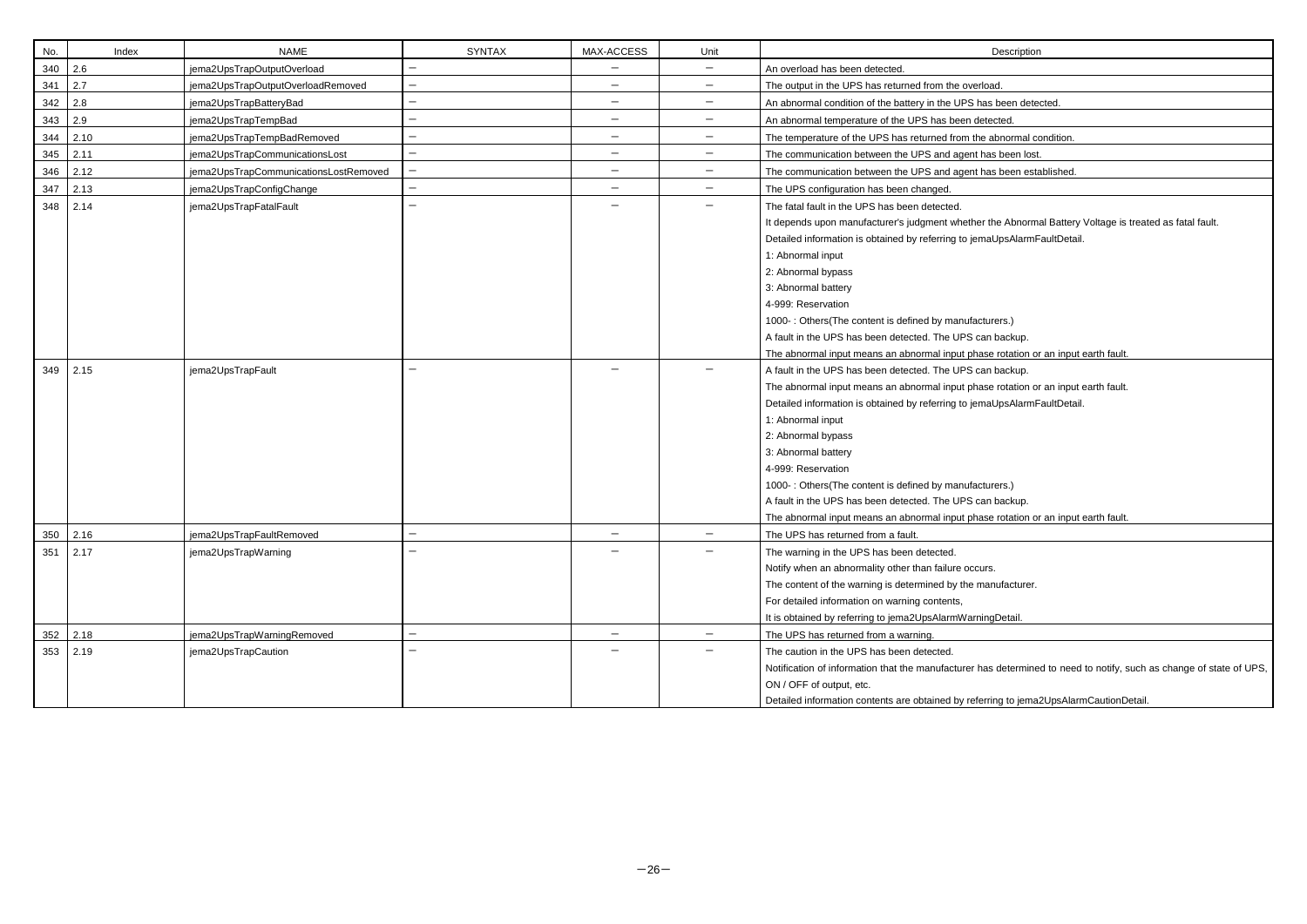| No. | Index | <b>NAME</b>                           | <b>SYNTAX</b>            | MAX-ACCESS               | Unit                     | Description                                                                                                          |
|-----|-------|---------------------------------------|--------------------------|--------------------------|--------------------------|----------------------------------------------------------------------------------------------------------------------|
| 340 | 2.6   | jema2UpsTrapOutputOverload            | $\overline{\phantom{0}}$ | $\overline{\phantom{0}}$ | $\qquad \qquad -$        | An overload has been detected.                                                                                       |
| 341 | 2.7   | jema2UpsTrapOutputOverloadRemoved     | $\overline{\phantom{0}}$ | $\overline{\phantom{m}}$ | $\qquad \qquad -$        | The output in the UPS has returned from the overload.                                                                |
| 342 | 2.8   | jema2UpsTrapBatteryBad                |                          | $\overline{\phantom{m}}$ | $\qquad \qquad -$        | An abnormal condition of the battery in the UPS has been detected.                                                   |
| 343 | 2.9   | jema2UpsTrapTempBad                   |                          | $\overline{\phantom{m}}$ | —                        | An abnormal temperature of the UPS has been detected.                                                                |
| 344 | 2.10  | jema2UpsTrapTempBadRemoved            |                          | $\overline{\phantom{m}}$ | $\qquad \qquad$          | The temperature of the UPS has returned from the abnormal condition.                                                 |
| 345 | 2.11  | jema2UpsTrapCommunicationsLost        | $\qquad \qquad -$        | $\qquad \qquad -$        | $\overline{\phantom{m}}$ | The communication between the UPS and agent has been lost.                                                           |
| 346 | 2.12  | jema2UpsTrapCommunicationsLostRemoved |                          | $\qquad \qquad -$        | $\qquad \qquad$          | The communication between the UPS and agent has been established.                                                    |
| 347 | 2.13  | jema2UpsTrapConfigChange              |                          | $\overline{\phantom{m}}$ | $\overline{\phantom{m}}$ | The UPS configuration has been changed.                                                                              |
| 348 | 2.14  | jema2UpsTrapFatalFault                |                          |                          | $\qquad \qquad$          | The fatal fault in the UPS has been detected.<br>It depends upon manufacturer's judgment whether the Abnormal Batter |
|     |       |                                       |                          |                          |                          | Detailed information is obtained by referring to jemaUpsAlarmFaultDeta<br>1: Abnormal input                          |
|     |       |                                       |                          |                          |                          | 2: Abnormal bypass<br>3: Abnormal battery                                                                            |
|     |       |                                       |                          |                          |                          | 4-999: Reservation                                                                                                   |
|     |       |                                       |                          |                          |                          | 1000-: Others(The content is defined by manufacturers.)                                                              |
|     |       |                                       |                          |                          |                          | A fault in the UPS has been detected. The UPS can backup.                                                            |
|     |       |                                       |                          |                          |                          | The abnormal input means an abnormal input phase rotation or an inpu                                                 |
| 349 | 2.15  | jema2UpsTrapFault                     |                          |                          |                          | A fault in the UPS has been detected. The UPS can backup.                                                            |
|     |       |                                       |                          |                          |                          | The abnormal input means an abnormal input phase rotation or an inpu                                                 |
|     |       |                                       |                          |                          |                          | Detailed information is obtained by referring to jemaUpsAlarmFaultDeta                                               |
|     |       |                                       |                          |                          |                          | 1: Abnormal input                                                                                                    |
|     |       |                                       |                          |                          |                          | 2: Abnormal bypass                                                                                                   |
|     |       |                                       |                          |                          |                          | 3: Abnormal battery                                                                                                  |
|     |       |                                       |                          |                          |                          | 4-999: Reservation                                                                                                   |
|     |       |                                       |                          |                          |                          | 1000-: Others(The content is defined by manufacturers.)                                                              |
|     |       |                                       |                          |                          |                          | A fault in the UPS has been detected. The UPS can backup.                                                            |
|     |       |                                       |                          |                          |                          | The abnormal input means an abnormal input phase rotation or an inpu                                                 |
| 350 | 2.16  | jema2UpsTrapFaultRemoved              |                          |                          |                          | The UPS has returned from a fault.                                                                                   |
| 351 | 2.17  | jema2UpsTrapWarning                   |                          |                          |                          | The warning in the UPS has been detected.                                                                            |
|     |       |                                       |                          |                          |                          | Notify when an abnormality other than failure occurs.                                                                |
|     |       |                                       |                          |                          |                          | The content of the warning is determined by the manufacturer.                                                        |
|     |       |                                       |                          |                          |                          | For detailed information on warning contents,                                                                        |
|     |       |                                       |                          |                          |                          | It is obtained by referring to jema2UpsAlarmWarningDetail.                                                           |
| 352 | 2.18  | jema2UpsTrapWarningRemoved            | $\qquad \qquad -$        | $\qquad \qquad -$        | $\overline{\phantom{m}}$ | The UPS has returned from a warning.                                                                                 |
| 353 | 2.19  | jema2UpsTrapCaution                   |                          |                          |                          | The caution in the UPS has been detected.                                                                            |
|     |       |                                       |                          |                          |                          | Notification of information that the manufacturer has determined to nee                                              |
|     |       |                                       |                          |                          |                          | ON / OFF of output, etc.                                                                                             |
|     |       |                                       |                          |                          |                          | Detailed information contents are obtained by referring to jema2UpsAla                                               |

r the Abnormal Battery Voltage is treated as fatal fault. naUpsAlarmFaultDetail.

turers.) an backup. Ise rotation or an input earth fault. ise rotation or an input earth fault.

naUpsAlarmFaultDetail.

turers.) an backup. ase rotation or an input earth fault.

as determined to need to notify, such as change of state of UPS,

erring to jema2UpsAlarmCautionDetail.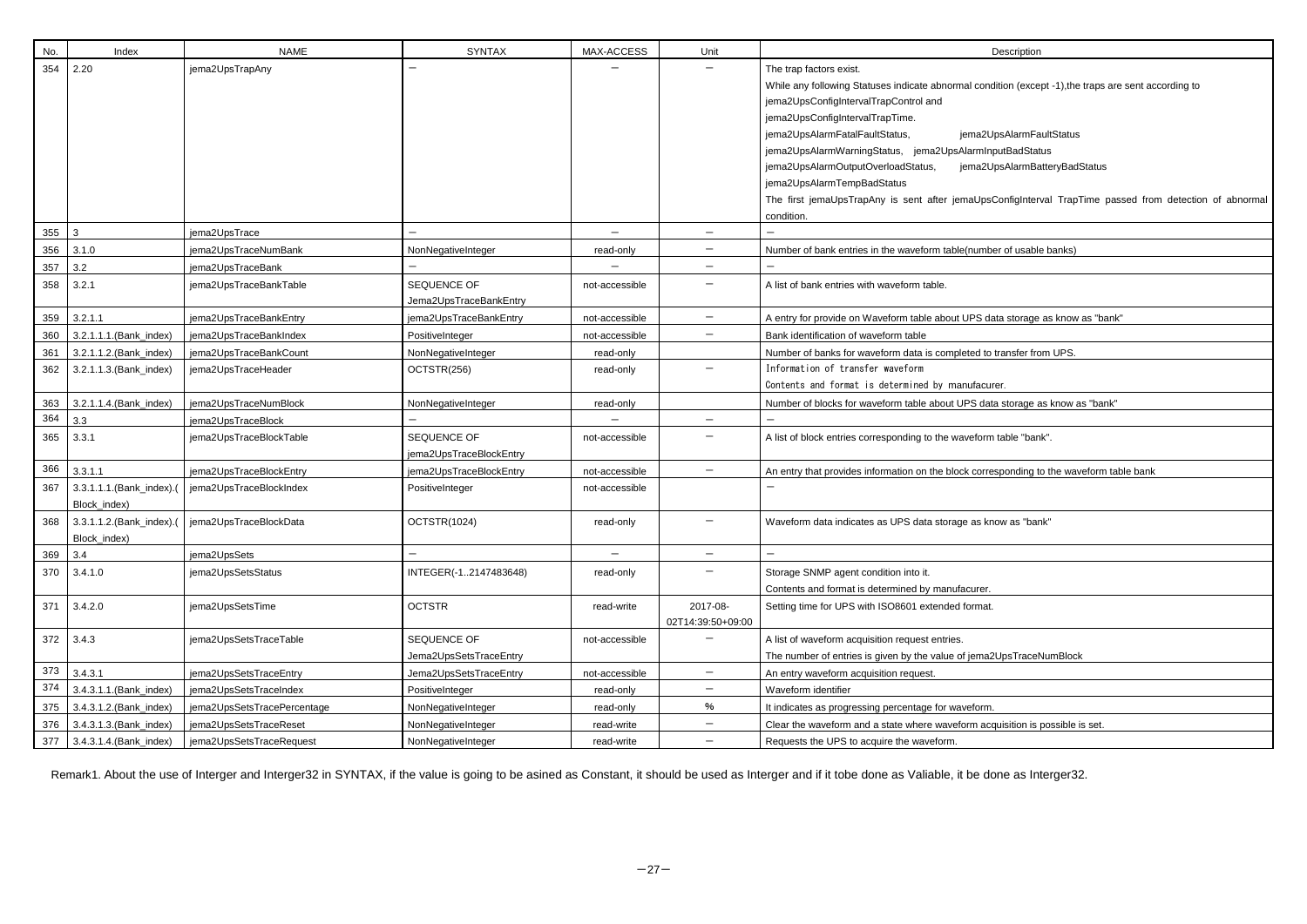| The trap factors exist.<br>While any following Statuses indicate abnormal condition (except -1),the traps are sent according to<br>jema2UpsConfigIntervalTrapControl and |  |  |  |  |
|--------------------------------------------------------------------------------------------------------------------------------------------------------------------------|--|--|--|--|
|                                                                                                                                                                          |  |  |  |  |
|                                                                                                                                                                          |  |  |  |  |
|                                                                                                                                                                          |  |  |  |  |
| jema2UpsConfigIntervalTrapTime.                                                                                                                                          |  |  |  |  |
| jema2UpsAlarmFatalFaultStatus,<br>jema2UpsAlarmFaultStatus                                                                                                               |  |  |  |  |
| jema2UpsAlarmWarningStatus, jema2UpsAlarmInputBadStatus                                                                                                                  |  |  |  |  |
| jema2UpsAlarmOutputOverloadStatus,<br>jema2UpsAlarmBatteryBadStatus                                                                                                      |  |  |  |  |
| jema2UpsAlarmTempBadStatus                                                                                                                                               |  |  |  |  |
| The first jemaUpsTrapAny is sent after jemaUpsConfigInterval TrapTime passed from detection of abnormal                                                                  |  |  |  |  |
| condition.                                                                                                                                                               |  |  |  |  |
|                                                                                                                                                                          |  |  |  |  |
| Number of bank entries in the waveform table(number of usable banks)                                                                                                     |  |  |  |  |
|                                                                                                                                                                          |  |  |  |  |
| A list of bank entries with waveform table.                                                                                                                              |  |  |  |  |
| A entry for provide on Waveform table about UPS data storage as know as "bank"                                                                                           |  |  |  |  |
| Bank identification of waveform table                                                                                                                                    |  |  |  |  |
| Number of banks for waveform data is completed to transfer from UPS.                                                                                                     |  |  |  |  |
| Information of transfer waveform                                                                                                                                         |  |  |  |  |
| Contents and format is determined by manufacurer.                                                                                                                        |  |  |  |  |
| Number of blocks for waveform table about UPS data storage as know as "bank"                                                                                             |  |  |  |  |
|                                                                                                                                                                          |  |  |  |  |
| A list of block entries corresponding to the waveform table "bank".                                                                                                      |  |  |  |  |
| An entry that provides information on the block corresponding to the waveform table bank                                                                                 |  |  |  |  |
|                                                                                                                                                                          |  |  |  |  |
|                                                                                                                                                                          |  |  |  |  |
| Waveform data indicates as UPS data storage as know as "bank"                                                                                                            |  |  |  |  |
|                                                                                                                                                                          |  |  |  |  |
| Storage SNMP agent condition into it.                                                                                                                                    |  |  |  |  |
| Contents and format is determined by manufacurer.                                                                                                                        |  |  |  |  |
| Setting time for UPS with ISO8601 extended format.                                                                                                                       |  |  |  |  |
| A list of waveform acquisition request entries.                                                                                                                          |  |  |  |  |
| The number of entries is given by the value of jema2UpsTraceNumBlock                                                                                                     |  |  |  |  |
| An entry waveform acquisition request.                                                                                                                                   |  |  |  |  |
| Waveform identifier                                                                                                                                                      |  |  |  |  |
| It indicates as progressing percentage for waveform.                                                                                                                     |  |  |  |  |
| Clear the waveform and a state where waveform acquisition is possible is set.                                                                                            |  |  |  |  |
| Requests the UPS to acquire the waveform.                                                                                                                                |  |  |  |  |

| No. | Index                    | <b>NAME</b>                                       | <b>SYNTAX</b>            | MAX-ACCESS     | Unit                     | Description                                                                                           |
|-----|--------------------------|---------------------------------------------------|--------------------------|----------------|--------------------------|-------------------------------------------------------------------------------------------------------|
| 354 | 2.20                     | jema2UpsTrapAny                                   |                          |                | $\qquad \qquad -$        | The trap factors exist.                                                                               |
|     |                          |                                                   |                          |                |                          | While any following Statuses indicate abnormal condition (except -1), the traps are sent according to |
|     |                          |                                                   |                          |                |                          | jema2UpsConfigIntervalTrapControl and                                                                 |
|     |                          |                                                   |                          |                |                          | jema2UpsConfigIntervalTrapTime.                                                                       |
|     |                          |                                                   |                          |                |                          | jema2UpsAlarmFatalFaultStatus,<br>jema2UpsAlarmFaultStatus                                            |
|     |                          |                                                   |                          |                |                          | jema2UpsAlarmWarningStatus, jema2UpsAlarmInputBadStatus                                               |
|     |                          |                                                   |                          |                |                          | jema2UpsAlarmOutputOverloadStatus,<br>jema2UpsAlarmBatteryBadStatus                                   |
|     |                          |                                                   |                          |                |                          | jema2UpsAlarmTempBadStatus                                                                            |
|     |                          |                                                   |                          |                |                          | The first jemaUpsTrapAny is sent after jemaUpsConfigInterval TrapTime passed from detection           |
|     |                          |                                                   |                          |                |                          | condition.                                                                                            |
| 355 | 3                        | jema2UpsTrace                                     |                          | —              | $\qquad \qquad -$        |                                                                                                       |
| 356 | 3.1.0                    | jema2UpsTraceNumBank                              | NonNegativeInteger       | read-only      | —                        | Number of bank entries in the waveform table(number of usable banks)                                  |
| 357 | 3.2                      | jema2UpsTraceBank                                 | $\overline{\phantom{0}}$ |                | $\overline{\phantom{0}}$ | $\overline{\phantom{m}}$                                                                              |
| 358 | 3.2.1                    | jema2UpsTraceBankTable                            | SEQUENCE OF              | not-accessible | -                        | A list of bank entries with waveform table.                                                           |
|     |                          |                                                   | Jema2UpsTraceBankEntry   |                |                          |                                                                                                       |
| 359 | 3.2.1.1                  | jema2UpsTraceBankEntry                            | jema2UpsTraceBankEntry   | not-accessible | $\qquad \qquad -$        | A entry for provide on Waveform table about UPS data storage as know as "bank"                        |
| 360 | 3.2.1.1.1.(Bank_index)   | jema2UpsTraceBankIndex                            | PositiveInteger          | not-accessible | $\qquad \qquad -$        | Bank identification of waveform table                                                                 |
| 361 | 3.2.1.1.2. (Bank_index)  | jema2UpsTraceBankCount                            | NonNegativeInteger       | read-only      |                          | Number of banks for waveform data is completed to transfer from UPS.                                  |
| 362 | 3.2.1.1.3. (Bank_index)  | jema2UpsTraceHeader                               | OCTSTR(256)              | read-only      |                          | Information of transfer waveform                                                                      |
|     |                          |                                                   |                          |                |                          | Contents and format is determined by manufacurer.                                                     |
| 363 | 3.2.1.1.4. (Bank_index)  | jema2UpsTraceNumBlock                             | NonNegativeInteger       | read-only      |                          | Number of blocks for waveform table about UPS data storage as know as "bank"                          |
| 364 | 3.3                      | jema2UpsTraceBlock                                |                          |                | $-$                      |                                                                                                       |
| 365 | 3.3.1                    | jema2UpsTraceBlockTable                           | SEQUENCE OF              | not-accessible | $\overline{\phantom{m}}$ | A list of block entries corresponding to the waveform table "bank".                                   |
|     |                          |                                                   | jema2UpsTraceBlockEntry  |                |                          |                                                                                                       |
| 366 | 3.3.1.1                  | jema2UpsTraceBlockEntry                           | jema2UpsTraceBlockEntry  | not-accessible | $\overline{\phantom{m}}$ | An entry that provides information on the block corresponding to the waveform table bank              |
| 367 | 3.3.1.1.1.(Bank_index).( | jema2UpsTraceBlockIndex                           | PositiveInteger          | not-accessible |                          | $\overline{\phantom{0}}$                                                                              |
|     | Block_index)             |                                                   |                          |                |                          |                                                                                                       |
| 368 |                          | 3.3.1.1.2.(Bank_index).(   jema2UpsTraceBlockData | OCTSTR(1024)             | read-only      |                          | Waveform data indicates as UPS data storage as know as "bank"                                         |
|     | Block_index)             |                                                   |                          |                |                          |                                                                                                       |
| 369 | 3.4                      | jema2UpsSets                                      |                          | —              | $\qquad \qquad -$        |                                                                                                       |
| 370 | 3.4.1.0                  | jema2UpsSetsStatus                                | INTEGER(-12147483648)    | read-only      | $\overline{\phantom{0}}$ | Storage SNMP agent condition into it.                                                                 |
|     |                          |                                                   |                          |                |                          | Contents and format is determined by manufacurer.                                                     |
| 371 | 3.4.2.0                  | jema2UpsSetsTime                                  | <b>OCTSTR</b>            | read-write     | 2017-08-                 | Setting time for UPS with ISO8601 extended format.                                                    |
|     |                          |                                                   |                          |                | 02T14:39:50+09:00        |                                                                                                       |
| 372 | 3.4.3                    | jema2UpsSetsTraceTable                            | SEQUENCE OF              | not-accessible |                          | A list of waveform acquisition request entries.                                                       |
|     |                          |                                                   | Jema2UpsSetsTraceEntry   |                |                          | The number of entries is given by the value of jema2UpsTraceNumBlock                                  |
| 373 | 3.4.3.1                  | jema2UpsSetsTraceEntry                            | Jema2UpsSetsTraceEntry   | not-accessible | $\qquad \qquad -$        | An entry waveform acquisition request.                                                                |
| 374 | 3.4.3.1.1.(Bank_index)   | jema2UpsSetsTraceIndex                            | PositiveInteger          | read-only      | $\qquad \qquad -$        | Waveform identifier                                                                                   |
| 375 | 3.4.3.1.2. (Bank_index)  | jema2UpsSetsTracePercentage                       | NonNegativeInteger       | read-only      | %                        | It indicates as progressing percentage for waveform.                                                  |
| 376 | 3.4.3.1.3. (Bank_index)  | jema2UpsSetsTraceReset                            | NonNegativeInteger       | read-write     | $\qquad \qquad -$        | Clear the waveform and a state where waveform acquisition is possible is set.                         |
| 377 | 3.4.3.1.4. (Bank_index)  | jema2UpsSetsTraceRequest                          | NonNegativeInteger       | read-write     | —                        | Requests the UPS to acquire the waveform.                                                             |
|     |                          |                                                   |                          |                |                          |                                                                                                       |

Remark1. About the use of Interger and Interger32 in SYNTAX, if the value is going to be asined as Constant, it should be used as Interger and if it tobe done as Valiable, it be done as Interger32.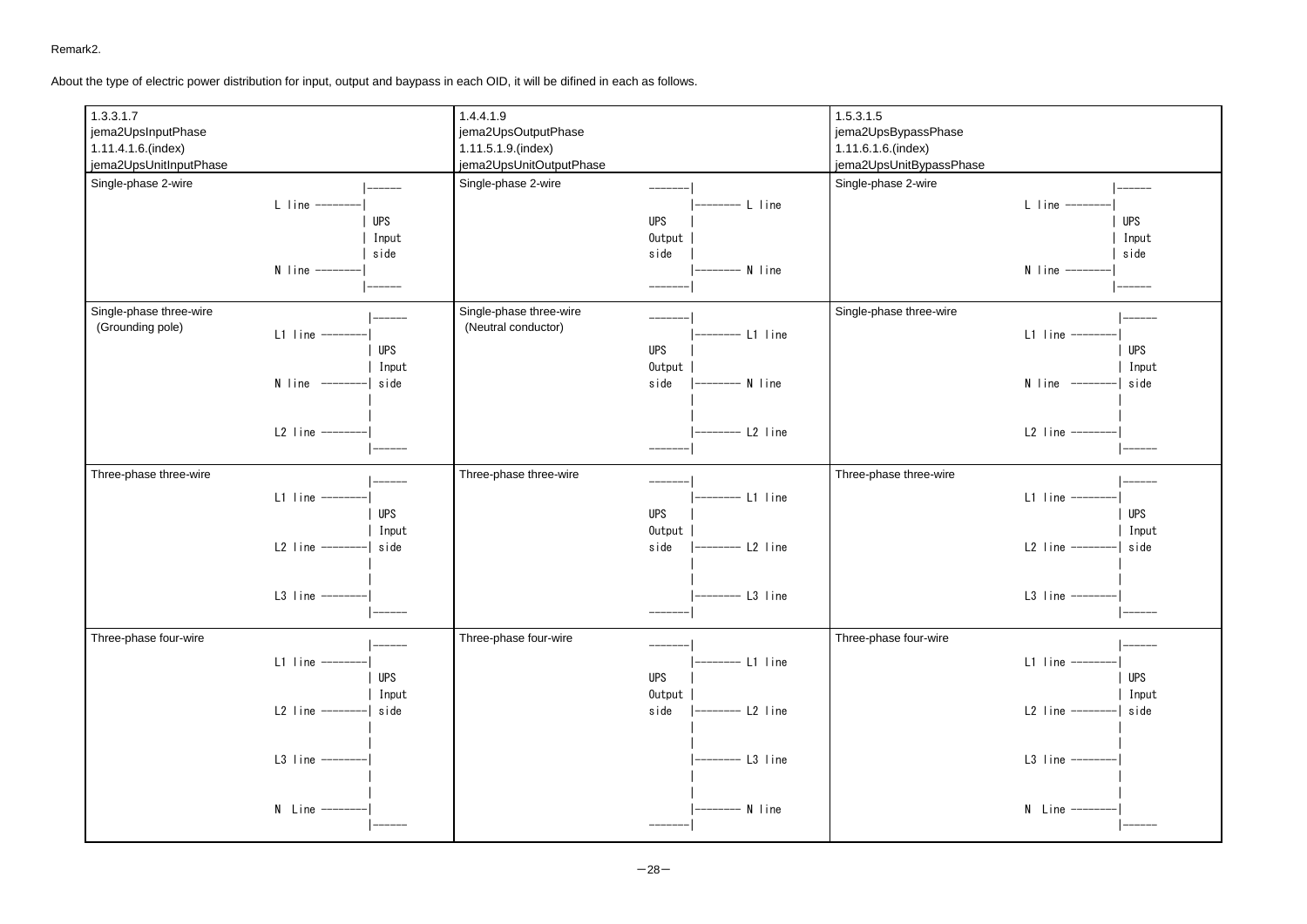Remark2.

About the type of electric power distribution for input, output and baypass in each OID, it will be difined in each as follows.



 $-28-$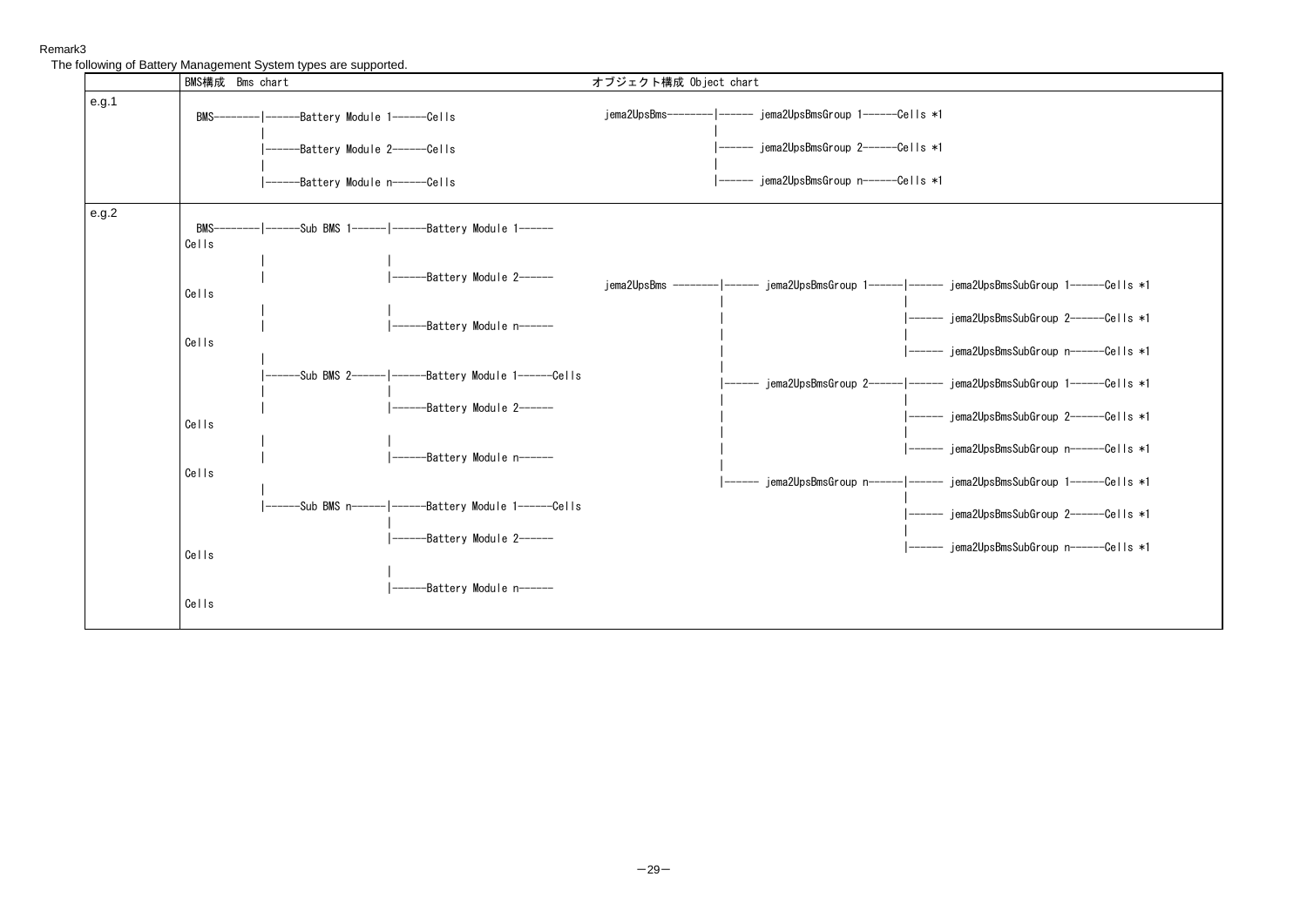# Remark3

The following of Battery Management System types are supported.

|       | BMS構成 Bms chart                                                                                                                     | オブジェクト構成 Object chart                                                                                                              |  |  |
|-------|-------------------------------------------------------------------------------------------------------------------------------------|------------------------------------------------------------------------------------------------------------------------------------|--|--|
| e.g.1 | BMS------------------------Battery Module 1---------Cells<br>------Battery Module 2------Cells<br>------Battery Module n------Cells | jema2UpsBms-------- ----- jema2UpsBmsGroup 1------Cells *1<br>------ jema2UpsBmsGroup n------Cells *1                              |  |  |
| e.g.2 | Cells                                                                                                                               |                                                                                                                                    |  |  |
|       | -------Battery Module 2------<br>Cells                                                                                              | jema2UpsBms -------- ----- jema2UpsBmsGroup 1------ ----- jema2UpsBmsSubGroup 1------Cells *1                                      |  |  |
|       | ---Battery Module n------<br>Cells                                                                                                  | ----- jema2UpsBmsSubGroup 2------Cells *1<br>----- jema2UpsBmsSubGroup n------Cells *1                                             |  |  |
|       | ---Sub BMS 2------ ------Battery Module 1------Cells<br>$----Battery$ Module $2----$                                                | -- jema2UpsBmsGroup 2------ ------ jema2UpsBmsSubGroup 1------Cells *1<br>------ jema2UpsBmsSubGroup 2-----Cells *1                |  |  |
|       | Cells<br>--Battery Module n------<br>Cells                                                                                          | ------ jema2UpsBmsSubGroup n------Cells *1                                                                                         |  |  |
|       |                                                                                                                                     | -- jema2UpsBmsGroup        n------ ------ jema2UpsBmsSubGroup        1------Cells *1<br>------ jema2UpsBmsSubGroup 2------Cells *1 |  |  |
|       | $----Battery Module 2----$<br>Cells                                                                                                 | ------ jema2UpsBmsSubGroup n-----Cells *1                                                                                          |  |  |
|       | ----Battery Module n------<br>Cells                                                                                                 |                                                                                                                                    |  |  |